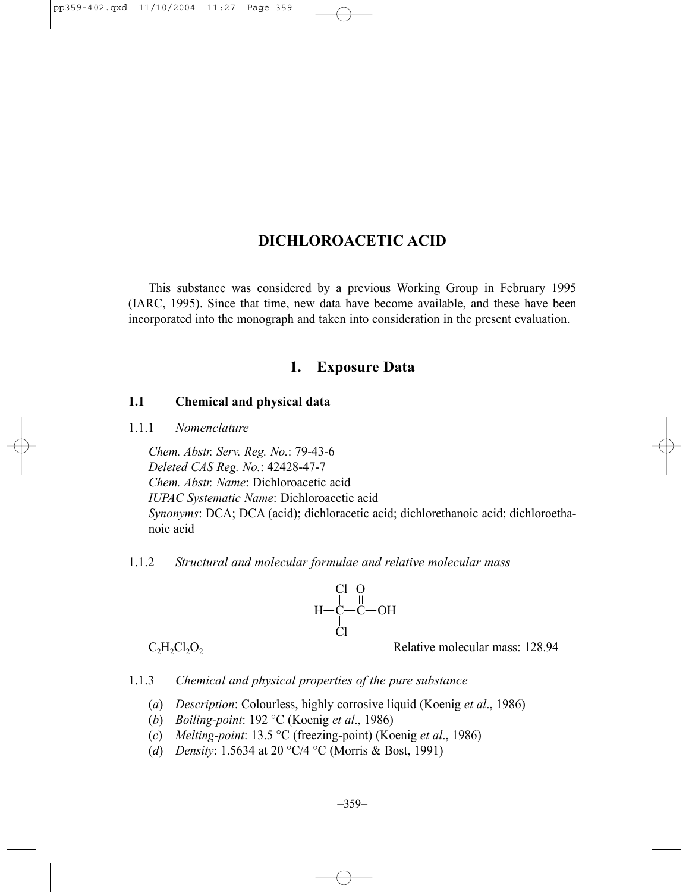# **DICHLOROACETIC ACID**

This substance was considered by a previous Working Group in February 1995 (IARC, 1995). Since that time, new data have become available, and these have been incorporated into the monograph and taken into consideration in the present evaluation.

## **1. Exposure Data**

### **1.1 Chemical and physical data**

1.1.1 *Nomenclature*

*Chem. Abstr. Serv. Reg. No.*: 79-43-6 *Deleted CAS Reg. No.*: 42428-47-7 *Chem. Abstr. Name*: Dichloroacetic acid *IUPAC Systematic Name*: Dichloroacetic acid *Synonyms*: DCA; DCA (acid); dichloracetic acid; dichlorethanoic acid; dichloroethanoic acid

### 1.1.2 *Structural and molecular formulae and relative molecular mass*



 $C_2H_2Cl_2O_2$  Relative molecular mass: 128.94

1.1.3 *Chemical and physical properties of the pure substance*

- (*a*) *Description*: Colourless, highly corrosive liquid (Koenig *et al*., 1986)
- (*b*) *Boiling-point*: 192 °C (Koenig *et al*., 1986)
- (*c*) *Melting-point*: 13.5 °C (freezing-point) (Koenig *et al*., 1986)
- (*d*) *Density*: 1.5634 at 20 °C/4 °C (Morris & Bost, 1991)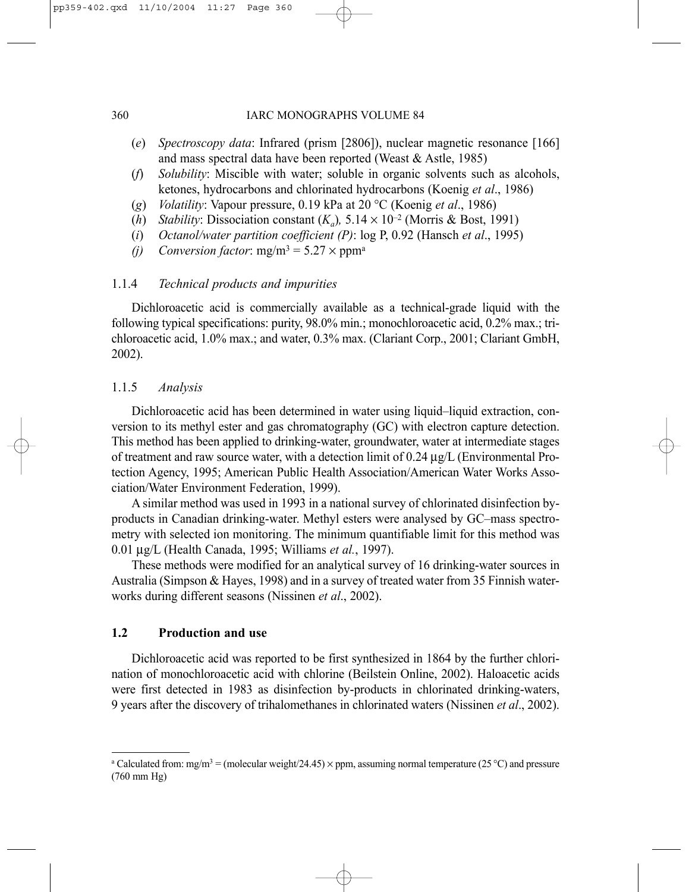- (*e*) *Spectroscopy data*: Infrared (prism [2806]), nuclear magnetic resonance [166] and mass spectral data have been reported (Weast & Astle, 1985)
- (*f*) *Solubility*: Miscible with water; soluble in organic solvents such as alcohols, ketones, hydrocarbons and chlorinated hydrocarbons (Koenig *et al*., 1986)
- (*g*) *Volatility*: Vapour pressure, 0.19 kPa at 20 °C (Koenig *et al*., 1986)
- (*h*) *Stability*: Dissociation constant  $(K_a)$ ,  $5.14 \times 10^{-2}$  (Morris & Bost, 1991)
- (*i*) *Octanol/water partition coefficient (P)*: log P, 0.92 (Hansch *et al*., 1995)
- *(i)* Conversion factor:  $mg/m^3 = 5.27 \times ppm^a$

## 1.1.4 *Technical products and impurities*

Dichloroacetic acid is commercially available as a technical-grade liquid with the following typical specifications: purity, 98.0% min.; monochloroacetic acid, 0.2% max.; trichloroacetic acid, 1.0% max.; and water, 0.3% max. (Clariant Corp., 2001; Clariant GmbH, 2002).

## 1.1.5 *Analysis*

Dichloroacetic acid has been determined in water using liquid–liquid extraction, conversion to its methyl ester and gas chromatography (GC) with electron capture detection. This method has been applied to drinking-water, groundwater, water at intermediate stages of treatment and raw source water, with a detection limit of  $0.24 \mu g/L$  (Environmental Protection Agency, 1995; American Public Health Association/American Water Works Association/Water Environment Federation, 1999).

A similar method was used in 1993 in a national survey of chlorinated disinfection byproducts in Canadian drinking-water. Methyl esters were analysed by GC–mass spectrometry with selected ion monitoring. The minimum quantifiable limit for this method was 0.01 µg/L (Health Canada, 1995; Williams *et al.*, 1997).

These methods were modified for an analytical survey of 16 drinking-water sources in Australia (Simpson & Hayes, 1998) and in a survey of treated water from 35 Finnish waterworks during different seasons (Nissinen *et al*., 2002).

## **1.2 Production and use**

Dichloroacetic acid was reported to be first synthesized in 1864 by the further chlorination of monochloroacetic acid with chlorine (Beilstein Online, 2002). Haloacetic acids were first detected in 1983 as disinfection by-products in chlorinated drinking-waters, 9 years after the discovery of trihalomethanes in chlorinated waters (Nissinen *et al*., 2002).

<sup>&</sup>lt;sup>a</sup> Calculated from: mg/m<sup>3</sup> = (molecular weight/24.45)  $\times$  ppm, assuming normal temperature (25 °C) and pressure (760 mm Hg)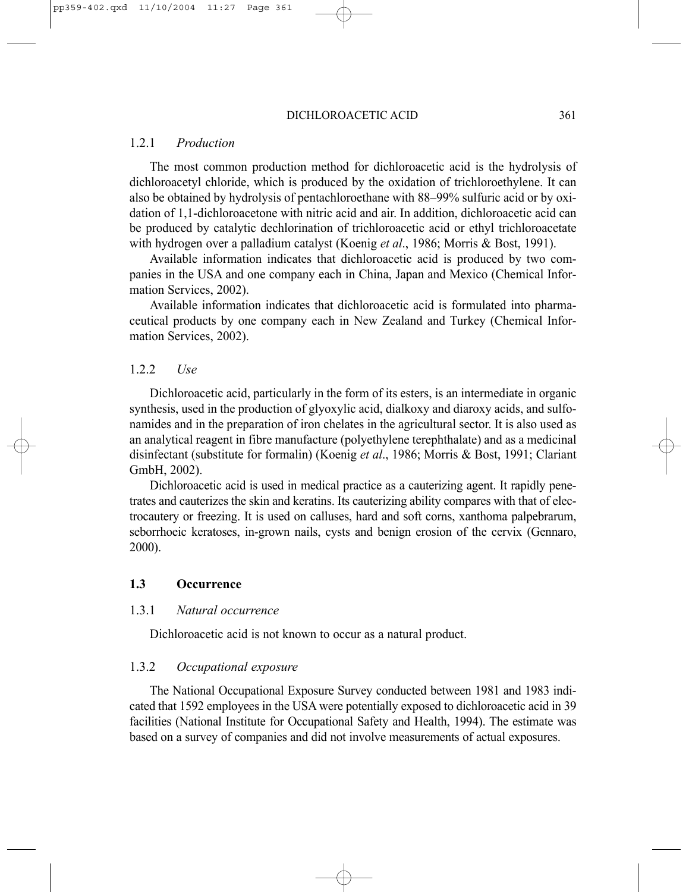### 1.2.1 *Production*

The most common production method for dichloroacetic acid is the hydrolysis of dichloroacetyl chloride, which is produced by the oxidation of trichloroethylene. It can also be obtained by hydrolysis of pentachloroethane with 88–99% sulfuric acid or by oxidation of 1,1-dichloroacetone with nitric acid and air. In addition, dichloroacetic acid can be produced by catalytic dechlorination of trichloroacetic acid or ethyl trichloroacetate with hydrogen over a palladium catalyst (Koenig *et al*., 1986; Morris & Bost, 1991).

Available information indicates that dichloroacetic acid is produced by two companies in the USA and one company each in China, Japan and Mexico (Chemical Information Services, 2002).

Available information indicates that dichloroacetic acid is formulated into pharmaceutical products by one company each in New Zealand and Turkey (Chemical Information Services, 2002).

### 1.2.2 *Use*

Dichloroacetic acid, particularly in the form of its esters, is an intermediate in organic synthesis, used in the production of glyoxylic acid, dialkoxy and diaroxy acids, and sulfonamides and in the preparation of iron chelates in the agricultural sector. It is also used as an analytical reagent in fibre manufacture (polyethylene terephthalate) and as a medicinal disinfectant (substitute for formalin) (Koenig *et al*., 1986; Morris & Bost, 1991; Clariant GmbH, 2002).

Dichloroacetic acid is used in medical practice as a cauterizing agent. It rapidly penetrates and cauterizes the skin and keratins. Its cauterizing ability compares with that of electrocautery or freezing. It is used on calluses, hard and soft corns, xanthoma palpebrarum, seborrhoeic keratoses, in-grown nails, cysts and benign erosion of the cervix (Gennaro, 2000).

### **1.3 Occurrence**

### 1.3.1 *Natural occurrence*

Dichloroacetic acid is not known to occur as a natural product.

### 1.3.2 *Occupational exposure*

The National Occupational Exposure Survey conducted between 1981 and 1983 indicated that 1592 employees in the USA were potentially exposed to dichloroacetic acid in 39 facilities (National Institute for Occupational Safety and Health, 1994). The estimate was based on a survey of companies and did not involve measurements of actual exposures.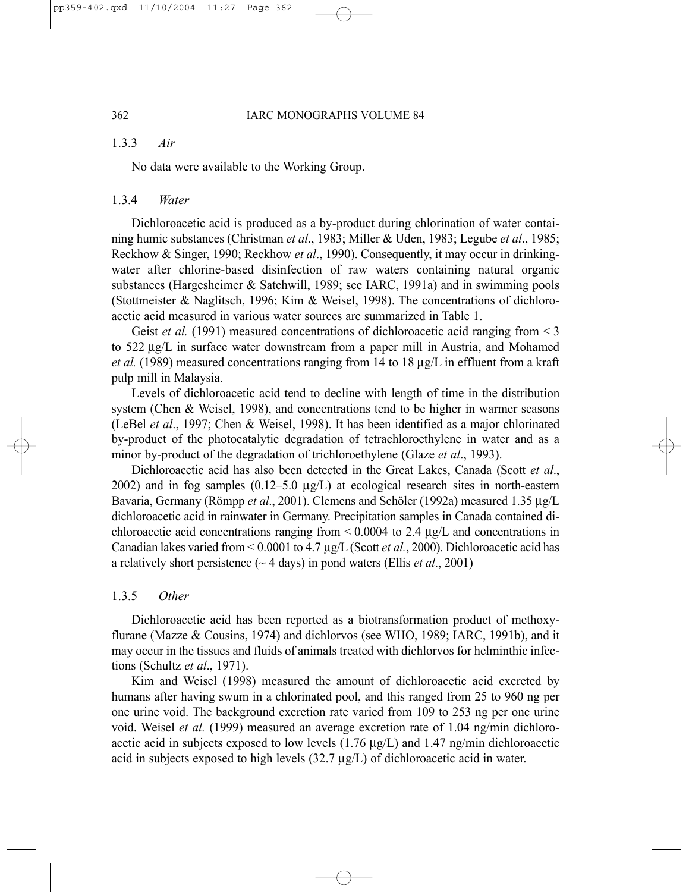### 1.3.3 *Air*

No data were available to the Working Group.

#### 1.3.4 *Water*

Dichloroacetic acid is produced as a by-product during chlorination of water containing humic substances (Christman *et al*., 1983; Miller & Uden, 1983; Legube *et al*., 1985; Reckhow & Singer, 1990; Reckhow *et al*., 1990). Consequently, it may occur in drinkingwater after chlorine-based disinfection of raw waters containing natural organic substances (Hargesheimer & Satchwill, 1989; see IARC, 1991a) and in swimming pools (Stottmeister & Naglitsch, 1996; Kim & Weisel, 1998). The concentrations of dichloroacetic acid measured in various water sources are summarized in Table 1.

Geist *et al.* (1991) measured concentrations of dichloroacetic acid ranging from  $\leq$ 3 to 522 µg/L in surface water downstream from a paper mill in Austria, and Mohamed *et al.* (1989) measured concentrations ranging from 14 to 18 µg/L in effluent from a kraft pulp mill in Malaysia.

Levels of dichloroacetic acid tend to decline with length of time in the distribution system (Chen & Weisel, 1998), and concentrations tend to be higher in warmer seasons (LeBel *et al*., 1997; Chen & Weisel, 1998). It has been identified as a major chlorinated by-product of the photocatalytic degradation of tetrachloroethylene in water and as a minor by-product of the degradation of trichloroethylene (Glaze *et al*., 1993).

Dichloroacetic acid has also been detected in the Great Lakes, Canada (Scott *et al*., 2002) and in fog samples  $(0.12-5.0 \text{ µg/L})$  at ecological research sites in north-eastern Bavaria, Germany (Römpp *et al*., 2001). Clemens and Schöler (1992a) measured 1.35 µg/L dichloroacetic acid in rainwater in Germany. Precipitation samples in Canada contained dichloroacetic acid concentrations ranging from < 0.0004 to 2.4 µg/L and concentrations in Canadian lakes varied from < 0.0001 to 4.7 µg/L (Scott *et al.*, 2000). Dichloroacetic acid has a relatively short persistence (~ 4 days) in pond waters (Ellis *et al*., 2001)

### 1.3.5 *Other*

Dichloroacetic acid has been reported as a biotransformation product of methoxyflurane (Mazze & Cousins, 1974) and dichlorvos (see WHO, 1989; IARC, 1991b), and it may occur in the tissues and fluids of animals treated with dichlorvos for helminthic infections (Schultz *et al*., 1971).

Kim and Weisel (1998) measured the amount of dichloroacetic acid excreted by humans after having swum in a chlorinated pool, and this ranged from 25 to 960 ng per one urine void. The background excretion rate varied from 109 to 253 ng per one urine void. Weisel *et al.* (1999) measured an average excretion rate of 1.04 ng/min dichloroacetic acid in subjects exposed to low levels  $(1.76 \mu g/L)$  and  $1.47 \mu g/min$  dichloroacetic acid in subjects exposed to high levels  $(32.7 \mu g/L)$  of dichloroacetic acid in water.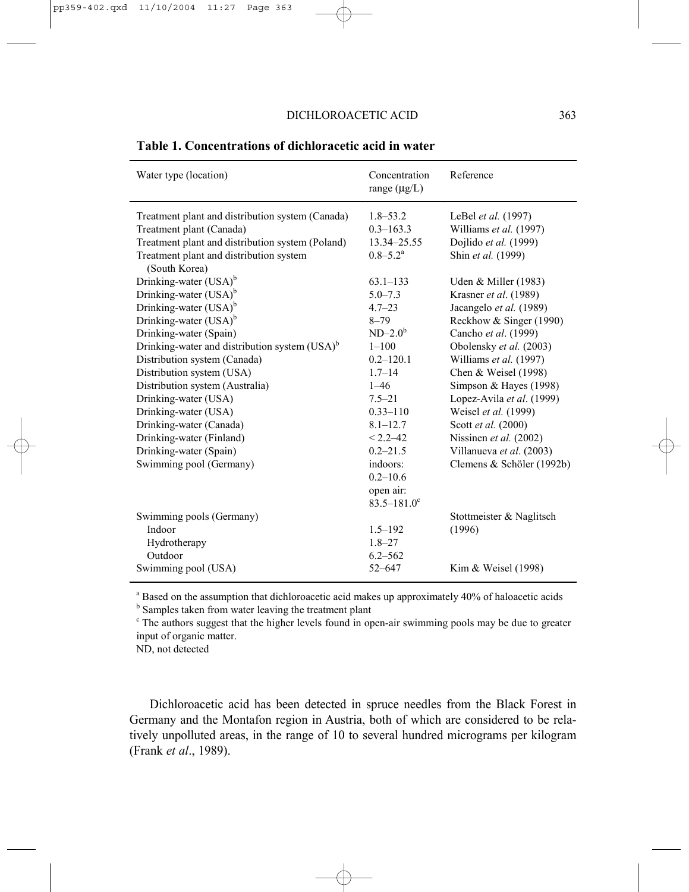| Water type (location)                                                                                                                                                                                                                                                                                                                                                                                                                                                    | Concentration<br>range $(\mu g/L)$                                                                                                                                                                                                   | Reference                                                                                                                                                                                                                                                                                                                                                                                           |  |
|--------------------------------------------------------------------------------------------------------------------------------------------------------------------------------------------------------------------------------------------------------------------------------------------------------------------------------------------------------------------------------------------------------------------------------------------------------------------------|--------------------------------------------------------------------------------------------------------------------------------------------------------------------------------------------------------------------------------------|-----------------------------------------------------------------------------------------------------------------------------------------------------------------------------------------------------------------------------------------------------------------------------------------------------------------------------------------------------------------------------------------------------|--|
| Treatment plant and distribution system (Canada)<br>Treatment plant (Canada)<br>Treatment plant and distribution system (Poland)<br>Treatment plant and distribution system<br>(South Korea)                                                                                                                                                                                                                                                                             | $1.8 - 53.2$<br>$0.3 - 163.3$<br>13.34-25.55<br>$0.8 - 5.2^{\text{a}}$                                                                                                                                                               | LeBel et al. (1997)<br>Williams et al. (1997)<br>Dojlido et al. (1999)<br>Shin et al. (1999)                                                                                                                                                                                                                                                                                                        |  |
| Drinking-water $(USA)^b$<br>Drinking-water (USA) <sup>b</sup><br>Drinking-water (USA) <sup>b</sup><br>Drinking-water $(USA)^b$<br>Drinking-water (Spain)<br>Drinking-water and distribution system $(USA)^b$<br>Distribution system (Canada)<br>Distribution system (USA)<br>Distribution system (Australia)<br>Drinking-water (USA)<br>Drinking-water (USA)<br>Drinking-water (Canada)<br>Drinking-water (Finland)<br>Drinking-water (Spain)<br>Swimming pool (Germany) | $63.1 - 133$<br>$5.0 - 7.3$<br>$4.7 - 23$<br>$8 - 79$<br>$ND-2.0b$<br>$1 - 100$<br>$0.2 - 120.1$<br>$1.7 - 14$<br>$1 - 46$<br>$7.5 - 21$<br>$0.33 - 110$<br>$8.1 - 12.7$<br>$< 2.2 - 42$<br>$0.2 - 21.5$<br>indoors:<br>$0.2 - 10.6$ | Uden & Miller (1983)<br>Krasner et al. (1989)<br>Jacangelo et al. (1989)<br>Reckhow & Singer (1990)<br>Cancho et al. (1999)<br>Obolensky et al. (2003)<br>Williams et al. (1997)<br>Chen & Weisel $(1998)$<br>Simpson & Hayes (1998)<br>Lopez-Avila et al. (1999)<br>Weisel et al. (1999)<br>Scott et al. (2000)<br>Nissinen et al. (2002)<br>Villanueva et al. (2003)<br>Clemens & Schöler (1992b) |  |
| Swimming pools (Germany)<br>Indoor<br>Hydrotherapy<br>Outdoor<br>Swimming pool (USA)                                                                                                                                                                                                                                                                                                                                                                                     | open air:<br>$83.5 - 181.0$ <sup>c</sup><br>$1.5 - 192$<br>$1.8 - 27$<br>$6.2 - 562$<br>$52 - 647$                                                                                                                                   | Stottmeister & Naglitsch<br>(1996)<br>Kim & Weisel (1998)                                                                                                                                                                                                                                                                                                                                           |  |

## **Table 1. Concentrations of dichloracetic acid in water**

<sup>a</sup> Based on the assumption that dichloroacetic acid makes up approximately 40% of haloacetic acids

<sup>b</sup> Samples taken from water leaving the treatment plant

<sup>c</sup> The authors suggest that the higher levels found in open-air swimming pools may be due to greater input of organic matter.

ND, not detected

Dichloroacetic acid has been detected in spruce needles from the Black Forest in Germany and the Montafon region in Austria, both of which are considered to be relatively unpolluted areas, in the range of 10 to several hundred micrograms per kilogram (Frank *et al*., 1989).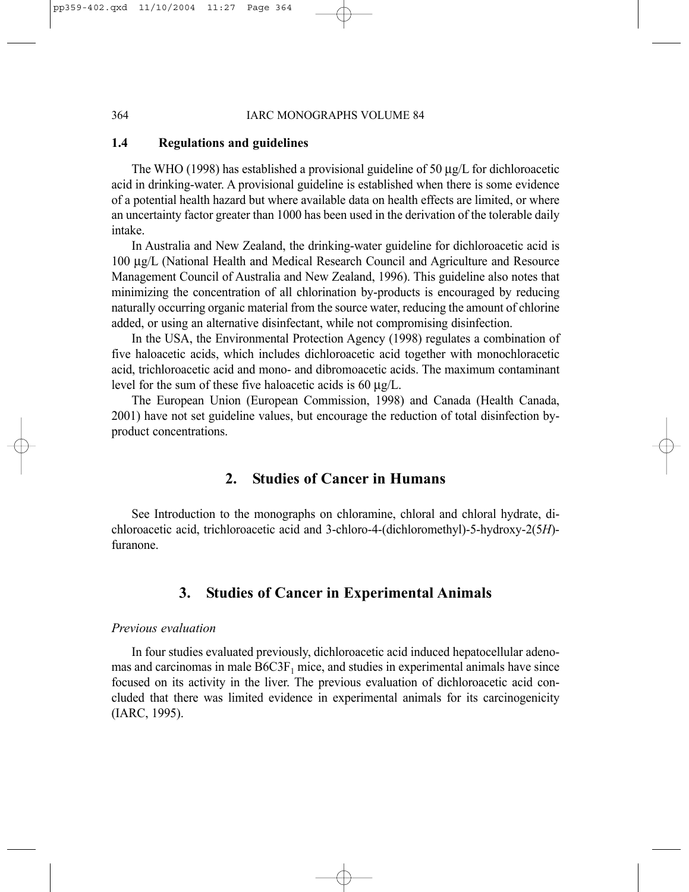### **1.4 Regulations and guidelines**

The WHO (1998) has established a provisional guideline of 50  $\mu$ g/L for dichloroacetic acid in drinking-water. A provisional guideline is established when there is some evidence of a potential health hazard but where available data on health effects are limited, or where an uncertainty factor greater than 1000 has been used in the derivation of the tolerable daily intake.

In Australia and New Zealand, the drinking-water guideline for dichloroacetic acid is 100 µg/L (National Health and Medical Research Council and Agriculture and Resource Management Council of Australia and New Zealand, 1996). This guideline also notes that minimizing the concentration of all chlorination by-products is encouraged by reducing naturally occurring organic material from the source water, reducing the amount of chlorine added, or using an alternative disinfectant, while not compromising disinfection.

In the USA, the Environmental Protection Agency (1998) regulates a combination of five haloacetic acids, which includes dichloroacetic acid together with monochloracetic acid, trichloroacetic acid and mono- and dibromoacetic acids. The maximum contaminant level for the sum of these five haloacetic acids is 60 µg/L.

The European Union (European Commission, 1998) and Canada (Health Canada, 2001) have not set guideline values, but encourage the reduction of total disinfection byproduct concentrations.

# **2. Studies of Cancer in Humans**

See Introduction to the monographs on chloramine, chloral and chloral hydrate, dichloroacetic acid, trichloroacetic acid and 3-chloro-4-(dichloromethyl)-5-hydroxy-2(5*H*) furanone.

# **3. Studies of Cancer in Experimental Animals**

### *Previous evaluation*

In four studies evaluated previously, dichloroacetic acid induced hepatocellular adenomas and carcinomas in male  $B6C3F<sub>1</sub>$  mice, and studies in experimental animals have since focused on its activity in the liver. The previous evaluation of dichloroacetic acid concluded that there was limited evidence in experimental animals for its carcinogenicity (IARC, 1995).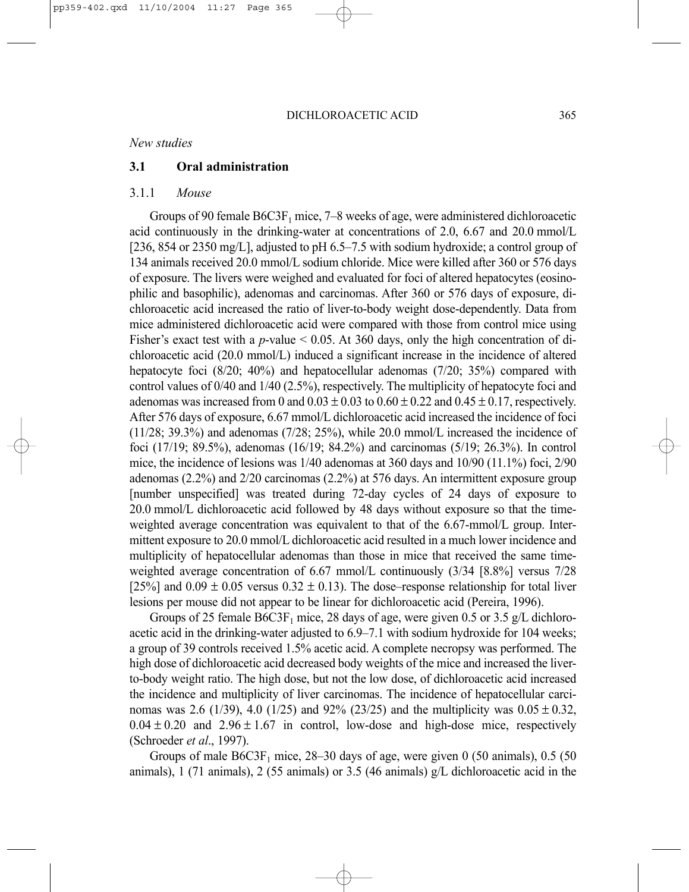### *New studies*

### **3.1 Oral administration**

### 3.1.1 *Mouse*

Groups of 90 female  $B6C3F_1$  mice, 7–8 weeks of age, were administered dichloroacetic acid continuously in the drinking-water at concentrations of 2.0, 6.67 and 20.0 mmol/L [236, 854 or 2350 mg/L], adjusted to pH 6.5–7.5 with sodium hydroxide; a control group of 134 animals received 20.0 mmol/L sodium chloride. Mice were killed after 360 or 576 days of exposure. The livers were weighed and evaluated for foci of altered hepatocytes (eosinophilic and basophilic), adenomas and carcinomas. After 360 or 576 days of exposure, dichloroacetic acid increased the ratio of liver-to-body weight dose-dependently. Data from mice administered dichloroacetic acid were compared with those from control mice using Fisher's exact test with a *p*-value < 0.05. At 360 days, only the high concentration of dichloroacetic acid (20.0 mmol/L) induced a significant increase in the incidence of altered hepatocyte foci (8/20; 40%) and hepatocellular adenomas (7/20; 35%) compared with control values of 0/40 and 1/40 (2.5%), respectively. The multiplicity of hepatocyte foci and adenomas was increased from 0 and  $0.03 \pm 0.03$  to  $0.60 \pm 0.22$  and  $0.45 \pm 0.17$ , respectively. After 576 days of exposure, 6.67 mmol/L dichloroacetic acid increased the incidence of foci  $(11/28; 39.3%)$  and adenomas  $(7/28; 25%)$ , while 20.0 mmol/L increased the incidence of foci (17/19; 89.5%), adenomas (16/19; 84.2%) and carcinomas (5/19; 26.3%). In control mice, the incidence of lesions was 1/40 adenomas at 360 days and 10/90 (11.1%) foci, 2/90 adenomas (2.2%) and 2/20 carcinomas (2.2%) at 576 days. An intermittent exposure group [number unspecified] was treated during 72-day cycles of 24 days of exposure to 20.0 mmol/L dichloroacetic acid followed by 48 days without exposure so that the timeweighted average concentration was equivalent to that of the 6.67-mmol/L group. Intermittent exposure to 20.0 mmol/L dichloroacetic acid resulted in a much lower incidence and multiplicity of hepatocellular adenomas than those in mice that received the same timeweighted average concentration of 6.67 mmol/L continuously (3/34 [8.8%] versus 7/28 [25%] and  $0.09 \pm 0.05$  versus  $0.32 \pm 0.13$ ). The dose–response relationship for total liver lesions per mouse did not appear to be linear for dichloroacetic acid (Pereira, 1996).

Groups of 25 female  $B6C3F_1$  mice, 28 days of age, were given 0.5 or 3.5 g/L dichloroacetic acid in the drinking-water adjusted to 6.9–7.1 with sodium hydroxide for 104 weeks; a group of 39 controls received 1.5% acetic acid. A complete necropsy was performed. The high dose of dichloroacetic acid decreased body weights of the mice and increased the liverto-body weight ratio. The high dose, but not the low dose, of dichloroacetic acid increased the incidence and multiplicity of liver carcinomas. The incidence of hepatocellular carcinomas was 2.6 (1/39), 4.0 (1/25) and 92% (23/25) and the multiplicity was  $0.05 \pm 0.32$ ,  $0.04 \pm 0.20$  and  $2.96 \pm 1.67$  in control, low-dose and high-dose mice, respectively (Schroeder *et al*., 1997).

Groups of male  $B6C3F_1$  mice, 28–30 days of age, were given 0 (50 animals), 0.5 (50 animals), 1 (71 animals), 2 (55 animals) or 3.5 (46 animals) g/L dichloroacetic acid in the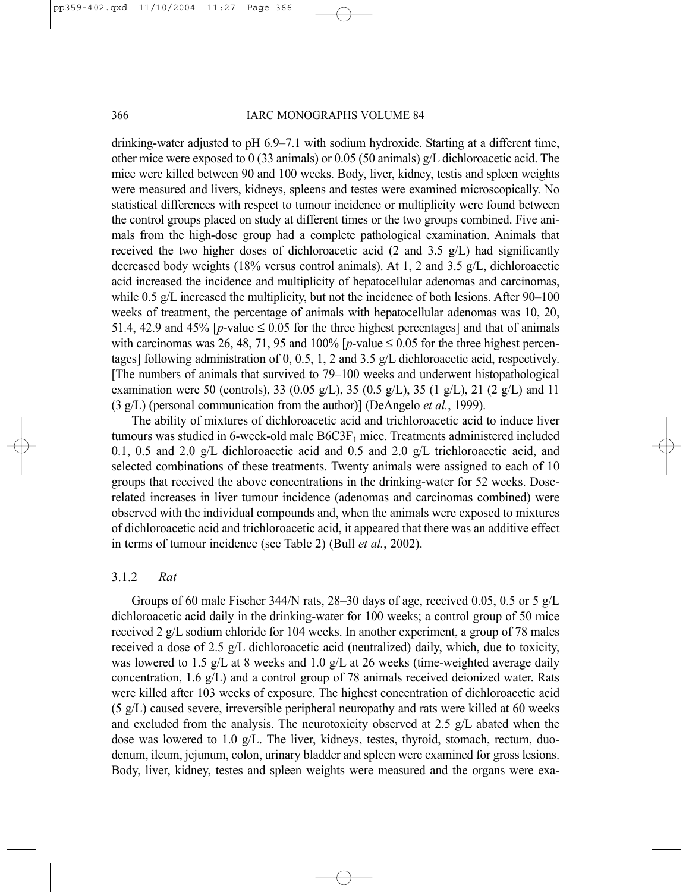#### 366 IARC MONOGRAPHS VOLUME 84

drinking-water adjusted to pH 6.9–7.1 with sodium hydroxide. Starting at a different time, other mice were exposed to 0 (33 animals) or 0.05 (50 animals) g/L dichloroacetic acid. The mice were killed between 90 and 100 weeks. Body, liver, kidney, testis and spleen weights were measured and livers, kidneys, spleens and testes were examined microscopically. No statistical differences with respect to tumour incidence or multiplicity were found between the control groups placed on study at different times or the two groups combined. Five animals from the high-dose group had a complete pathological examination. Animals that received the two higher doses of dichloroacetic acid (2 and 3.5 g/L) had significantly decreased body weights (18% versus control animals). At 1, 2 and 3.5 g/L, dichloroacetic acid increased the incidence and multiplicity of hepatocellular adenomas and carcinomas, while 0.5 g/L increased the multiplicity, but not the incidence of both lesions. After 90–100 weeks of treatment, the percentage of animals with hepatocellular adenomas was 10, 20, 51.4, 42.9 and 45%  $[p$ -value  $\leq$  0.05 for the three highest percentages] and that of animals with carcinomas was 26, 48, 71, 95 and 100%  $[p$ -value  $\leq$  0.05 for the three highest percentages] following administration of 0, 0.5, 1, 2 and 3.5 g/L dichloroacetic acid, respectively. [The numbers of animals that survived to 79–100 weeks and underwent histopathological examination were 50 (controls), 33 (0.05 g/L), 35 (0.5 g/L), 35 (1 g/L), 21 (2 g/L) and 11 (3 g/L) (personal communication from the author)] (DeAngelo *et al.*, 1999).

The ability of mixtures of dichloroacetic acid and trichloroacetic acid to induce liver tumours was studied in 6-week-old male B6C3F<sub>1</sub> mice. Treatments administered included 0.1, 0.5 and 2.0 g/L dichloroacetic acid and 0.5 and 2.0 g/L trichloroacetic acid, and selected combinations of these treatments. Twenty animals were assigned to each of 10 groups that received the above concentrations in the drinking-water for 52 weeks. Doserelated increases in liver tumour incidence (adenomas and carcinomas combined) were observed with the individual compounds and, when the animals were exposed to mixtures of dichloroacetic acid and trichloroacetic acid, it appeared that there was an additive effect in terms of tumour incidence (see Table 2) (Bull *et al.*, 2002).

### 3.1.2 *Rat*

Groups of 60 male Fischer 344/N rats, 28–30 days of age, received 0.05, 0.5 or 5 g/L dichloroacetic acid daily in the drinking-water for 100 weeks; a control group of 50 mice received 2 g/L sodium chloride for 104 weeks. In another experiment, a group of 78 males received a dose of 2.5 g/L dichloroacetic acid (neutralized) daily, which, due to toxicity, was lowered to 1.5 g/L at 8 weeks and 1.0 g/L at 26 weeks (time-weighted average daily concentration, 1.6 g/L) and a control group of 78 animals received deionized water. Rats were killed after 103 weeks of exposure. The highest concentration of dichloroacetic acid (5 g/L) caused severe, irreversible peripheral neuropathy and rats were killed at 60 weeks and excluded from the analysis. The neurotoxicity observed at 2.5  $g/L$  abated when the dose was lowered to 1.0 g/L. The liver, kidneys, testes, thyroid, stomach, rectum, duodenum, ileum, jejunum, colon, urinary bladder and spleen were examined for gross lesions. Body, liver, kidney, testes and spleen weights were measured and the organs were exa-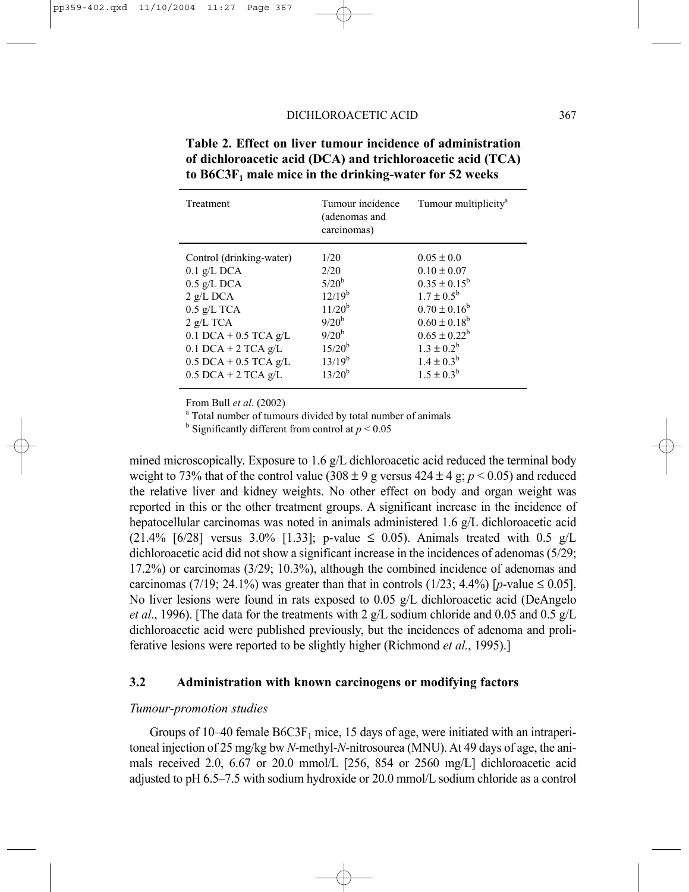| Treatment                | Tumour incidence<br>(adenomas and<br>carcinomas) | Tumour multiplicity <sup>a</sup> |  |
|--------------------------|--------------------------------------------------|----------------------------------|--|
| Control (drinking-water) | 1/20                                             | $0.05 \pm 0.0$                   |  |
| $0.1$ g/L DCA            | 2/20                                             | $0.10 \pm 0.07$                  |  |
| $0.5$ g/L DCA            | $5/20^{b}$                                       | $0.35 \pm 0.15^b$                |  |
| $2$ g/L DCA              | $12/19^{b}$                                      | $1.7 \pm 0.5^{\rm b}$            |  |
| $0.5$ g/L TCA            | $11/20^{b}$                                      | $0.70 \pm 0.16^b$                |  |
| $2$ g/L TCA              | $9/20^{b}$                                       | $0.60 \pm 0.18^b$                |  |
| $0.1$ DCA + 0.5 TCA g/L  | $9/20^{b}$                                       | $0.65 \pm 0.22^b$                |  |
| $0.1$ DCA + 2 TCA g/L    | $15/20^{b}$                                      | $1.3 \pm 0.2^b$                  |  |
| $0.5$ DCA + 0.5 TCA g/L  | $13/19^{b}$                                      | $1.4 \pm 0.3^{b}$                |  |
| $0.5$ DCA + 2 TCA g/L    | $13/20^{b}$                                      | $1.5 \pm 0.3^b$                  |  |

**Table 2. Effect on liver tumour incidence of administration of dichloroacetic acid (DCA) and trichloroacetic acid (TCA) to B6C3F1 male mice in the drinking-water for 52 weeks** 

From Bull *et al.* (2002)

<sup>a</sup> Total number of tumours divided by total number of animals

<sup>b</sup> Significantly different from control at  $p < 0.05$ 

mined microscopically. Exposure to 1.6 g/L dichloroacetic acid reduced the terminal body weight to 73% that of the control value  $(308 \pm 9)$  g versus  $424 \pm 4$  g;  $p < 0.05$ ) and reduced the relative liver and kidney weights. No other effect on body and organ weight was reported in this or the other treatment groups. A significant increase in the incidence of hepatocellular carcinomas was noted in animals administered 1.6 g/L dichloroacetic acid (21.4% [6/28] versus 3.0% [1.33]; p-value  $\leq$  0.05). Animals treated with 0.5 g/L dichloroacetic acid did not show a significant increase in the incidences of adenomas (5/29; 17.2%) or carcinomas (3/29; 10.3%), although the combined incidence of adenomas and carcinomas (7/19; 24.1%) was greater than that in controls (1/23; 4.4%) [*p*-value  $\leq 0.05$ ]. No liver lesions were found in rats exposed to  $0.05 \text{ g/L}$  dichloroacetic acid (DeAngelo *et al*., 1996). [The data for the treatments with 2 g/L sodium chloride and 0.05 and 0.5 g/L dichloroacetic acid were published previously, but the incidences of adenoma and proliferative lesions were reported to be slightly higher (Richmond *et al.*, 1995).]

### **3.2 Administration with known carcinogens or modifying factors**

### *Tumour-promotion studies*

Groups of  $10-40$  female  $B6C3F<sub>1</sub>$  mice, 15 days of age, were initiated with an intraperitoneal injection of 25 mg/kg bw *N*-methyl-*N*-nitrosourea (MNU). At 49 days of age, the animals received 2.0, 6.67 or 20.0 mmol/L [256, 854 or 2560 mg/L] dichloroacetic acid adjusted to pH 6.5–7.5 with sodium hydroxide or 20.0 mmol/L sodium chloride as a control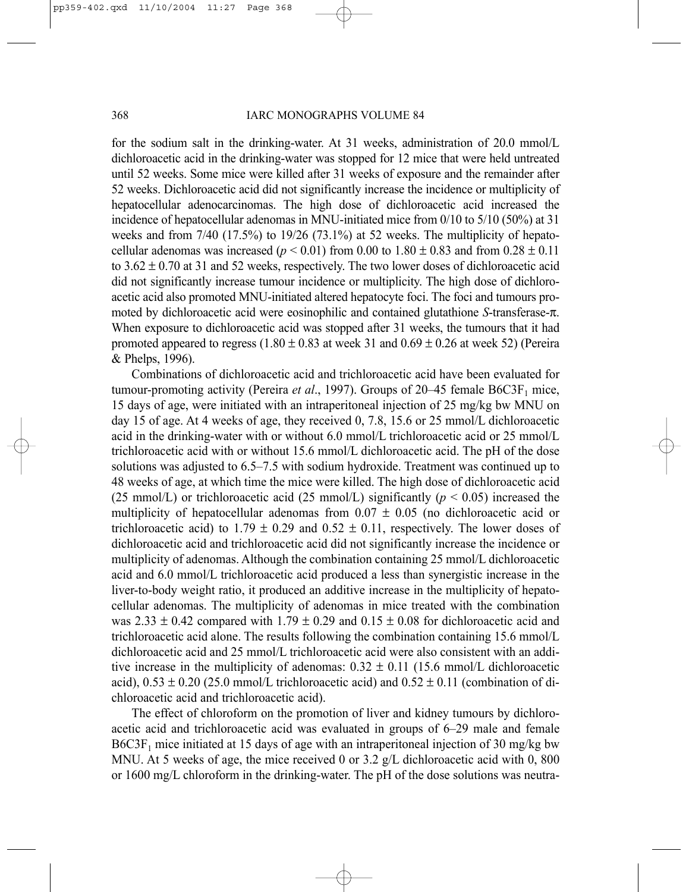for the sodium salt in the drinking-water. At 31 weeks, administration of 20.0 mmol/L dichloroacetic acid in the drinking-water was stopped for 12 mice that were held untreated until 52 weeks. Some mice were killed after 31 weeks of exposure and the remainder after 52 weeks. Dichloroacetic acid did not significantly increase the incidence or multiplicity of hepatocellular adenocarcinomas. The high dose of dichloroacetic acid increased the incidence of hepatocellular adenomas in MNU-initiated mice from 0/10 to 5/10 (50%) at 31 weeks and from 7/40 (17.5%) to 19/26 (73.1%) at 52 weeks. The multiplicity of hepatocellular adenomas was increased ( $p < 0.01$ ) from 0.00 to  $1.80 \pm 0.83$  and from  $0.28 \pm 0.11$ to  $3.62 \pm 0.70$  at 31 and 52 weeks, respectively. The two lower doses of dichloroacetic acid did not significantly increase tumour incidence or multiplicity. The high dose of dichloroacetic acid also promoted MNU-initiated altered hepatocyte foci. The foci and tumours promoted by dichloroacetic acid were eosinophilic and contained glutathione *S*-transferase-π. When exposure to dichloroacetic acid was stopped after 31 weeks, the tumours that it had promoted appeared to regress  $(1.80 \pm 0.83$  at week 31 and  $0.69 \pm 0.26$  at week 52) (Pereira & Phelps, 1996).

Combinations of dichloroacetic acid and trichloroacetic acid have been evaluated for tumour-promoting activity (Pereira *et al.*, 1997). Groups of  $20-45$  female  $B6C3F<sub>1</sub>$  mice, 15 days of age, were initiated with an intraperitoneal injection of 25 mg/kg bw MNU on day 15 of age. At 4 weeks of age, they received 0, 7.8, 15.6 or 25 mmol/L dichloroacetic acid in the drinking-water with or without 6.0 mmol/L trichloroacetic acid or 25 mmol/L trichloroacetic acid with or without 15.6 mmol/L dichloroacetic acid. The pH of the dose solutions was adjusted to 6.5–7.5 with sodium hydroxide. Treatment was continued up to 48 weeks of age, at which time the mice were killed. The high dose of dichloroacetic acid (25 mmol/L) or trichloroacetic acid (25 mmol/L) significantly ( $p < 0.05$ ) increased the multiplicity of hepatocellular adenomas from  $0.07 \pm 0.05$  (no dichloroacetic acid or trichloroacetic acid) to 1.79  $\pm$  0.29 and 0.52  $\pm$  0.11, respectively. The lower doses of dichloroacetic acid and trichloroacetic acid did not significantly increase the incidence or multiplicity of adenomas. Although the combination containing 25 mmol/L dichloroacetic acid and 6.0 mmol/L trichloroacetic acid produced a less than synergistic increase in the liver-to-body weight ratio, it produced an additive increase in the multiplicity of hepatocellular adenomas. The multiplicity of adenomas in mice treated with the combination was 2.33  $\pm$  0.42 compared with 1.79  $\pm$  0.29 and 0.15  $\pm$  0.08 for dichloroacetic acid and trichloroacetic acid alone. The results following the combination containing 15.6 mmol/L dichloroacetic acid and 25 mmol/L trichloroacetic acid were also consistent with an additive increase in the multiplicity of adenomas:  $0.32 \pm 0.11$  (15.6 mmol/L dichloroacetic acid),  $0.53 \pm 0.20$  (25.0 mmol/L trichloroacetic acid) and  $0.52 \pm 0.11$  (combination of dichloroacetic acid and trichloroacetic acid).

The effect of chloroform on the promotion of liver and kidney tumours by dichloroacetic acid and trichloroacetic acid was evaluated in groups of 6–29 male and female  $B6C3F<sub>1</sub>$  mice initiated at 15 days of age with an intraperitoneal injection of 30 mg/kg bw MNU. At 5 weeks of age, the mice received 0 or  $3.2 \text{ g/L}$  dichloroacetic acid with 0, 800 or 1600 mg/L chloroform in the drinking-water. The pH of the dose solutions was neutra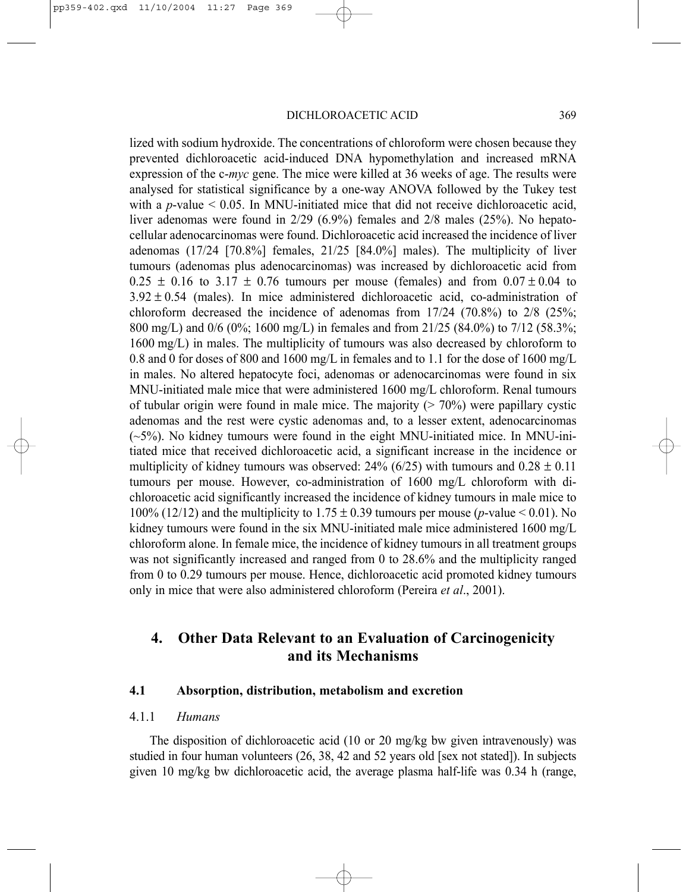lized with sodium hydroxide. The concentrations of chloroform were chosen because they prevented dichloroacetic acid-induced DNA hypomethylation and increased mRNA expression of the c-*myc* gene. The mice were killed at 36 weeks of age. The results were analysed for statistical significance by a one-way ANOVA followed by the Tukey test with a  $p$ -value  $\leq$  0.05. In MNU-initiated mice that did not receive dichloroacetic acid, liver adenomas were found in 2/29 (6.9%) females and 2/8 males (25%). No hepatocellular adenocarcinomas were found. Dichloroacetic acid increased the incidence of liver adenomas (17/24 [70.8%] females, 21/25 [84.0%] males). The multiplicity of liver tumours (adenomas plus adenocarcinomas) was increased by dichloroacetic acid from  $0.25 \pm 0.16$  to 3.17  $\pm$  0.76 tumours per mouse (females) and from  $0.07 \pm 0.04$  to  $3.92 \pm 0.54$  (males). In mice administered dichloroacetic acid, co-administration of chloroform decreased the incidence of adenomas from  $17/24$  (70.8%) to  $2/8$  (25%; 800 mg/L) and 0/6 (0%; 1600 mg/L) in females and from 21/25 (84.0%) to 7/12 (58.3%; 1600 mg/L) in males. The multiplicity of tumours was also decreased by chloroform to 0.8 and 0 for doses of 800 and 1600 mg/L in females and to 1.1 for the dose of 1600 mg/L in males. No altered hepatocyte foci, adenomas or adenocarcinomas were found in six MNU-initiated male mice that were administered 1600 mg/L chloroform. Renal tumours of tubular origin were found in male mice. The majority  $(> 70\%)$  were papillary cystic adenomas and the rest were cystic adenomas and, to a lesser extent, adenocarcinomas (~5%). No kidney tumours were found in the eight MNU-initiated mice. In MNU-initiated mice that received dichloroacetic acid, a significant increase in the incidence or multiplicity of kidney tumours was observed: 24% (6/25) with tumours and  $0.28 \pm 0.11$ tumours per mouse. However, co-administration of 1600 mg/L chloroform with dichloroacetic acid significantly increased the incidence of kidney tumours in male mice to 100% (12/12) and the multiplicity to  $1.75 \pm 0.39$  tumours per mouse (*p*-value < 0.01). No kidney tumours were found in the six MNU-initiated male mice administered 1600 mg/L chloroform alone. In female mice, the incidence of kidney tumours in all treatment groups was not significantly increased and ranged from 0 to 28.6% and the multiplicity ranged from 0 to 0.29 tumours per mouse. Hence, dichloroacetic acid promoted kidney tumours only in mice that were also administered chloroform (Pereira *et al*., 2001).

# **4. Other Data Relevant to an Evaluation of Carcinogenicity and its Mechanisms**

### **4.1 Absorption, distribution, metabolism and excretion**

### 4.1.1 *Humans*

The disposition of dichloroacetic acid (10 or 20 mg/kg bw given intravenously) was studied in four human volunteers (26, 38, 42 and 52 years old [sex not stated]). In subjects given 10 mg/kg bw dichloroacetic acid, the average plasma half-life was 0.34 h (range,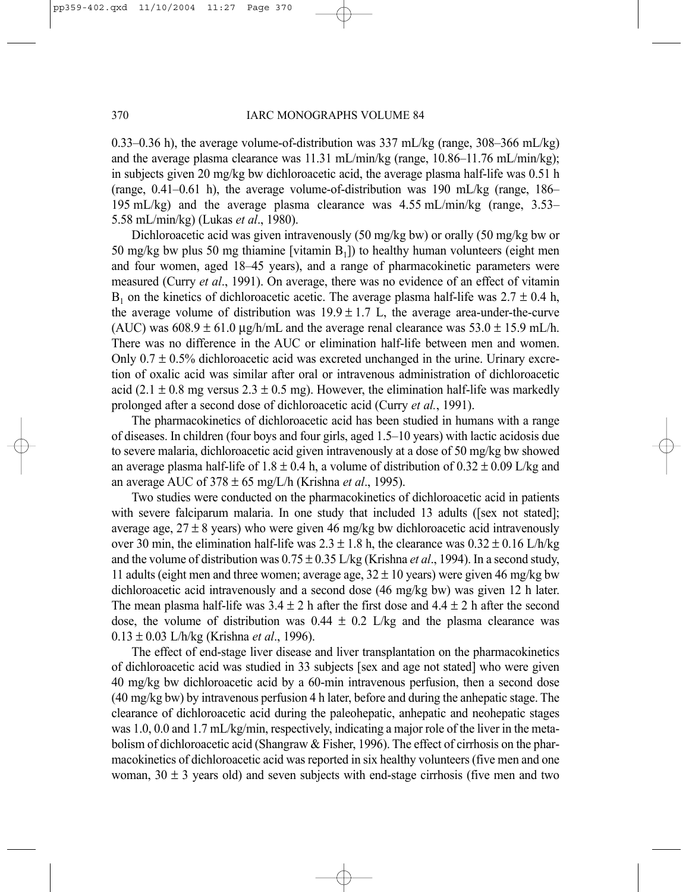0.33–0.36 h), the average volume-of-distribution was  $337 \text{ mL/kg}$  (range,  $308-366 \text{ mL/kg}$ ) and the average plasma clearance was 11.31 mL/min/kg (range, 10.86–11.76 mL/min/kg); in subjects given 20 mg/kg bw dichloroacetic acid, the average plasma half-life was 0.51 h (range,  $0.41-0.61$  h), the average volume-of-distribution was 190 mL/kg (range, 186– 195 mL/kg) and the average plasma clearance was 4.55 mL/min/kg (range, 3.53– 5.58 mL/min/kg) (Lukas *et al*., 1980).

Dichloroacetic acid was given intravenously (50 mg/kg bw) or orally (50 mg/kg bw or 50 mg/kg bw plus 50 mg thiamine [vitamin  $B_1$ ]) to healthy human volunteers (eight men and four women, aged 18–45 years), and a range of pharmacokinetic parameters were measured (Curry *et al*., 1991). On average, there was no evidence of an effect of vitamin  $B_1$  on the kinetics of dichloroacetic acetic. The average plasma half-life was  $2.7 \pm 0.4$  h, the average volume of distribution was  $19.9 \pm 1.7$  L, the average area-under-the-curve (AUC) was  $608.9 \pm 61.0$  ug/h/mL and the average renal clearance was  $53.0 \pm 15.9$  mL/h. There was no difference in the AUC or elimination half-life between men and women. Only  $0.7 \pm 0.5\%$  dichloroacetic acid was excreted unchanged in the urine. Urinary excretion of oxalic acid was similar after oral or intravenous administration of dichloroacetic acid (2.1  $\pm$  0.8 mg versus 2.3  $\pm$  0.5 mg). However, the elimination half-life was markedly prolonged after a second dose of dichloroacetic acid (Curry *et al.*, 1991).

The pharmacokinetics of dichloroacetic acid has been studied in humans with a range of diseases. In children (four boys and four girls, aged 1.5–10 years) with lactic acidosis due to severe malaria, dichloroacetic acid given intravenously at a dose of 50 mg/kg bw showed an average plasma half-life of 1.8  $\pm$  0.4 h, a volume of distribution of 0.32  $\pm$  0.09 L/kg and an average AUC of 378 ± 65 mg/L/h (Krishna *et al*., 1995).

Two studies were conducted on the pharmacokinetics of dichloroacetic acid in patients with severe falciparum malaria. In one study that included 13 adults ([sex not stated]; average age,  $27 \pm 8$  years) who were given 46 mg/kg bw dichloroacetic acid intravenously over 30 min, the elimination half-life was  $2.3 \pm 1.8$  h, the clearance was  $0.32 \pm 0.16$  L/h/kg and the volume of distribution was 0.75 ± 0.35 L/kg (Krishna *et al*., 1994). In a second study, 11 adults (eight men and three women; average age,  $32 \pm 10$  years) were given 46 mg/kg bw dichloroacetic acid intravenously and a second dose (46 mg/kg bw) was given 12 h later. The mean plasma half-life was  $3.4 \pm 2$  h after the first dose and  $4.4 \pm 2$  h after the second dose, the volume of distribution was  $0.44 \pm 0.2$  L/kg and the plasma clearance was 0.13 ± 0.03 L/h/kg (Krishna *et al*., 1996).

The effect of end-stage liver disease and liver transplantation on the pharmacokinetics of dichloroacetic acid was studied in 33 subjects [sex and age not stated] who were given 40 mg/kg bw dichloroacetic acid by a 60-min intravenous perfusion, then a second dose (40 mg/kg bw) by intravenous perfusion 4 h later, before and during the anhepatic stage. The clearance of dichloroacetic acid during the paleohepatic, anhepatic and neohepatic stages was 1.0, 0.0 and 1.7 mL/kg/min, respectively, indicating a major role of the liver in the metabolism of dichloroacetic acid (Shangraw  $&$  Fisher, 1996). The effect of cirrhosis on the pharmacokinetics of dichloroacetic acid was reported in six healthy volunteers (five men and one woman,  $30 \pm 3$  years old) and seven subjects with end-stage cirrhosis (five men and two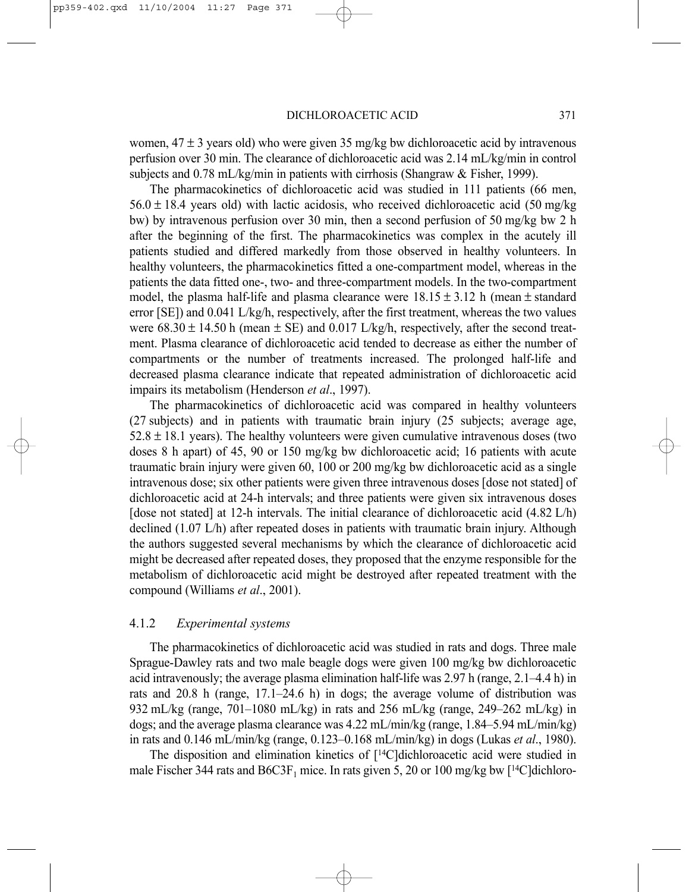women,  $47 \pm 3$  years old) who were given 35 mg/kg bw dichloroacetic acid by intravenous perfusion over 30 min. The clearance of dichloroacetic acid was 2.14 mL/kg/min in control subjects and 0.78 mL/kg/min in patients with cirrhosis (Shangraw & Fisher, 1999).

The pharmacokinetics of dichloroacetic acid was studied in 111 patients (66 men,  $56.0 \pm 18.4$  years old) with lactic acidosis, who received dichloroacetic acid (50 mg/kg) bw) by intravenous perfusion over 30 min, then a second perfusion of 50 mg/kg bw 2 h after the beginning of the first. The pharmacokinetics was complex in the acutely ill patients studied and differed markedly from those observed in healthy volunteers. In healthy volunteers, the pharmacokinetics fitted a one-compartment model, whereas in the patients the data fitted one-, two- and three-compartment models. In the two-compartment model, the plasma half-life and plasma clearance were  $18.15 \pm 3.12$  h (mean  $\pm$  standard error [SE]) and 0.041 L/kg/h, respectively, after the first treatment, whereas the two values were  $68.30 \pm 14.50$  h (mean  $\pm$  SE) and 0.017 L/kg/h, respectively, after the second treatment. Plasma clearance of dichloroacetic acid tended to decrease as either the number of compartments or the number of treatments increased. The prolonged half-life and decreased plasma clearance indicate that repeated administration of dichloroacetic acid impairs its metabolism (Henderson *et al*., 1997).

The pharmacokinetics of dichloroacetic acid was compared in healthy volunteers (27 subjects) and in patients with traumatic brain injury (25 subjects; average age,  $52.8 \pm 18.1$  years). The healthy volunteers were given cumulative intravenous doses (two doses 8 h apart) of 45, 90 or 150 mg/kg bw dichloroacetic acid; 16 patients with acute traumatic brain injury were given 60, 100 or 200 mg/kg bw dichloroacetic acid as a single intravenous dose; six other patients were given three intravenous doses [dose not stated] of dichloroacetic acid at 24-h intervals; and three patients were given six intravenous doses [dose not stated] at 12-h intervals. The initial clearance of dichloroacetic acid (4.82 L/h) declined (1.07 L/h) after repeated doses in patients with traumatic brain injury. Although the authors suggested several mechanisms by which the clearance of dichloroacetic acid might be decreased after repeated doses, they proposed that the enzyme responsible for the metabolism of dichloroacetic acid might be destroyed after repeated treatment with the compound (Williams *et al*., 2001).

### 4.1.2 *Experimental systems*

The pharmacokinetics of dichloroacetic acid was studied in rats and dogs. Three male Sprague-Dawley rats and two male beagle dogs were given 100 mg/kg bw dichloroacetic acid intravenously; the average plasma elimination half-life was 2.97 h (range, 2.1–4.4 h) in rats and 20.8 h (range, 17.1–24.6 h) in dogs; the average volume of distribution was 932 mL/kg (range, 701–1080 mL/kg) in rats and 256 mL/kg (range, 249–262 mL/kg) in dogs; and the average plasma clearance was 4.22 mL/min/kg (range, 1.84–5.94 mL/min/kg) in rats and 0.146 mL/min/kg (range, 0.123–0.168 mL/min/kg) in dogs (Lukas *et al*., 1980).

The disposition and elimination kinetics of [14C]dichloroacetic acid were studied in male Fischer 344 rats and  $B6C3F_1$  mice. In rats given 5, 20 or 100 mg/kg bw [<sup>14</sup>C]dichloro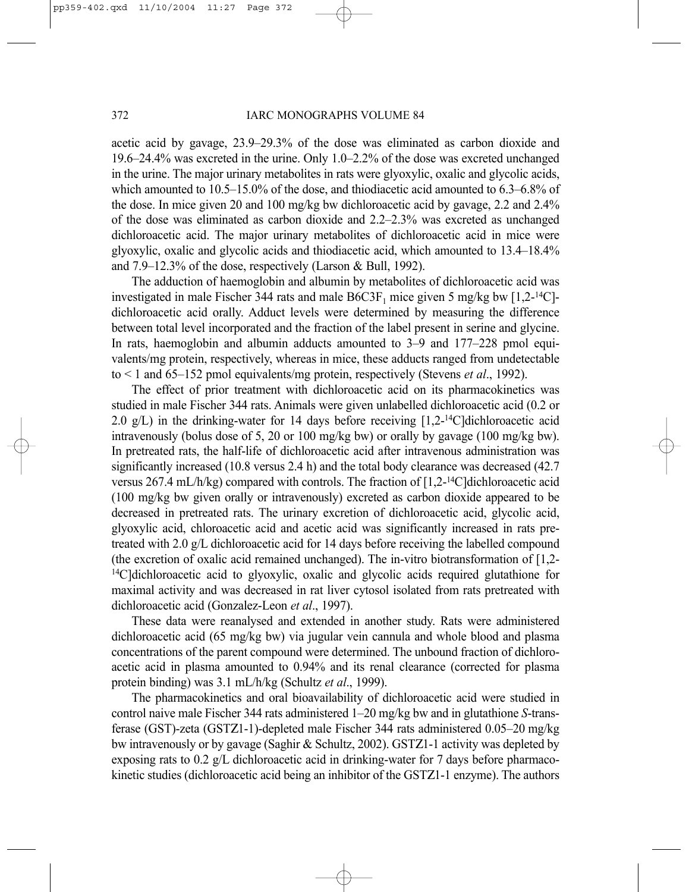acetic acid by gavage, 23.9–29.3% of the dose was eliminated as carbon dioxide and 19.6–24.4% was excreted in the urine. Only 1.0–2.2% of the dose was excreted unchanged in the urine. The major urinary metabolites in rats were glyoxylic, oxalic and glycolic acids, which amounted to 10.5–15.0% of the dose, and thiodiacetic acid amounted to 6.3–6.8% of the dose. In mice given 20 and 100 mg/kg bw dichloroacetic acid by gavage, 2.2 and 2.4% of the dose was eliminated as carbon dioxide and 2.2–2.3% was excreted as unchanged dichloroacetic acid. The major urinary metabolites of dichloroacetic acid in mice were glyoxylic, oxalic and glycolic acids and thiodiacetic acid, which amounted to 13.4–18.4% and 7.9–12.3% of the dose, respectively (Larson & Bull, 1992).

The adduction of haemoglobin and albumin by metabolites of dichloroacetic acid was investigated in male Fischer 344 rats and male  $B6C3F_1$  mice given 5 mg/kg bw [1,2-<sup>14</sup>C]dichloroacetic acid orally. Adduct levels were determined by measuring the difference between total level incorporated and the fraction of the label present in serine and glycine. In rats, haemoglobin and albumin adducts amounted to 3–9 and 177–228 pmol equivalents/mg protein, respectively, whereas in mice, these adducts ranged from undetectable to < 1 and 65–152 pmol equivalents/mg protein, respectively (Stevens *et al*., 1992).

The effect of prior treatment with dichloroacetic acid on its pharmacokinetics was studied in male Fischer 344 rats. Animals were given unlabelled dichloroacetic acid (0.2 or 2.0  $g/L$ ) in the drinking-water for 14 days before receiving [1,2-<sup>14</sup>C]dichloroacetic acid intravenously (bolus dose of 5, 20 or 100 mg/kg bw) or orally by gavage (100 mg/kg bw). In pretreated rats, the half-life of dichloroacetic acid after intravenous administration was significantly increased (10.8 versus 2.4 h) and the total body clearance was decreased (42.7 versus 267.4 mL/h/kg) compared with controls. The fraction of  $[1.2^{-14}$ C dichloroacetic acid (100 mg/kg bw given orally or intravenously) excreted as carbon dioxide appeared to be decreased in pretreated rats. The urinary excretion of dichloroacetic acid, glycolic acid, glyoxylic acid, chloroacetic acid and acetic acid was significantly increased in rats pretreated with 2.0 g/L dichloroacetic acid for 14 days before receiving the labelled compound (the excretion of oxalic acid remained unchanged). The in-vitro biotransformation of [1,2- <sup>14</sup>C]dichloroacetic acid to glyoxylic, oxalic and glycolic acids required glutathione for maximal activity and was decreased in rat liver cytosol isolated from rats pretreated with dichloroacetic acid (Gonzalez-Leon *et al*., 1997).

These data were reanalysed and extended in another study. Rats were administered dichloroacetic acid (65 mg/kg bw) via jugular vein cannula and whole blood and plasma concentrations of the parent compound were determined. The unbound fraction of dichloroacetic acid in plasma amounted to 0.94% and its renal clearance (corrected for plasma protein binding) was 3.1 mL/h/kg (Schultz *et al*., 1999).

The pharmacokinetics and oral bioavailability of dichloroacetic acid were studied in control naive male Fischer 344 rats administered 1–20 mg/kg bw and in glutathione *S*-transferase (GST)-zeta (GSTΖ1-1)-depleted male Fischer 344 rats administered 0.05–20 mg/kg bw intravenously or by gavage (Saghir & Schultz, 2002). GSTΖ1-1 activity was depleted by exposing rats to 0.2  $g/L$  dichloroacetic acid in drinking-water for 7 days before pharmacokinetic studies (dichloroacetic acid being an inhibitor of the GSTΖ1-1 enzyme). The authors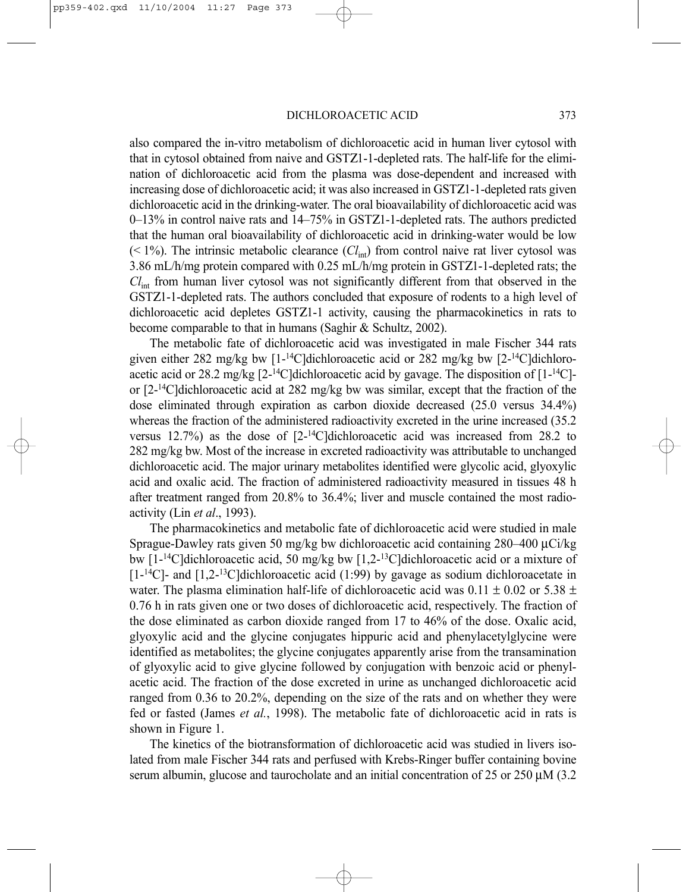also compared the in-vitro metabolism of dichloroacetic acid in human liver cytosol with that in cytosol obtained from naive and GSTΖ1-1-depleted rats. The half-life for the elimination of dichloroacetic acid from the plasma was dose-dependent and increased with increasing dose of dichloroacetic acid; it was also increased in GSTΖ1-1-depleted rats given dichloroacetic acid in the drinking-water. The oral bioavailability of dichloroacetic acid was 0–13% in control naive rats and 14–75% in GSTΖ1-1-depleted rats. The authors predicted that the human oral bioavailability of dichloroacetic acid in drinking-water would be low  $($  < 1%). The intrinsic metabolic clearance  $(Cl<sub>int</sub>)$  from control naive rat liver cytosol was 3.86 mL/h/mg protein compared with 0.25 mL/h/mg protein in GSTΖ1-1-depleted rats; the *Cl*int from human liver cytosol was not significantly different from that observed in the GSTΖ1-1-depleted rats. The authors concluded that exposure of rodents to a high level of dichloroacetic acid depletes GSTΖ1-1 activity, causing the pharmacokinetics in rats to become comparable to that in humans (Saghir & Schultz, 2002).

The metabolic fate of dichloroacetic acid was investigated in male Fischer 344 rats given either 282 mg/kg bw  $[1-14C]$ dichloroacetic acid or 282 mg/kg bw  $[2-14C]$ dichloroacetic acid or 28.2 mg/kg  $[2^{-14}C]$ dichloroacetic acid by gavage. The disposition of  $[1^{-14}C]$ or  $[2^{-14}C]$ dichloroacetic acid at 282 mg/kg bw was similar, except that the fraction of the dose eliminated through expiration as carbon dioxide decreased (25.0 versus 34.4%) whereas the fraction of the administered radioactivity excreted in the urine increased (35.2) versus  $12.7\%$ ) as the dose of  $[2^{-14}C]$ dichloroacetic acid was increased from 28.2 to 282 mg/kg bw. Most of the increase in excreted radioactivity was attributable to unchanged dichloroacetic acid. The major urinary metabolites identified were glycolic acid, glyoxylic acid and oxalic acid. The fraction of administered radioactivity measured in tissues 48 h after treatment ranged from 20.8% to 36.4%; liver and muscle contained the most radioactivity (Lin *et al*., 1993).

The pharmacokinetics and metabolic fate of dichloroacetic acid were studied in male Sprague-Dawley rats given 50 mg/kg bw dichloroacetic acid containing 280–400 µCi/kg bw [1-14C]dichloroacetic acid, 50 mg/kg bw [1,2-13C]dichloroacetic acid or a mixture of  $[1-14C]$ - and  $[1,2-13C]$ dichloroacetic acid (1:99) by gavage as sodium dichloroacetate in water. The plasma elimination half-life of dichloroacetic acid was  $0.11 \pm 0.02$  or  $5.38 \pm 0.02$ 0.76 h in rats given one or two doses of dichloroacetic acid, respectively. The fraction of the dose eliminated as carbon dioxide ranged from 17 to 46% of the dose. Oxalic acid, glyoxylic acid and the glycine conjugates hippuric acid and phenylacetylglycine were identified as metabolites; the glycine conjugates apparently arise from the transamination of glyoxylic acid to give glycine followed by conjugation with benzoic acid or phenylacetic acid. The fraction of the dose excreted in urine as unchanged dichloroacetic acid ranged from 0.36 to 20.2%, depending on the size of the rats and on whether they were fed or fasted (James *et al.*, 1998). The metabolic fate of dichloroacetic acid in rats is shown in Figure 1.

The kinetics of the biotransformation of dichloroacetic acid was studied in livers isolated from male Fischer 344 rats and perfused with Krebs-Ringer buffer containing bovine serum albumin, glucose and taurocholate and an initial concentration of 25 or 250 µM (3.2)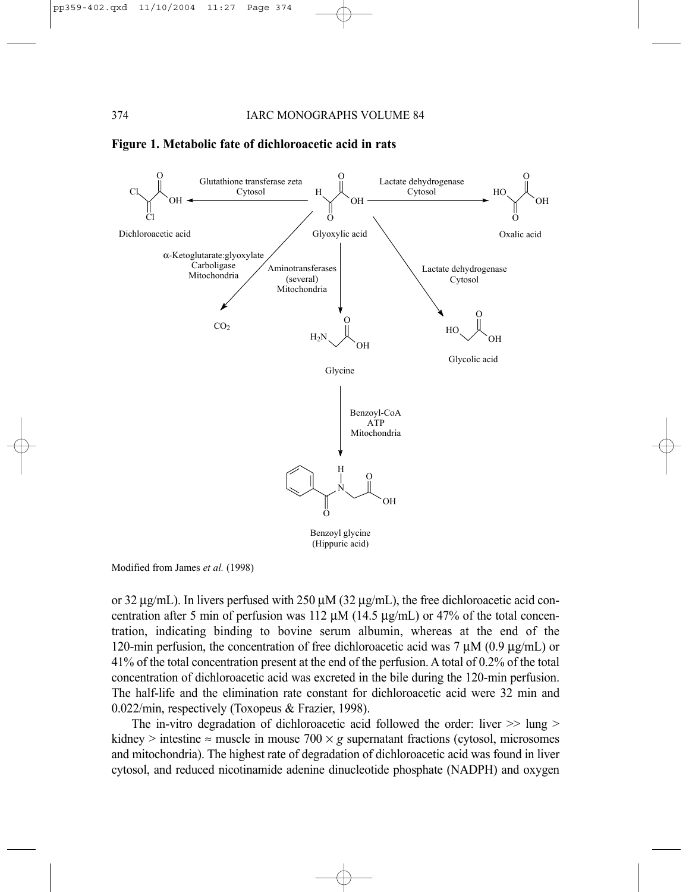



Modified from James *et al.* (1998)

or 32  $\mu$ g/mL). In livers perfused with 250  $\mu$ M (32  $\mu$ g/mL), the free dichloroacetic acid concentration after 5 min of perfusion was 112  $\mu$ M (14.5  $\mu$ g/mL) or 47% of the total concentration, indicating binding to bovine serum albumin, whereas at the end of the 120-min perfusion, the concentration of free dichloroacetic acid was 7  $\mu$ M (0.9  $\mu$ g/mL) or 41% of the total concentration present at the end of the perfusion. A total of 0.2% of the total concentration of dichloroacetic acid was excreted in the bile during the 120-min perfusion. The half-life and the elimination rate constant for dichloroacetic acid were 32 min and 0.022/min, respectively (Toxopeus & Frazier, 1998).

The in-vitro degradation of dichloroacetic acid followed the order: liver  $\gg$  lung  $\ge$ kidney > intestine  $\approx$  muscle in mouse 700  $\times$  *g* supernatant fractions (cytosol, microsomes and mitochondria). The highest rate of degradation of dichloroacetic acid was found in liver cytosol, and reduced nicotinamide adenine dinucleotide phosphate (NADPH) and oxygen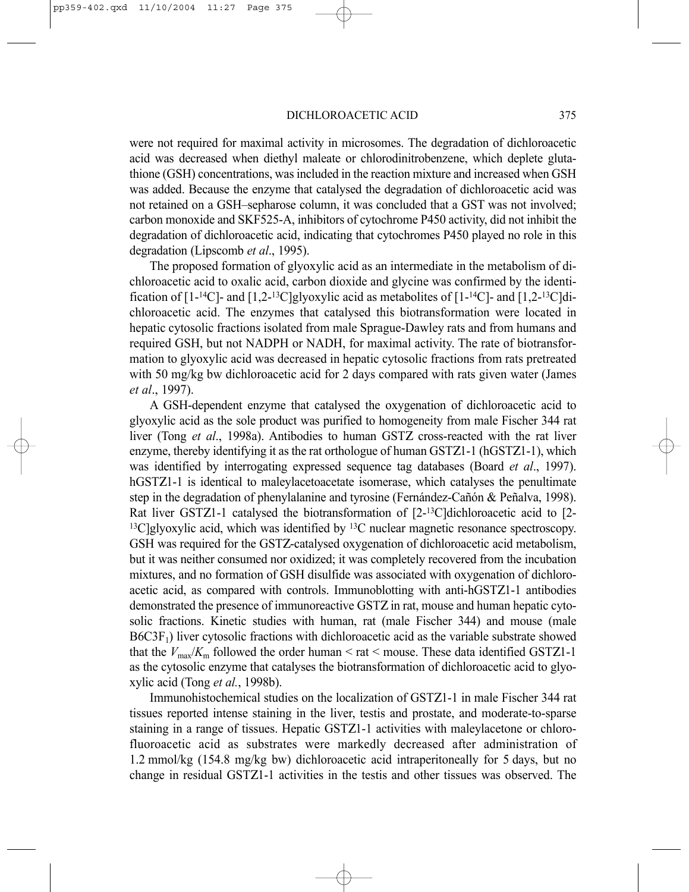were not required for maximal activity in microsomes. The degradation of dichloroacetic acid was decreased when diethyl maleate or chlorodinitrobenzene, which deplete glutathione (GSH) concentrations, was included in the reaction mixture and increased when GSH was added. Because the enzyme that catalysed the degradation of dichloroacetic acid was not retained on a GSH–sepharose column, it was concluded that a GST was not involved; carbon monoxide and SKF525-A, inhibitors of cytochrome P450 activity, did not inhibit the degradation of dichloroacetic acid, indicating that cytochromes P450 played no role in this degradation (Lipscomb *et al*., 1995).

The proposed formation of glyoxylic acid as an intermediate in the metabolism of dichloroacetic acid to oxalic acid, carbon dioxide and glycine was confirmed by the identification of  $[1 - {}^{14}C]$ - and  $[1, 2 - {}^{13}C]$ glyoxylic acid as metabolites of  $[1 - {}^{14}C]$ - and  $[1, 2 - {}^{13}C]$ dichloroacetic acid. The enzymes that catalysed this biotransformation were located in hepatic cytosolic fractions isolated from male Sprague-Dawley rats and from humans and required GSH, but not NADPH or NADH, for maximal activity. The rate of biotransformation to glyoxylic acid was decreased in hepatic cytosolic fractions from rats pretreated with 50 mg/kg bw dichloroacetic acid for 2 days compared with rats given water (James *et al*., 1997).

A GSH-dependent enzyme that catalysed the oxygenation of dichloroacetic acid to glyoxylic acid as the sole product was purified to homogeneity from male Fischer 344 rat liver (Tong *et al*., 1998a). Antibodies to human GSTΖ cross-reacted with the rat liver enzyme, thereby identifying it as the rat orthologue of human GSTΖ1-1 (hGSTΖ1-1), which was identified by interrogating expressed sequence tag databases (Board *et al*., 1997). hGSTZ1-1 is identical to maleylacetoacetate isomerase, which catalyses the penultimate step in the degradation of phenylalanine and tyrosine (Fernández-Cañón & Peñalva, 1998). Rat liver GSTΖ1-1 catalysed the biotransformation of [2-13C]dichloroacetic acid to [2-  $13C$  glyoxylic acid, which was identified by  $13C$  nuclear magnetic resonance spectroscopy. GSH was required for the GSTΖ-catalysed oxygenation of dichloroacetic acid metabolism, but it was neither consumed nor oxidized; it was completely recovered from the incubation mixtures, and no formation of GSH disulfide was associated with oxygenation of dichloroacetic acid, as compared with controls. Immunoblotting with anti-hGSTΖ1-1 antibodies demonstrated the presence of immunoreactive GSTΖ in rat, mouse and human hepatic cytosolic fractions. Kinetic studies with human, rat (male Fischer 344) and mouse (male  $B6C3F<sub>1</sub>$ ) liver cytosolic fractions with dichloroacetic acid as the variable substrate showed that the *V*<sub>max</sub>/*K*<sub>m</sub> followed the order human < rat < mouse. These data identified GSTZ1-1 as the cytosolic enzyme that catalyses the biotransformation of dichloroacetic acid to glyoxylic acid (Tong *et al.*, 1998b).

Immunohistochemical studies on the localization of GSTΖ1-1 in male Fischer 344 rat tissues reported intense staining in the liver, testis and prostate, and moderate-to-sparse staining in a range of tissues. Hepatic GSTΖ1-1 activities with maleylacetone or chlorofluoroacetic acid as substrates were markedly decreased after administration of 1.2 mmol/kg (154.8 mg/kg bw) dichloroacetic acid intraperitoneally for 5 days, but no change in residual GSTΖ1-1 activities in the testis and other tissues was observed. The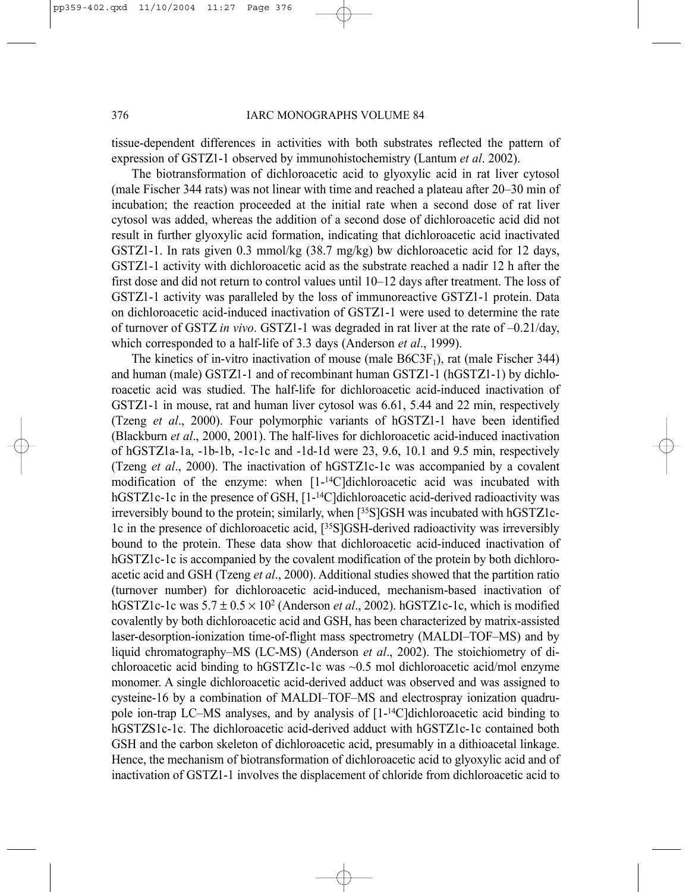tissue-dependent differences in activities with both substrates reflected the pattern of expression of GSTΖ1-1 observed by immunohistochemistry (Lantum *et al*. 2002).

The biotransformation of dichloroacetic acid to glyoxylic acid in rat liver cytosol (male Fischer 344 rats) was not linear with time and reached a plateau after 20–30 min of incubation; the reaction proceeded at the initial rate when a second dose of rat liver cytosol was added, whereas the addition of a second dose of dichloroacetic acid did not result in further glyoxylic acid formation, indicating that dichloroacetic acid inactivated GSTΖ1-1. In rats given 0.3 mmol/kg (38.7 mg/kg) bw dichloroacetic acid for 12 days, GSTΖ1-1 activity with dichloroacetic acid as the substrate reached a nadir 12 h after the first dose and did not return to control values until 10–12 days after treatment. The loss of GSTΖ1-1 activity was paralleled by the loss of immunoreactive GSTΖ1-1 protein. Data on dichloroacetic acid-induced inactivation of GSTΖ1-1 were used to determine the rate of turnover of GSTΖ *in vivo*. GSTΖ1-1 was degraded in rat liver at the rate of –0.21/day, which corresponded to a half-life of 3.3 days (Anderson *et al*., 1999).

The kinetics of in-vitro inactivation of mouse (male  $B6C3F_1$ ), rat (male Fischer 344) and human (male) GSTΖ1-1 and of recombinant human GSTΖ1-1 (hGSTΖ1-1) by dichloroacetic acid was studied. The half-life for dichloroacetic acid-induced inactivation of GSTZ1-1 in mouse, rat and human liver cytosol was 6.61, 5.44 and 22 min, respectively (Tzeng *et al*., 2000). Four polymorphic variants of hGSTΖ1-1 have been identified (Blackburn *et al*., 2000, 2001). The half-lives for dichloroacetic acid-induced inactivation of hGSTΖ1a-1a, -1b-1b, -1c-1c and -1d-1d were 23, 9.6, 10.1 and 9.5 min, respectively (Tzeng *et al*., 2000). The inactivation of hGSTΖ1c-1c was accompanied by a covalent modification of the enzyme: when [1-14C]dichloroacetic acid was incubated with hGSTZ1c-1c in the presence of GSH, [1-<sup>14</sup>C]dichloroacetic acid-derived radioactivity was irreversibly bound to the protein; similarly, when [35S]GSH was incubated with hGSTΖ1c-1c in the presence of dichloroacetic acid, [35S]GSH-derived radioactivity was irreversibly bound to the protein. These data show that dichloroacetic acid-induced inactivation of hGSTZ1c-1c is accompanied by the covalent modification of the protein by both dichloroacetic acid and GSH (Tzeng *et al*., 2000). Additional studies showed that the partition ratio (turnover number) for dichloroacetic acid-induced, mechanism-based inactivation of hGSTΖ1c-1c was 5.7 ± 0.5 × 102 (Anderson *et al*., 2002). hGSTΖ1c-1c, which is modified covalently by both dichloroacetic acid and GSH, has been characterized by matrix-assisted laser-desorption-ionization time-of-flight mass spectrometry (MALDI–TOF–MS) and by liquid chromatography–MS (LC-MS) (Anderson *et al*., 2002). The stoichiometry of dichloroacetic acid binding to hGSTΖ1c-1c was ~0.5 mol dichloroacetic acid/mol enzyme monomer. A single dichloroacetic acid-derived adduct was observed and was assigned to cysteine-16 by a combination of MALDI–TOF–MS and electrospray ionization quadrupole ion-trap LC–MS analyses, and by analysis of  $[1-14C]$ dichloroacetic acid binding to hGSTΖS1c-1c. The dichloroacetic acid-derived adduct with hGSTΖ1c-1c contained both GSH and the carbon skeleton of dichloroacetic acid, presumably in a dithioacetal linkage. Hence, the mechanism of biotransformation of dichloroacetic acid to glyoxylic acid and of inactivation of GSTΖ1-1 involves the displacement of chloride from dichloroacetic acid to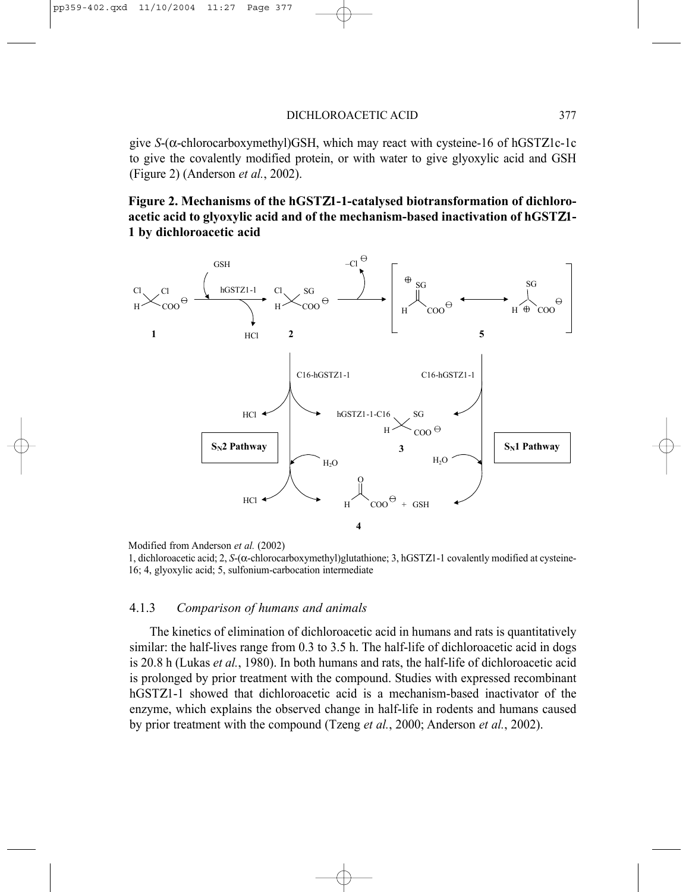give *S*-(α-chlorocarboxymethyl)GSH, which may react with cysteine-16 of hGSTΖ1c-1c to give the covalently modified protein, or with water to give glyoxylic acid and GSH (Figure 2) (Anderson *et al.*, 2002).

## **Figure 2. Mechanisms of the hGST**Ζ**1-1-catalysed biotransformation of dichloroacetic acid to glyoxylic acid and of the mechanism-based inactivation of hGST**Ζ**1- 1 by dichloroacetic acid**



```
Modified from Anderson et al. (2002)
```
### 4.1.3 *Comparison of humans and animals*

The kinetics of elimination of dichloroacetic acid in humans and rats is quantitatively similar: the half-lives range from 0.3 to 3.5 h. The half-life of dichloroacetic acid in dogs is 20.8 h (Lukas *et al.*, 1980). In both humans and rats, the half-life of dichloroacetic acid is prolonged by prior treatment with the compound. Studies with expressed recombinant hGSTΖ1-1 showed that dichloroacetic acid is a mechanism-based inactivator of the enzyme, which explains the observed change in half-life in rodents and humans caused by prior treatment with the compound (Tzeng *et al.*, 2000; Anderson *et al.*, 2002).

<sup>1,</sup> dichloroacetic acid; 2, *S*-(α-chlorocarboxymethyl)glutathione; 3, hGSTΖ1-1 covalently modified at cysteine-16; 4, glyoxylic acid; 5, sulfonium-carbocation intermediate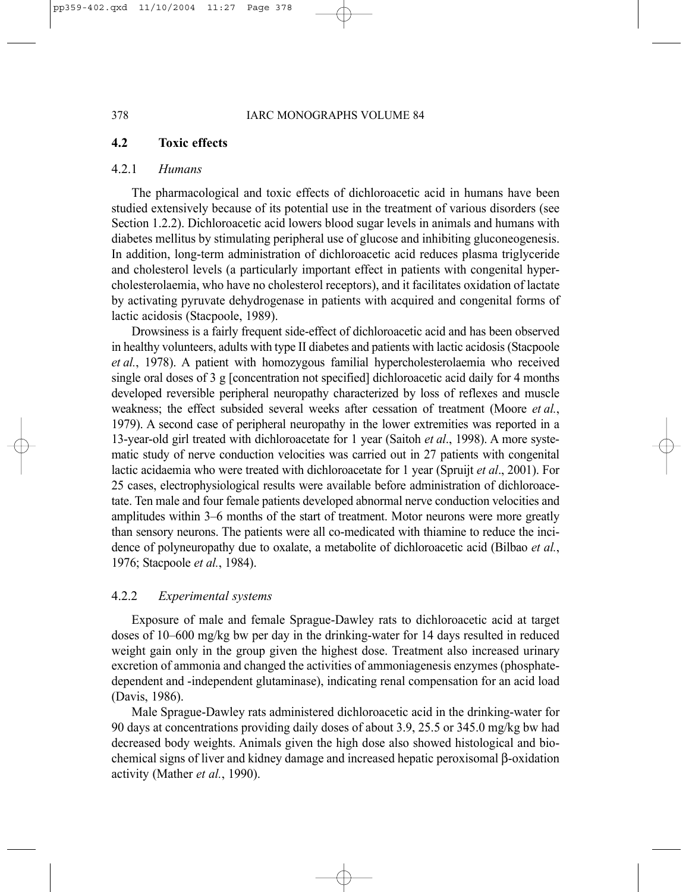## **4.2 Toxic effects**

### 4.2.1 *Humans*

The pharmacological and toxic effects of dichloroacetic acid in humans have been studied extensively because of its potential use in the treatment of various disorders (see Section 1.2.2). Dichloroacetic acid lowers blood sugar levels in animals and humans with diabetes mellitus by stimulating peripheral use of glucose and inhibiting gluconeogenesis. In addition, long-term administration of dichloroacetic acid reduces plasma triglyceride and cholesterol levels (a particularly important effect in patients with congenital hypercholesterolaemia, who have no cholesterol receptors), and it facilitates oxidation of lactate by activating pyruvate dehydrogenase in patients with acquired and congenital forms of lactic acidosis (Stacpoole, 1989).

Drowsiness is a fairly frequent side-effect of dichloroacetic acid and has been observed in healthy volunteers, adults with type II diabetes and patients with lactic acidosis (Stacpoole *et al.*, 1978). A patient with homozygous familial hypercholesterolaemia who received single oral doses of 3 g [concentration not specified] dichloroacetic acid daily for 4 months developed reversible peripheral neuropathy characterized by loss of reflexes and muscle weakness; the effect subsided several weeks after cessation of treatment (Moore *et al.*, 1979). A second case of peripheral neuropathy in the lower extremities was reported in a 13-year-old girl treated with dichloroacetate for 1 year (Saitoh *et al*., 1998). A more systematic study of nerve conduction velocities was carried out in 27 patients with congenital lactic acidaemia who were treated with dichloroacetate for 1 year (Spruijt *et al*., 2001). For 25 cases, electrophysiological results were available before administration of dichloroacetate. Ten male and four female patients developed abnormal nerve conduction velocities and amplitudes within 3–6 months of the start of treatment. Motor neurons were more greatly than sensory neurons. The patients were all co-medicated with thiamine to reduce the incidence of polyneuropathy due to oxalate, a metabolite of dichloroacetic acid (Bilbao *et al.*, 1976; Stacpoole *et al.*, 1984).

### 4.2.2 *Experimental systems*

Exposure of male and female Sprague-Dawley rats to dichloroacetic acid at target doses of 10–600 mg/kg bw per day in the drinking-water for 14 days resulted in reduced weight gain only in the group given the highest dose. Treatment also increased urinary excretion of ammonia and changed the activities of ammoniagenesis enzymes (phosphatedependent and -independent glutaminase), indicating renal compensation for an acid load (Davis, 1986).

Male Sprague-Dawley rats administered dichloroacetic acid in the drinking-water for 90 days at concentrations providing daily doses of about 3.9, 25.5 or 345.0 mg/kg bw had decreased body weights. Animals given the high dose also showed histological and biochemical signs of liver and kidney damage and increased hepatic peroxisomal β-oxidation activity (Mather *et al.*, 1990).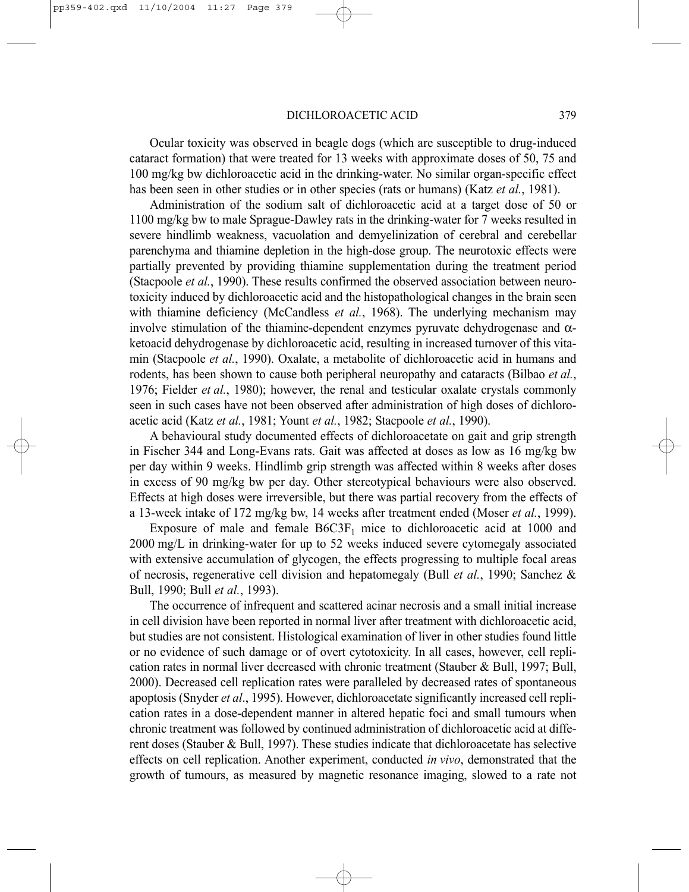#### DICHLOROACETIC ACID 379

Ocular toxicity was observed in beagle dogs (which are susceptible to drug-induced cataract formation) that were treated for 13 weeks with approximate doses of 50, 75 and 100 mg/kg bw dichloroacetic acid in the drinking-water. No similar organ-specific effect has been seen in other studies or in other species (rats or humans) (Katz *et al.*, 1981).

Administration of the sodium salt of dichloroacetic acid at a target dose of 50 or 1100 mg/kg bw to male Sprague-Dawley rats in the drinking-water for 7 weeks resulted in severe hindlimb weakness, vacuolation and demyelinization of cerebral and cerebellar parenchyma and thiamine depletion in the high-dose group. The neurotoxic effects were partially prevented by providing thiamine supplementation during the treatment period (Stacpoole *et al.*, 1990). These results confirmed the observed association between neurotoxicity induced by dichloroacetic acid and the histopathological changes in the brain seen with thiamine deficiency (McCandless *et al.*, 1968). The underlying mechanism may involve stimulation of the thiamine-dependent enzymes pyruvate dehydrogenase and  $\alpha$ ketoacid dehydrogenase by dichloroacetic acid, resulting in increased turnover of this vitamin (Stacpoole *et al.*, 1990). Oxalate, a metabolite of dichloroacetic acid in humans and rodents, has been shown to cause both peripheral neuropathy and cataracts (Bilbao *et al.*, 1976; Fielder *et al.*, 1980); however, the renal and testicular oxalate crystals commonly seen in such cases have not been observed after administration of high doses of dichloroacetic acid (Katz *et al.*, 1981; Yount *et al.*, 1982; Stacpoole *et al.*, 1990).

A behavioural study documented effects of dichloroacetate on gait and grip strength in Fischer 344 and Long-Evans rats. Gait was affected at doses as low as 16 mg/kg bw per day within 9 weeks. Hindlimb grip strength was affected within 8 weeks after doses in excess of 90 mg/kg bw per day. Other stereotypical behaviours were also observed. Effects at high doses were irreversible, but there was partial recovery from the effects of a 13-week intake of 172 mg/kg bw, 14 weeks after treatment ended (Moser *et al.*, 1999).

Exposure of male and female  $B6C3F_1$  mice to dichloroacetic acid at 1000 and 2000 mg/L in drinking-water for up to 52 weeks induced severe cytomegaly associated with extensive accumulation of glycogen, the effects progressing to multiple focal areas of necrosis, regenerative cell division and hepatomegaly (Bull *et al.*, 1990; Sanchez & Bull, 1990; Bull *et al.*, 1993).

The occurrence of infrequent and scattered acinar necrosis and a small initial increase in cell division have been reported in normal liver after treatment with dichloroacetic acid, but studies are not consistent. Histological examination of liver in other studies found little or no evidence of such damage or of overt cytotoxicity. In all cases, however, cell replication rates in normal liver decreased with chronic treatment (Stauber & Bull, 1997; Bull, 2000). Decreased cell replication rates were paralleled by decreased rates of spontaneous apoptosis (Snyder *et al*., 1995). However, dichloroacetate significantly increased cell replication rates in a dose-dependent manner in altered hepatic foci and small tumours when chronic treatment was followed by continued administration of dichloroacetic acid at different doses (Stauber & Bull, 1997). These studies indicate that dichloroacetate has selective effects on cell replication. Another experiment, conducted *in vivo*, demonstrated that the growth of tumours, as measured by magnetic resonance imaging, slowed to a rate not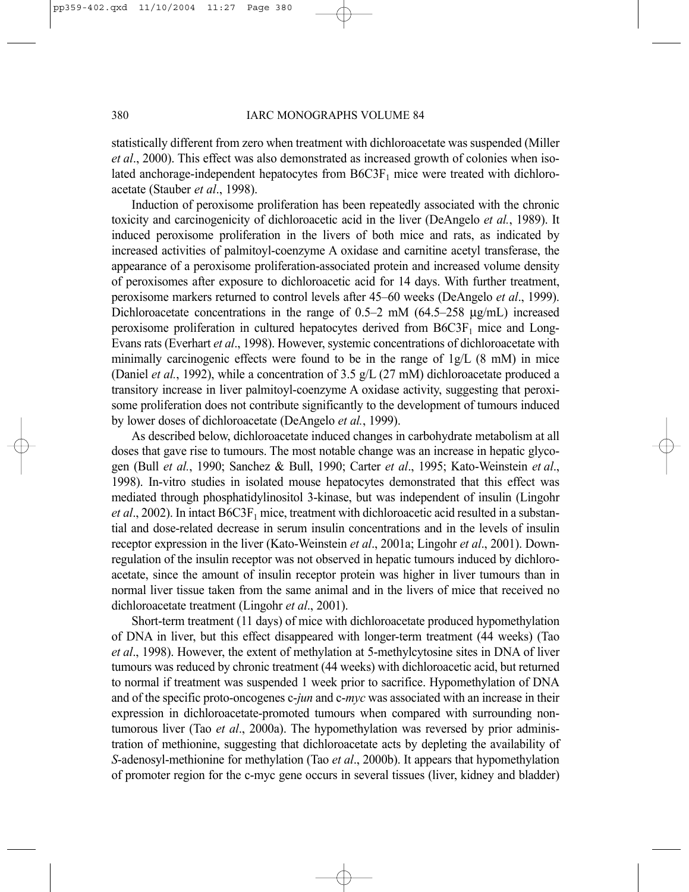statistically different from zero when treatment with dichloroacetate was suspended (Miller *et al*., 2000). This effect was also demonstrated as increased growth of colonies when isolated anchorage-independent hepatocytes from  $B6C3F<sub>1</sub>$  mice were treated with dichloroacetate (Stauber *et al*., 1998).

Induction of peroxisome proliferation has been repeatedly associated with the chronic toxicity and carcinogenicity of dichloroacetic acid in the liver (DeAngelo *et al.*, 1989). It induced peroxisome proliferation in the livers of both mice and rats, as indicated by increased activities of palmitoyl-coenzyme A oxidase and carnitine acetyl transferase, the appearance of a peroxisome proliferation-associated protein and increased volume density of peroxisomes after exposure to dichloroacetic acid for 14 days. With further treatment, peroxisome markers returned to control levels after 45–60 weeks (DeAngelo *et al*., 1999). Dichloroacetate concentrations in the range of 0.5–2 mM (64.5–258 µg/mL) increased peroxisome proliferation in cultured hepatocytes derived from  $B6C3F<sub>1</sub>$  mice and Long-Evans rats (Everhart *et al*., 1998). However, systemic concentrations of dichloroacetate with minimally carcinogenic effects were found to be in the range of  $1g/L$  (8 mM) in mice (Daniel *et al.*, 1992), while a concentration of 3.5 g/L (27 mM) dichloroacetate produced a transitory increase in liver palmitoyl-coenzyme A oxidase activity, suggesting that peroxisome proliferation does not contribute significantly to the development of tumours induced by lower doses of dichloroacetate (DeAngelo *et al.*, 1999).

As described below, dichloroacetate induced changes in carbohydrate metabolism at all doses that gave rise to tumours. The most notable change was an increase in hepatic glycogen (Bull *et al.*, 1990; Sanchez & Bull, 1990; Carter *et al*., 1995; Kato-Weinstein *et al*., 1998). In-vitro studies in isolated mouse hepatocytes demonstrated that this effect was mediated through phosphatidylinositol 3-kinase, but was independent of insulin (Lingohr *et al.*, 2002). In intact B6C3F<sub>1</sub> mice, treatment with dichloroacetic acid resulted in a substantial and dose-related decrease in serum insulin concentrations and in the levels of insulin receptor expression in the liver (Kato-Weinstein *et al*., 2001a; Lingohr *et al*., 2001). Downregulation of the insulin receptor was not observed in hepatic tumours induced by dichloroacetate, since the amount of insulin receptor protein was higher in liver tumours than in normal liver tissue taken from the same animal and in the livers of mice that received no dichloroacetate treatment (Lingohr *et al*., 2001).

Short-term treatment (11 days) of mice with dichloroacetate produced hypomethylation of DNA in liver, but this effect disappeared with longer-term treatment (44 weeks) (Tao *et al*., 1998). However, the extent of methylation at 5-methylcytosine sites in DNA of liver tumours was reduced by chronic treatment (44 weeks) with dichloroacetic acid, but returned to normal if treatment was suspended 1 week prior to sacrifice. Hypomethylation of DNA and of the specific proto-oncogenes c-*jun* and c-*myc* was associated with an increase in their expression in dichloroacetate-promoted tumours when compared with surrounding nontumorous liver (Tao *et al*., 2000a). The hypomethylation was reversed by prior administration of methionine, suggesting that dichloroacetate acts by depleting the availability of *S*-adenosyl-methionine for methylation (Tao *et al*., 2000b). It appears that hypomethylation of promoter region for the c-myc gene occurs in several tissues (liver, kidney and bladder)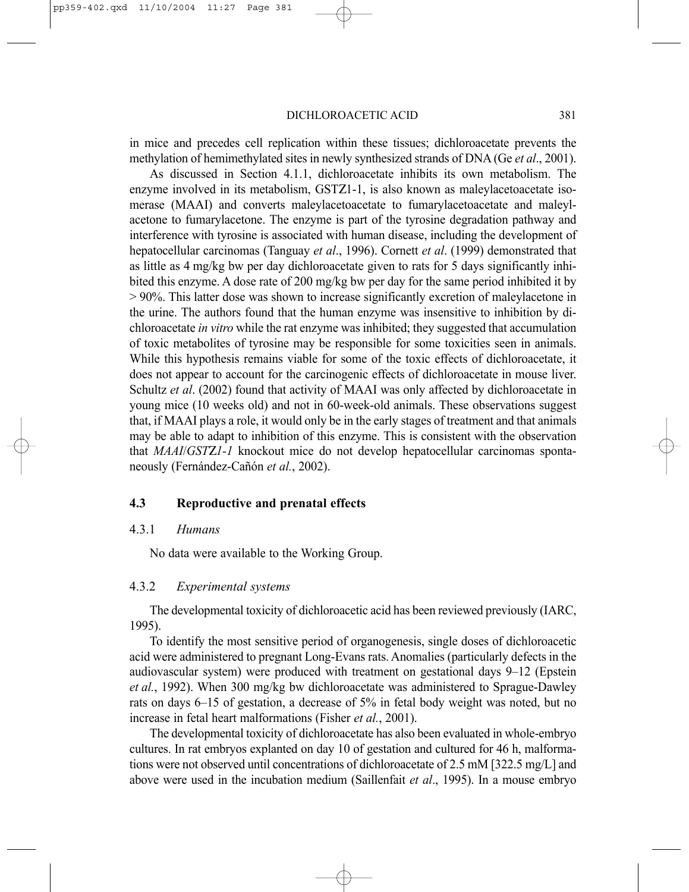DICHLOROACETIC ACID 381

in mice and precedes cell replication within these tissues; dichloroacetate prevents the methylation of hemimethylated sites in newly synthesized strands of DNA (Ge *et al*., 2001).

As discussed in Section 4.1.1, dichloroacetate inhibits its own metabolism. The enzyme involved in its metabolism, GSTΖ1-1, is also known as maleylacetoacetate isomerase (MAAI) and converts maleylacetoacetate to fumarylacetoacetate and maleylacetone to fumarylacetone. The enzyme is part of the tyrosine degradation pathway and interference with tyrosine is associated with human disease, including the development of hepatocellular carcinomas (Tanguay *et al*., 1996). Cornett *et al*. (1999) demonstrated that as little as 4 mg/kg bw per day dichloroacetate given to rats for 5 days significantly inhibited this enzyme. A dose rate of 200 mg/kg bw per day for the same period inhibited it by > 90%. This latter dose was shown to increase significantly excretion of maleylacetone in the urine. The authors found that the human enzyme was insensitive to inhibition by dichloroacetate *in vitro* while the rat enzyme was inhibited; they suggested that accumulation of toxic metabolites of tyrosine may be responsible for some toxicities seen in animals. While this hypothesis remains viable for some of the toxic effects of dichloroacetate, it does not appear to account for the carcinogenic effects of dichloroacetate in mouse liver. Schultz *et al*. (2002) found that activity of MAAI was only affected by dichloroacetate in young mice (10 weeks old) and not in 60-week-old animals. These observations suggest that, if MAAI plays a role, it would only be in the early stages of treatment and that animals may be able to adapt to inhibition of this enzyme. This is consistent with the observation that *MAAI*/*GST*Ζ*1-1* knockout mice do not develop hepatocellular carcinomas spontaneously (Fernández-Cañón *et al.*, 2002).

### **4.3 Reproductive and prenatal effects**

### 4.3.1 *Humans*

No data were available to the Working Group.

### 4.3.2 *Experimental systems*

The developmental toxicity of dichloroacetic acid has been reviewed previously (IARC, 1995).

To identify the most sensitive period of organogenesis, single doses of dichloroacetic acid were administered to pregnant Long-Evans rats. Anomalies (particularly defects in the audiovascular system) were produced with treatment on gestational days 9–12 (Epstein *et al.*, 1992). When 300 mg/kg bw dichloroacetate was administered to Sprague-Dawley rats on days 6–15 of gestation, a decrease of 5% in fetal body weight was noted, but no increase in fetal heart malformations (Fisher *et al.*, 2001).

The developmental toxicity of dichloroacetate has also been evaluated in whole-embryo cultures. In rat embryos explanted on day 10 of gestation and cultured for 46 h, malformations were not observed until concentrations of dichloroacetate of 2.5 mM [322.5 mg/L] and above were used in the incubation medium (Saillenfait *et al*., 1995). In a mouse embryo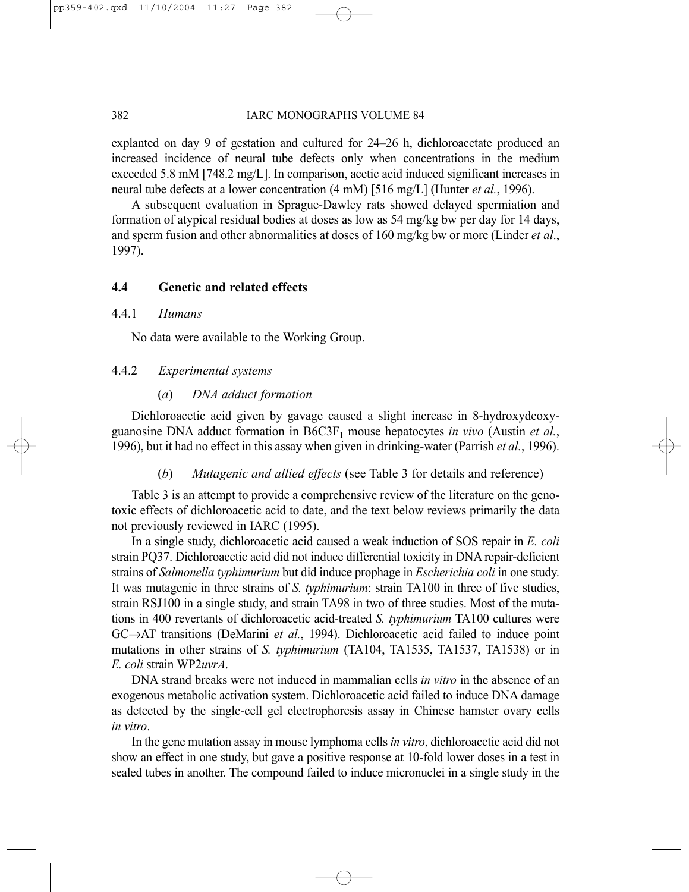explanted on day 9 of gestation and cultured for 24–26 h, dichloroacetate produced an increased incidence of neural tube defects only when concentrations in the medium exceeded 5.8 mM [748.2 mg/L]. In comparison, acetic acid induced significant increases in neural tube defects at a lower concentration (4 mM) [516 mg/L] (Hunter *et al.*, 1996).

A subsequent evaluation in Sprague-Dawley rats showed delayed spermiation and formation of atypical residual bodies at doses as low as 54 mg/kg bw per day for 14 days, and sperm fusion and other abnormalities at doses of 160 mg/kg bw or more (Linder *et al*., 1997).

### **4.4 Genetic and related effects**

### 4.4.1 *Humans*

No data were available to the Working Group.

### 4.4.2 *Experimental systems*

### (*a*) *DNA adduct formation*

Dichloroacetic acid given by gavage caused a slight increase in 8-hydroxydeoxyguanosine DNA adduct formation in  $B6C3F_1$  mouse hepatocytes *in vivo* (Austin *et al.*, 1996), but it had no effect in this assay when given in drinking-water (Parrish *et al.*, 1996).

### (*b*) *Mutagenic and allied effects* (see Table 3 for details and reference)

Table 3 is an attempt to provide a comprehensive review of the literature on the genotoxic effects of dichloroacetic acid to date, and the text below reviews primarily the data not previously reviewed in IARC (1995).

In a single study, dichloroacetic acid caused a weak induction of SOS repair in *E. coli* strain PQ37. Dichloroacetic acid did not induce differential toxicity in DNA repair-deficient strains of *Salmonella typhimurium* but did induce prophage in *Escherichia coli* in one study. It was mutagenic in three strains of *S. typhimurium*: strain TA100 in three of five studies, strain RSJ100 in a single study, and strain TA98 in two of three studies. Most of the mutations in 400 revertants of dichloroacetic acid-treated *S. typhimurium* TA100 cultures were GC→AT transitions (DeMarini *et al.*, 1994). Dichloroacetic acid failed to induce point mutations in other strains of *S. typhimurium* (TA104, TA1535, TA1537, TA1538) or in *E. coli* strain WP2*uvrA*.

DNA strand breaks were not induced in mammalian cells *in vitro* in the absence of an exogenous metabolic activation system. Dichloroacetic acid failed to induce DNA damage as detected by the single-cell gel electrophoresis assay in Chinese hamster ovary cells *in vitro*.

In the gene mutation assay in mouse lymphoma cells *in vitro*, dichloroacetic acid did not show an effect in one study, but gave a positive response at 10-fold lower doses in a test in sealed tubes in another. The compound failed to induce micronuclei in a single study in the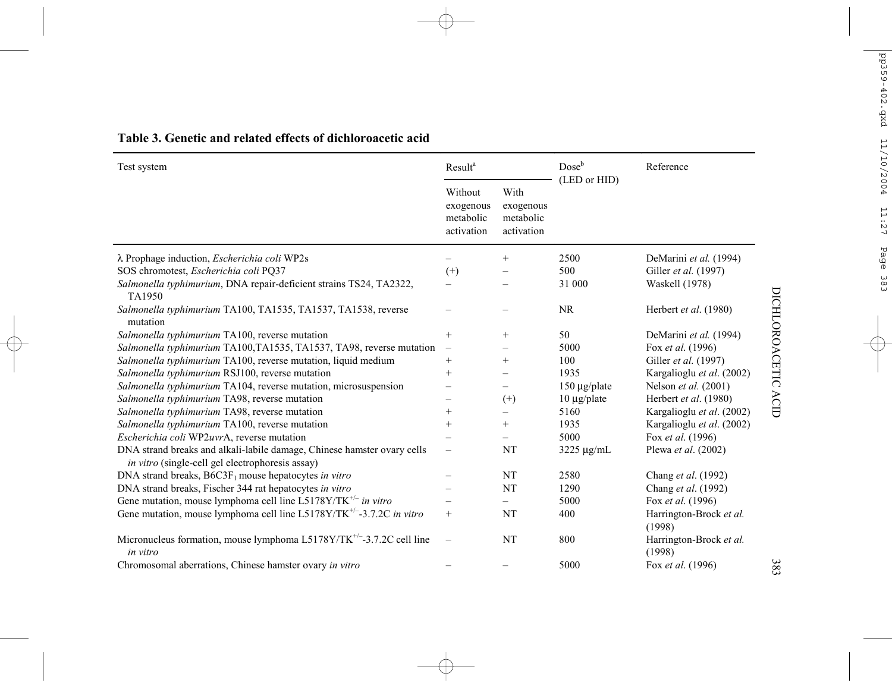| Test system                                                                                                                        | <b>Result</b> <sup>a</sup>                      |                                              | $Dose^b$<br>(LED or HID) | Reference                         |  |
|------------------------------------------------------------------------------------------------------------------------------------|-------------------------------------------------|----------------------------------------------|--------------------------|-----------------------------------|--|
|                                                                                                                                    | Without<br>exogenous<br>metabolic<br>activation | With<br>exogenous<br>metabolic<br>activation |                          |                                   |  |
| λ Prophage induction, Escherichia coli WP2s                                                                                        |                                                 | $^{+}$                                       | 2500                     | DeMarini et al. (1994)            |  |
| SOS chromotest, Escherichia coli PQ37                                                                                              | $^{(+)}$                                        |                                              | 500                      | Giller et al. (1997)              |  |
| Salmonella typhimurium, DNA repair-deficient strains TS24, TA2322,<br>TA1950                                                       |                                                 |                                              | 31 000                   | Waskell (1978)                    |  |
| Salmonella typhimurium TA100, TA1535, TA1537, TA1538, reverse<br>mutation                                                          |                                                 |                                              | <b>NR</b>                | Herbert et al. (1980)             |  |
| Salmonella typhimurium TA100, reverse mutation                                                                                     | $^{+}$                                          | $+$                                          | 50                       | DeMarini et al. (1994)            |  |
| Salmonella typhimurium TA100,TA1535, TA1537, TA98, reverse mutation                                                                | $\qquad \qquad -$                               |                                              | 5000                     | Fox et al. (1996)                 |  |
| Salmonella typhimurium TA100, reverse mutation, liquid medium                                                                      | $^{+}$                                          | $^{+}$                                       | 100                      | Giller et al. (1997)              |  |
| Salmonella typhimurium RSJ100, reverse mutation                                                                                    | $+$                                             |                                              | 1935                     | Kargalioglu et al. (2002)         |  |
| Salmonella typhimurium TA104, reverse mutation, microsuspension                                                                    |                                                 |                                              | $150 \mu g$ plate        | Nelson et al. (2001)              |  |
| Salmonella typhimurium TA98, reverse mutation                                                                                      |                                                 | $^{(+)}$                                     | $10 \mu g$ /plate        | Herbert et al. (1980)             |  |
| Salmonella typhimurium TA98, reverse mutation                                                                                      | $^{+}$                                          | $\overline{\phantom{0}}$                     | 5160                     | Kargalioglu et al. (2002)         |  |
| Salmonella typhimurium TA100, reverse mutation                                                                                     | $+$                                             | $+$                                          | 1935                     | Kargalioglu et al. (2002)         |  |
| Escherichia coli WP2uvrA, reverse mutation                                                                                         |                                                 |                                              | 5000                     | Fox et al. (1996)                 |  |
| DNA strand breaks and alkali-labile damage, Chinese hamster ovary cells<br><i>in vitro</i> (single-cell gel electrophoresis assay) |                                                 | NT                                           | $3225 \mu g/mL$          | Plewa et al. (2002)               |  |
| DNA strand breaks, $B6C3F_1$ mouse hepatocytes in vitro                                                                            |                                                 | NT                                           | 2580                     | Chang et al. (1992)               |  |
| DNA strand breaks, Fischer 344 rat hepatocytes in vitro                                                                            |                                                 | NT                                           | 1290                     | Chang et al. (1992)               |  |
| Gene mutation, mouse lymphoma cell line L5178Y/TK <sup>+/-</sup> in vitro                                                          |                                                 | $\overline{\phantom{0}}$                     | 5000                     | Fox et al. (1996)                 |  |
| Gene mutation, mouse lymphoma cell line L5178Y/TK <sup>+/-</sup> -3.7.2C in vitro                                                  | $^{+}$                                          | NT                                           | 400                      | Harrington-Brock et al.<br>(1998) |  |
| Micronucleus formation, mouse lymphoma $L5178Y/TK^{+/-}3.7.2C$ cell line<br>in vitro                                               |                                                 | NT                                           | 800                      | Harrington-Brock et al.<br>(1998) |  |
| Chromosomal aberrations. Chinese hamster ovary in vitro                                                                            |                                                 |                                              | 5000                     | Fox et al. (1996)                 |  |

#### **Table 3. Genetic and related effects of dichloroacetic acid**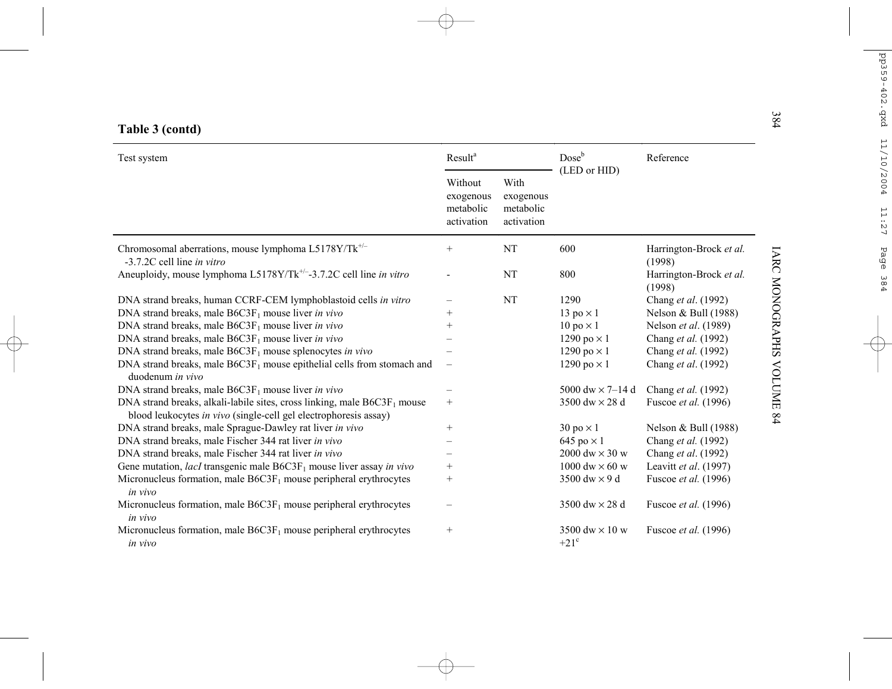|  | Table 3 (contd) |
|--|-----------------|
|  |                 |

| 384<br>Table 3 (contd)                                                                                                                          |                                                 |                                              |                                        |                                   |  |
|-------------------------------------------------------------------------------------------------------------------------------------------------|-------------------------------------------------|----------------------------------------------|----------------------------------------|-----------------------------------|--|
| Test system                                                                                                                                     | Result <sup>a</sup>                             |                                              | Dose <sup>b</sup><br>(LED or HID)      | Reference                         |  |
|                                                                                                                                                 | Without<br>exogenous<br>metabolic<br>activation | With<br>exogenous<br>metabolic<br>activation |                                        |                                   |  |
| Chromosomal aberrations, mouse lymphoma L5178Y/Tk <sup>+/-</sup><br>-3.7.2C cell line in vitro                                                  | $^{+}$                                          | <b>NT</b>                                    | 600                                    | Harrington-Brock et al.<br>(1998) |  |
| Aneuploidy, mouse lymphoma L5178Y/Tk <sup>+/-</sup> -3.7.2C cell line in vitro                                                                  |                                                 | NT                                           | 800                                    | Harrington-Brock et al.<br>(1998) |  |
| DNA strand breaks, human CCRF-CEM lymphoblastoid cells in vitro                                                                                 |                                                 | <b>NT</b>                                    | 1290                                   | Chang et al. (1992)               |  |
| DNA strand breaks, male $B6C3F_1$ mouse liver in vivo                                                                                           | $+$                                             |                                              | 13 po $\times$ 1                       | Nelson & Bull (1988)              |  |
| DNA strand breaks, male $B6C3F_1$ mouse liver in vivo                                                                                           | $^{+}$                                          |                                              | $10 \text{ po} \times 1$               | Nelson et al. (1989)              |  |
| DNA strand breaks, male $B6C3F_1$ mouse liver in vivo                                                                                           |                                                 |                                              | 1290 po $\times$ 1                     | Chang et al. (1992)               |  |
| DNA strand breaks, male $B6C3F_1$ mouse splenocytes in vivo                                                                                     |                                                 |                                              | 1290 po $\times$ 1                     | Chang et al. (1992)               |  |
| DNA strand breaks, male $B6C3F_1$ mouse epithelial cells from stomach and<br>duodenum in vivo                                                   |                                                 |                                              | 1290 po $\times$ 1                     | Chang et al. (1992)               |  |
| DNA strand breaks, male $B6C3F_1$ mouse liver in vivo                                                                                           |                                                 |                                              | 5000 dw $\times$ 7–14 d                | Chang et al. (1992)               |  |
| DNA strand breaks, alkali-labile sites, cross linking, male $B6C3F_1$ mouse<br>blood leukocytes in vivo (single-cell gel electrophoresis assay) | $^{+}$                                          |                                              | 3500 dw $\times$ 28 d                  | Fuscoe et al. (1996)              |  |
| DNA strand breaks, male Sprague-Dawley rat liver in vivo                                                                                        | $^{+}$                                          |                                              | $30 \text{ po} \times 1$               | Nelson & Bull (1988)              |  |
| DNA strand breaks, male Fischer 344 rat liver in vivo                                                                                           |                                                 |                                              | $645 \text{ po} \times 1$              | Chang et al. (1992)               |  |
| DNA strand breaks, male Fischer 344 rat liver in vivo                                                                                           |                                                 |                                              | 2000 dw $\times$ 30 w                  | Chang et al. (1992)               |  |
| Gene mutation, <i>lacI</i> transgenic male $B6C3F_1$ mouse liver assay in vivo                                                                  | $^{+}$                                          |                                              | 1000 dw $\times$ 60 w                  | Leavitt et al. (1997)             |  |
| Micronucleus formation, male $B6C3F_1$ mouse peripheral erythrocytes<br>in vivo                                                                 | $^+$                                            |                                              | 3500 dw $\times$ 9 d                   | Fuscoe et al. (1996)              |  |
| Micronucleus formation, male $B6C3F_1$ mouse peripheral erythrocytes<br>in vivo                                                                 |                                                 |                                              | 3500 dw $\times$ 28 d                  | Fuscoe et al. (1996)              |  |
| Micronucleus formation, male $B6C3F_1$ mouse peripheral erythrocytes<br>in vivo                                                                 | $^{+}$                                          |                                              | 3500 dw $\times$ 10 w<br>$+21^{\circ}$ | Fuscoe et al. (1996)              |  |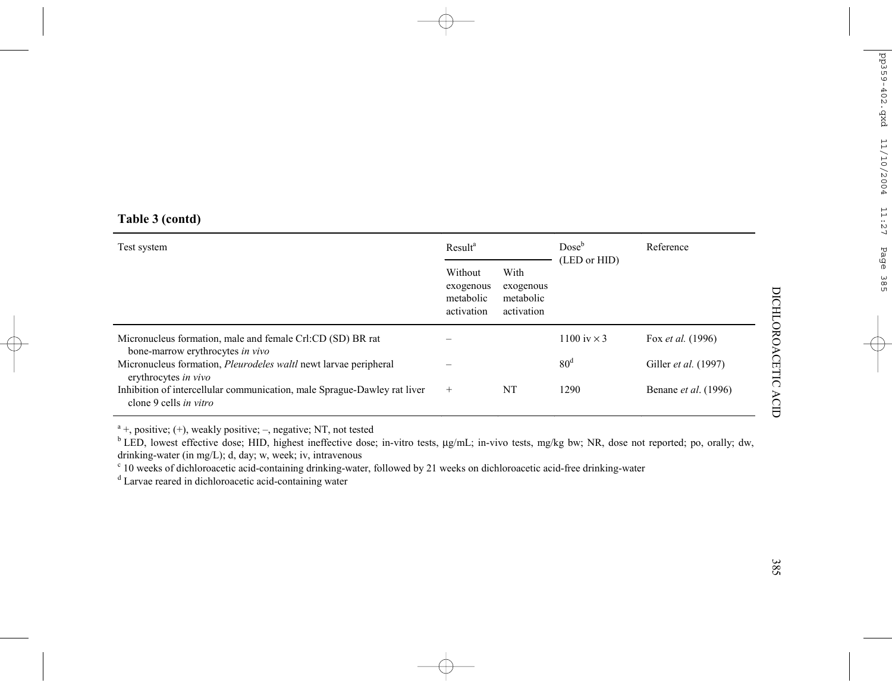## **Table 3 (contd)**

| Test system                                                                                        | Result <sup>a</sup>                             |                                              | $Dose^b$<br>(LED or HID) | Reference                   |
|----------------------------------------------------------------------------------------------------|-------------------------------------------------|----------------------------------------------|--------------------------|-----------------------------|
|                                                                                                    | Without<br>exogenous<br>metabolic<br>activation | With<br>exogenous<br>metabolic<br>activation |                          |                             |
| Micronucleus formation, male and female Crl:CD (SD) BR rat<br>bone-marrow erythrocytes in vivo     |                                                 |                                              | 1100 iv $\times$ 3       | Fox <i>et al.</i> (1996)    |
| Micronucleus formation, <i>Pleurodeles waltl</i> newt larvae peripheral<br>erythrocytes in vivo    |                                                 |                                              | 80 <sup>d</sup>          | Giller <i>et al.</i> (1997) |
| Inhibition of intercellular communication, male Sprague-Dawley rat liver<br>clone 9 cells in vitro | $^{+}$                                          | NT                                           | 1290                     | Benane <i>et al.</i> (1996) |

 $a<sup>a</sup>$  +, positive; (+), weakly positive; –, negative; NT, not tested

<sup>b</sup> LED, lowest effective dose; HID, highest ineffective dose; in-vitro tests, µg/mL; in-vivo tests, mg/kg bw; NR, dose not reported; po, orally; dw, drinking-water (in mg/L); d, day; w, week; iv, intravenous

 $\cdot$  10 weeks of dichloroacetic acid-containing drinking-water, followed by 21 weeks on dichloroacetic acid-free drinking-water

<sup>d</sup> Larvae reared in dichloroacetic acid-containing water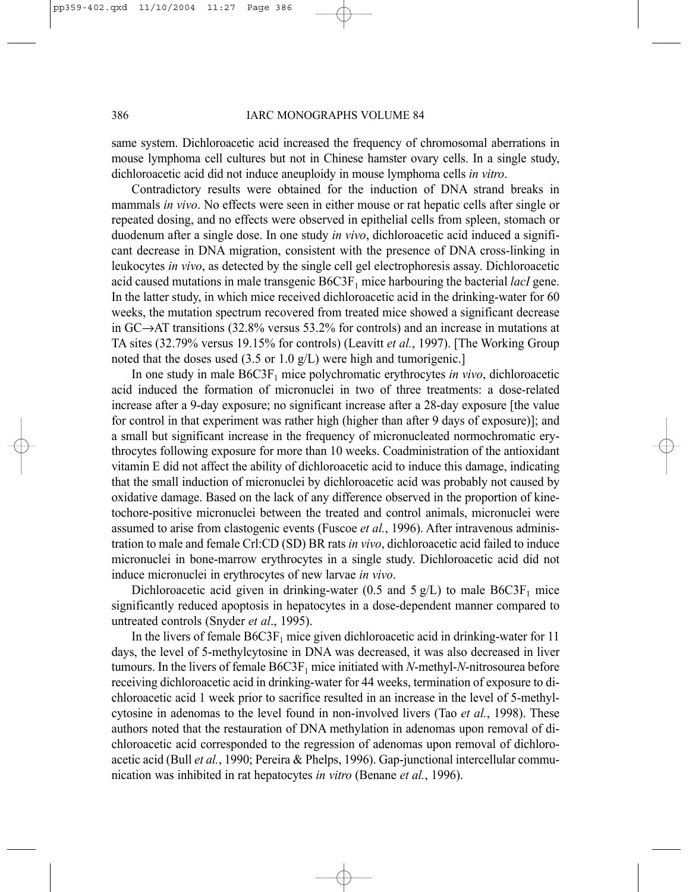#### 386 IARC MONOGRAPHS VOLUME 84

same system. Dichloroacetic acid increased the frequency of chromosomal aberrations in mouse lymphoma cell cultures but not in Chinese hamster ovary cells. In a single study, dichloroacetic acid did not induce aneuploidy in mouse lymphoma cells *in vitro*.

Contradictory results were obtained for the induction of DNA strand breaks in mammals *in vivo*. No effects were seen in either mouse or rat hepatic cells after single or repeated dosing, and no effects were observed in epithelial cells from spleen, stomach or duodenum after a single dose. In one study *in vivo*, dichloroacetic acid induced a significant decrease in DNA migration, consistent with the presence of DNA cross-linking in leukocytes *in vivo*, as detected by the single cell gel electrophoresis assay. Dichloroacetic acid caused mutations in male transgenic  $B6C3F<sub>1</sub>$  mice harbouring the bacterial *lacI* gene. In the latter study, in which mice received dichloroacetic acid in the drinking-water for 60 weeks, the mutation spectrum recovered from treated mice showed a significant decrease in GC→AT transitions (32.8% versus 53.2% for controls) and an increase in mutations at TA sites (32.79% versus 19.15% for controls) (Leavitt *et al.*, 1997). [The Working Group noted that the doses used (3.5 or 1.0 g/L) were high and tumorigenic.]

In one study in male B6C3F<sub>1</sub> mice polychromatic erythrocytes *in vivo*, dichloroacetic acid induced the formation of micronuclei in two of three treatments: a dose-related increase after a 9-day exposure; no significant increase after a 28-day exposure [the value for control in that experiment was rather high (higher than after 9 days of exposure)]; and a small but significant increase in the frequency of micronucleated normochromatic erythrocytes following exposure for more than 10 weeks. Coadministration of the antioxidant vitamin E did not affect the ability of dichloroacetic acid to induce this damage, indicating that the small induction of micronuclei by dichloroacetic acid was probably not caused by oxidative damage. Based on the lack of any difference observed in the proportion of kinetochore-positive micronuclei between the treated and control animals, micronuclei were assumed to arise from clastogenic events (Fuscoe *et al.*, 1996). After intravenous administration to male and female Crl:CD (SD) BR rats *in vivo*, dichloroacetic acid failed to induce micronuclei in bone-marrow erythrocytes in a single study. Dichloroacetic acid did not induce micronuclei in erythrocytes of new larvae *in vivo*.

Dichloroacetic acid given in drinking-water (0.5 and 5  $g/L$ ) to male B6C3F<sub>1</sub> mice significantly reduced apoptosis in hepatocytes in a dose-dependent manner compared to untreated controls (Snyder *et al*., 1995).

In the livers of female  $B6C3F_1$  mice given dichloroacetic acid in drinking-water for 11 days, the level of 5-methylcytosine in DNA was decreased, it was also decreased in liver tumours. In the livers of female B6C3F<sub>1</sub> mice initiated with *N*-methyl-*N*-nitrosourea before receiving dichloroacetic acid in drinking-water for 44 weeks, termination of exposure to dichloroacetic acid 1 week prior to sacrifice resulted in an increase in the level of 5-methylcytosine in adenomas to the level found in non-involved livers (Tao *et al.*, 1998). These authors noted that the restauration of DNA methylation in adenomas upon removal of dichloroacetic acid corresponded to the regression of adenomas upon removal of dichloroacetic acid (Bull *et al.*, 1990; Pereira & Phelps, 1996). Gap-junctional intercellular communication was inhibited in rat hepatocytes *in vitro* (Benane *et al.*, 1996).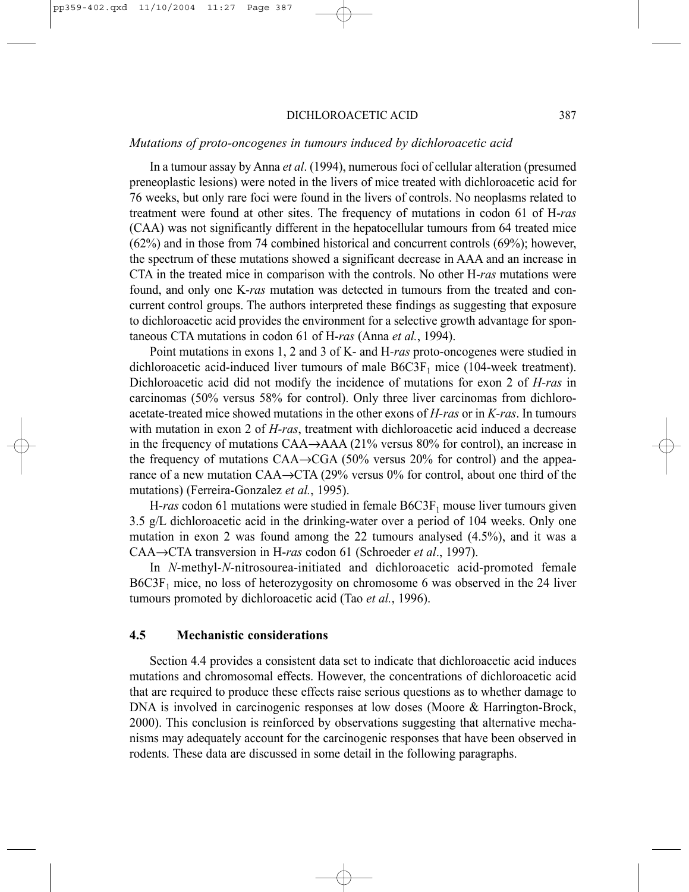#### DICHLOROACETIC ACID 387

### *Mutations of proto-oncogenes in tumours induced by dichloroacetic acid*

In a tumour assay by Anna *et al*. (1994), numerous foci of cellular alteration (presumed preneoplastic lesions) were noted in the livers of mice treated with dichloroacetic acid for 76 weeks, but only rare foci were found in the livers of controls. No neoplasms related to treatment were found at other sites. The frequency of mutations in codon 61 of H-*ras* (CAA) was not significantly different in the hepatocellular tumours from 64 treated mice (62%) and in those from 74 combined historical and concurrent controls (69%); however, the spectrum of these mutations showed a significant decrease in AAA and an increase in CTA in the treated mice in comparison with the controls. No other H-*ras* mutations were found, and only one K-*ras* mutation was detected in tumours from the treated and concurrent control groups. The authors interpreted these findings as suggesting that exposure to dichloroacetic acid provides the environment for a selective growth advantage for spontaneous CTA mutations in codon 61 of H-*ras* (Anna *et al.*, 1994).

Point mutations in exons 1, 2 and 3 of K- and H*-ras* proto-oncogenes were studied in dichloroacetic acid-induced liver tumours of male  $B6C3F<sub>1</sub>$  mice (104-week treatment). Dichloroacetic acid did not modify the incidence of mutations for exon 2 of *H-ras* in carcinomas (50% versus 58% for control). Only three liver carcinomas from dichloroacetate-treated mice showed mutations in the other exons of *H-ras* or in *K-ras*. In tumours with mutation in exon 2 of *H-ras*, treatment with dichloroacetic acid induced a decrease in the frequency of mutations CAA→AAA (21% versus 80% for control), an increase in the frequency of mutations CAA→CGA (50% versus 20% for control) and the appearance of a new mutation CAA→CTA (29% versus 0% for control, about one third of the mutations) (Ferreira-Gonzalez *et al.*, 1995).

H- $ras$  codon 61 mutations were studied in female  $B6C3F<sub>1</sub>$  mouse liver tumours given 3.5 g/L dichloroacetic acid in the drinking-water over a period of 104 weeks. Only one mutation in exon 2 was found among the 22 tumours analysed (4.5%), and it was a CAA→CTA transversion in H-*ras* codon 61 (Schroeder *et al*., 1997).

In *N*-methyl-*N*-nitrosourea-initiated and dichloroacetic acid-promoted female  $B6C3F<sub>1</sub>$  mice, no loss of heterozygosity on chromosome 6 was observed in the 24 liver tumours promoted by dichloroacetic acid (Tao *et al.*, 1996).

### **4.5 Mechanistic considerations**

Section 4.4 provides a consistent data set to indicate that dichloroacetic acid induces mutations and chromosomal effects. However, the concentrations of dichloroacetic acid that are required to produce these effects raise serious questions as to whether damage to DNA is involved in carcinogenic responses at low doses (Moore & Harrington-Brock, 2000). This conclusion is reinforced by observations suggesting that alternative mechanisms may adequately account for the carcinogenic responses that have been observed in rodents. These data are discussed in some detail in the following paragraphs.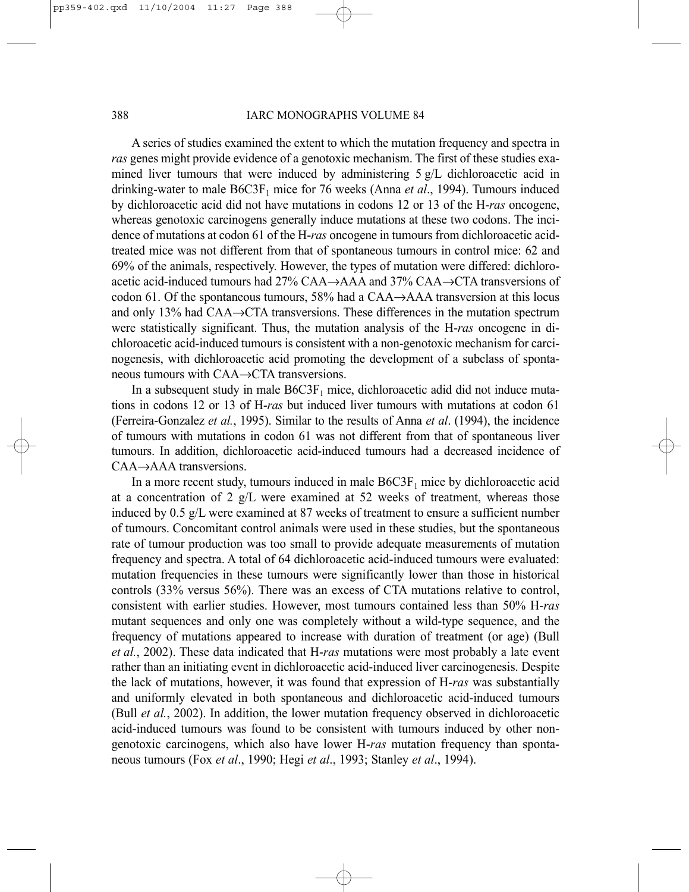#### 388 IARC MONOGRAPHS VOLUME 84

A series of studies examined the extent to which the mutation frequency and spectra in *ras* genes might provide evidence of a genotoxic mechanism. The first of these studies examined liver tumours that were induced by administering 5 g/L dichloroacetic acid in drinking-water to male B6C3F1 mice for 76 weeks (Anna *et al*., 1994). Tumours induced by dichloroacetic acid did not have mutations in codons 12 or 13 of the H-*ras* oncogene, whereas genotoxic carcinogens generally induce mutations at these two codons. The incidence of mutations at codon 61 of the H-*ras* oncogene in tumours from dichloroacetic acidtreated mice was not different from that of spontaneous tumours in control mice: 62 and 69% of the animals, respectively. However, the types of mutation were differed: dichloroacetic acid-induced tumours had 27% CAA→AAA and 37% CAA→CTA transversions of codon 61. Of the spontaneous tumours,  $58\%$  had a CAA $\rightarrow$ AAA transversion at this locus and only 13% had CAA→CTA transversions. These differences in the mutation spectrum were statistically significant. Thus, the mutation analysis of the H-*ras* oncogene in dichloroacetic acid-induced tumours is consistent with a non-genotoxic mechanism for carcinogenesis, with dichloroacetic acid promoting the development of a subclass of spontaneous tumours with CAA→CTA transversions.

In a subsequent study in male  $B6C3F<sub>1</sub>$  mice, dichloroacetic adid did not induce mutations in codons 12 or 13 of H-*ras* but induced liver tumours with mutations at codon 61 (Ferreira-Gonzalez *et al.*, 1995). Similar to the results of Anna *et al*. (1994), the incidence of tumours with mutations in codon 61 was not different from that of spontaneous liver tumours. In addition, dichloroacetic acid-induced tumours had a decreased incidence of CAA→AAA transversions.

In a more recent study, tumours induced in male  $B6C3F<sub>1</sub>$  mice by dichloroacetic acid at a concentration of 2  $g/L$  were examined at 52 weeks of treatment, whereas those induced by 0.5 g/L were examined at 87 weeks of treatment to ensure a sufficient number of tumours. Concomitant control animals were used in these studies, but the spontaneous rate of tumour production was too small to provide adequate measurements of mutation frequency and spectra. A total of 64 dichloroacetic acid-induced tumours were evaluated: mutation frequencies in these tumours were significantly lower than those in historical controls (33% versus 56%). There was an excess of CTA mutations relative to control, consistent with earlier studies. However, most tumours contained less than 50% H-*ras* mutant sequences and only one was completely without a wild-type sequence, and the frequency of mutations appeared to increase with duration of treatment (or age) (Bull *et al.*, 2002). These data indicated that H-*ras* mutations were most probably a late event rather than an initiating event in dichloroacetic acid-induced liver carcinogenesis. Despite the lack of mutations, however, it was found that expression of H-*ras* was substantially and uniformly elevated in both spontaneous and dichloroacetic acid-induced tumours (Bull *et al.*, 2002). In addition, the lower mutation frequency observed in dichloroacetic acid-induced tumours was found to be consistent with tumours induced by other nongenotoxic carcinogens, which also have lower H-*ras* mutation frequency than spontaneous tumours (Fox *et al*., 1990; Hegi *et al*., 1993; Stanley *et al*., 1994).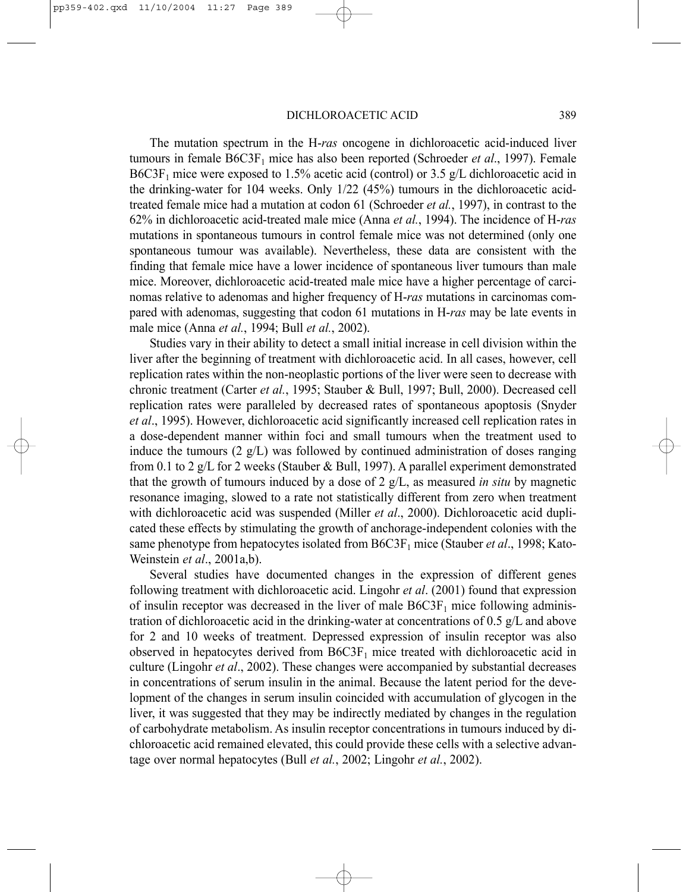The mutation spectrum in the H-*ras* oncogene in dichloroacetic acid-induced liver tumours in female B6C3F<sub>1</sub> mice has also been reported (Schroeder *et al.*, 1997). Female B6C3F<sub>1</sub> mice were exposed to 1.5% acetic acid (control) or 3.5 g/L dichloroacetic acid in the drinking-water for 104 weeks. Only 1/22 (45%) tumours in the dichloroacetic acidtreated female mice had a mutation at codon 61 (Schroeder *et al.*, 1997), in contrast to the 62% in dichloroacetic acid-treated male mice (Anna *et al.*, 1994). The incidence of H-*ras* mutations in spontaneous tumours in control female mice was not determined (only one spontaneous tumour was available). Nevertheless, these data are consistent with the finding that female mice have a lower incidence of spontaneous liver tumours than male mice. Moreover, dichloroacetic acid-treated male mice have a higher percentage of carcinomas relative to adenomas and higher frequency of H-*ras* mutations in carcinomas compared with adenomas, suggesting that codon 61 mutations in H-*ras* may be late events in male mice (Anna *et al.*, 1994; Bull *et al.*, 2002).

Studies vary in their ability to detect a small initial increase in cell division within the liver after the beginning of treatment with dichloroacetic acid. In all cases, however, cell replication rates within the non-neoplastic portions of the liver were seen to decrease with chronic treatment (Carter *et al.*, 1995; Stauber & Bull, 1997; Bull, 2000). Decreased cell replication rates were paralleled by decreased rates of spontaneous apoptosis (Snyder *et al*., 1995). However, dichloroacetic acid significantly increased cell replication rates in a dose-dependent manner within foci and small tumours when the treatment used to induce the tumours  $(2 \text{ g/L})$  was followed by continued administration of doses ranging from 0.1 to 2 g/L for 2 weeks (Stauber & Bull, 1997). A parallel experiment demonstrated that the growth of tumours induced by a dose of 2 g/L, as measured *in situ* by magnetic resonance imaging, slowed to a rate not statistically different from zero when treatment with dichloroacetic acid was suspended (Miller *et al*., 2000). Dichloroacetic acid duplicated these effects by stimulating the growth of anchorage-independent colonies with the same phenotype from hepatocytes isolated from B6C3F1 mice (Stauber *et al*., 1998; Kato-Weinstein *et al*., 2001a,b).

Several studies have documented changes in the expression of different genes following treatment with dichloroacetic acid. Lingohr *et al*. (2001) found that expression of insulin receptor was decreased in the liver of male  $B6C3F<sub>1</sub>$  mice following administration of dichloroacetic acid in the drinking-water at concentrations of 0.5 g/L and above for 2 and 10 weeks of treatment. Depressed expression of insulin receptor was also observed in hepatocytes derived from  $B6C3F<sub>1</sub>$  mice treated with dichloroacetic acid in culture (Lingohr *et al*., 2002). These changes were accompanied by substantial decreases in concentrations of serum insulin in the animal. Because the latent period for the development of the changes in serum insulin coincided with accumulation of glycogen in the liver, it was suggested that they may be indirectly mediated by changes in the regulation of carbohydrate metabolism. As insulin receptor concentrations in tumours induced by dichloroacetic acid remained elevated, this could provide these cells with a selective advantage over normal hepatocytes (Bull *et al.*, 2002; Lingohr *et al.*, 2002).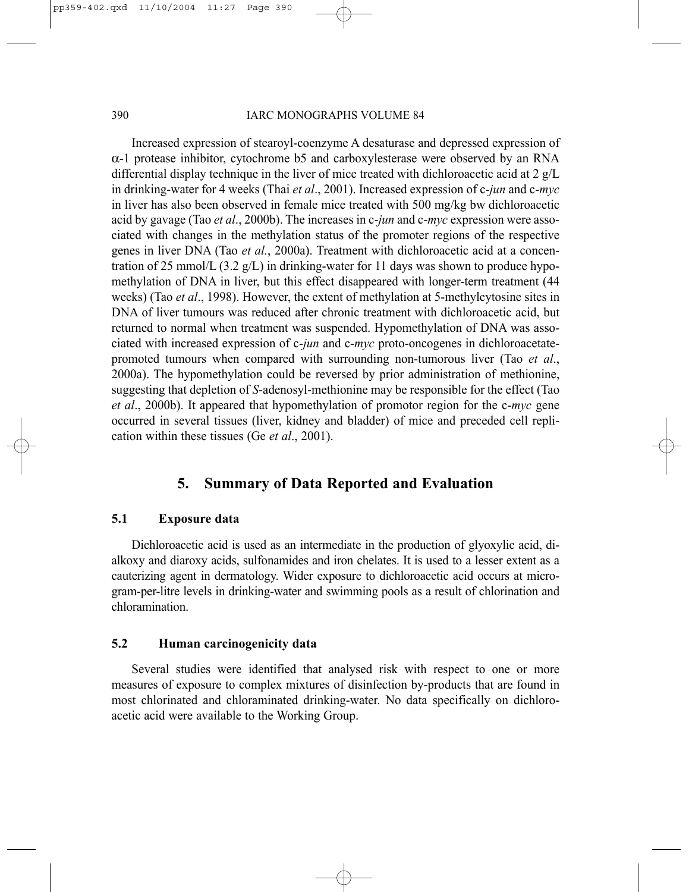### 390 IARC MONOGRAPHS VOLUME 84

Increased expression of stearoyl-coenzyme A desaturase and depressed expression of  $\alpha$ -1 protease inhibitor, cytochrome b5 and carboxylesterase were observed by an RNA differential display technique in the liver of mice treated with dichloroacetic acid at 2 g/L in drinking-water for 4 weeks (Thai *et al*., 2001). Increased expression of c-*jun* and c-*myc* in liver has also been observed in female mice treated with 500 mg/kg bw dichloroacetic acid by gavage (Tao *et al*., 2000b). The increases in c-*jun* and c-*myc* expression were associated with changes in the methylation status of the promoter regions of the respective genes in liver DNA (Tao *et al.*, 2000a). Treatment with dichloroacetic acid at a concentration of 25 mmol/L (3.2  $g/L$ ) in drinking-water for 11 days was shown to produce hypomethylation of DNA in liver, but this effect disappeared with longer-term treatment (44 weeks) (Tao *et al*., 1998). However, the extent of methylation at 5-methylcytosine sites in DNA of liver tumours was reduced after chronic treatment with dichloroacetic acid, but returned to normal when treatment was suspended. Hypomethylation of DNA was associated with increased expression of c-*jun* and c-*myc* proto-oncogenes in dichloroacetatepromoted tumours when compared with surrounding non-tumorous liver (Tao *et al*., 2000a). The hypomethylation could be reversed by prior administration of methionine, suggesting that depletion of *S*-adenosyl-methionine may be responsible for the effect (Tao *et al*., 2000b). It appeared that hypomethylation of promotor region for the c-*myc* gene occurred in several tissues (liver, kidney and bladder) of mice and preceded cell replication within these tissues (Ge *et al*., 2001).

# **5. Summary of Data Reported and Evaluation**

### **5.1 Exposure data**

Dichloroacetic acid is used as an intermediate in the production of glyoxylic acid, dialkoxy and diaroxy acids, sulfonamides and iron chelates. It is used to a lesser extent as a cauterizing agent in dermatology. Wider exposure to dichloroacetic acid occurs at microgram-per-litre levels in drinking-water and swimming pools as a result of chlorination and chloramination.

## **5.2 Human carcinogenicity data**

Several studies were identified that analysed risk with respect to one or more measures of exposure to complex mixtures of disinfection by-products that are found in most chlorinated and chloraminated drinking-water. No data specifically on dichloroacetic acid were available to the Working Group.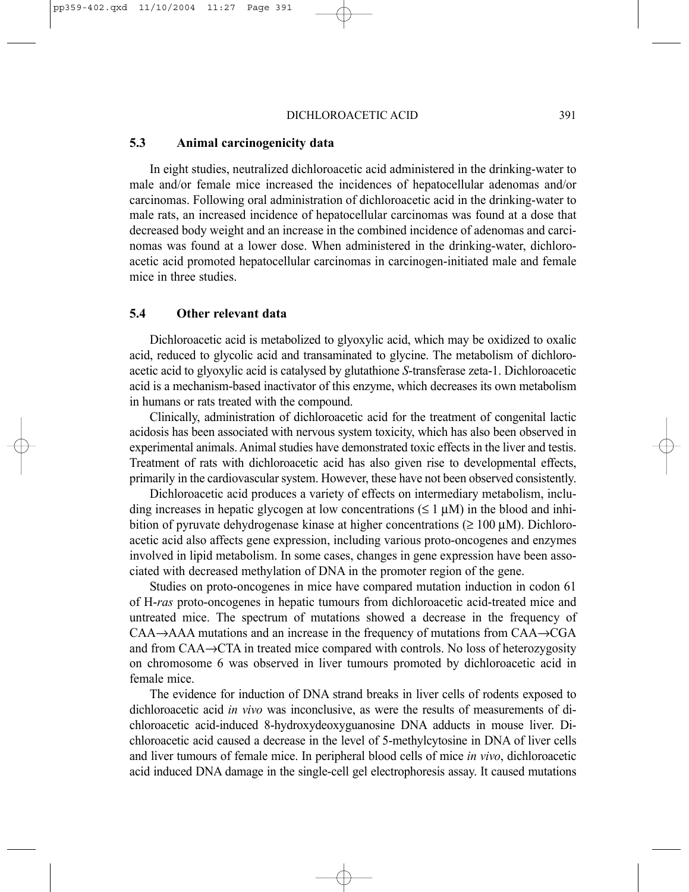### **5.3 Animal carcinogenicity data**

In eight studies, neutralized dichloroacetic acid administered in the drinking-water to male and/or female mice increased the incidences of hepatocellular adenomas and/or carcinomas. Following oral administration of dichloroacetic acid in the drinking-water to male rats, an increased incidence of hepatocellular carcinomas was found at a dose that decreased body weight and an increase in the combined incidence of adenomas and carcinomas was found at a lower dose. When administered in the drinking-water, dichloroacetic acid promoted hepatocellular carcinomas in carcinogen-initiated male and female mice in three studies.

### **5.4 Other relevant data**

Dichloroacetic acid is metabolized to glyoxylic acid, which may be oxidized to oxalic acid, reduced to glycolic acid and transaminated to glycine. The metabolism of dichloroacetic acid to glyoxylic acid is catalysed by glutathione *S*-transferase zeta-1. Dichloroacetic acid is a mechanism-based inactivator of this enzyme, which decreases its own metabolism in humans or rats treated with the compound.

Clinically, administration of dichloroacetic acid for the treatment of congenital lactic acidosis has been associated with nervous system toxicity, which has also been observed in experimental animals. Animal studies have demonstrated toxic effects in the liver and testis. Treatment of rats with dichloroacetic acid has also given rise to developmental effects, primarily in the cardiovascular system. However, these have not been observed consistently.

Dichloroacetic acid produces a variety of effects on intermediary metabolism, including increases in hepatic glycogen at low concentrations ( $\leq 1 \mu M$ ) in the blood and inhibition of pyruvate dehydrogenase kinase at higher concentrations ( $\geq 100 \mu M$ ). Dichloroacetic acid also affects gene expression, including various proto-oncogenes and enzymes involved in lipid metabolism. In some cases, changes in gene expression have been associated with decreased methylation of DNA in the promoter region of the gene.

Studies on proto-oncogenes in mice have compared mutation induction in codon 61 of H-*ras* proto-oncogenes in hepatic tumours from dichloroacetic acid-treated mice and untreated mice. The spectrum of mutations showed a decrease in the frequency of CAA→AAA mutations and an increase in the frequency of mutations from CAA→CGA and from CAA→CTA in treated mice compared with controls. No loss of heterozygosity on chromosome 6 was observed in liver tumours promoted by dichloroacetic acid in female mice.

The evidence for induction of DNA strand breaks in liver cells of rodents exposed to dichloroacetic acid *in vivo* was inconclusive, as were the results of measurements of dichloroacetic acid-induced 8-hydroxydeoxyguanosine DNA adducts in mouse liver. Dichloroacetic acid caused a decrease in the level of 5-methylcytosine in DNA of liver cells and liver tumours of female mice. In peripheral blood cells of mice *in vivo*, dichloroacetic acid induced DNA damage in the single-cell gel electrophoresis assay. It caused mutations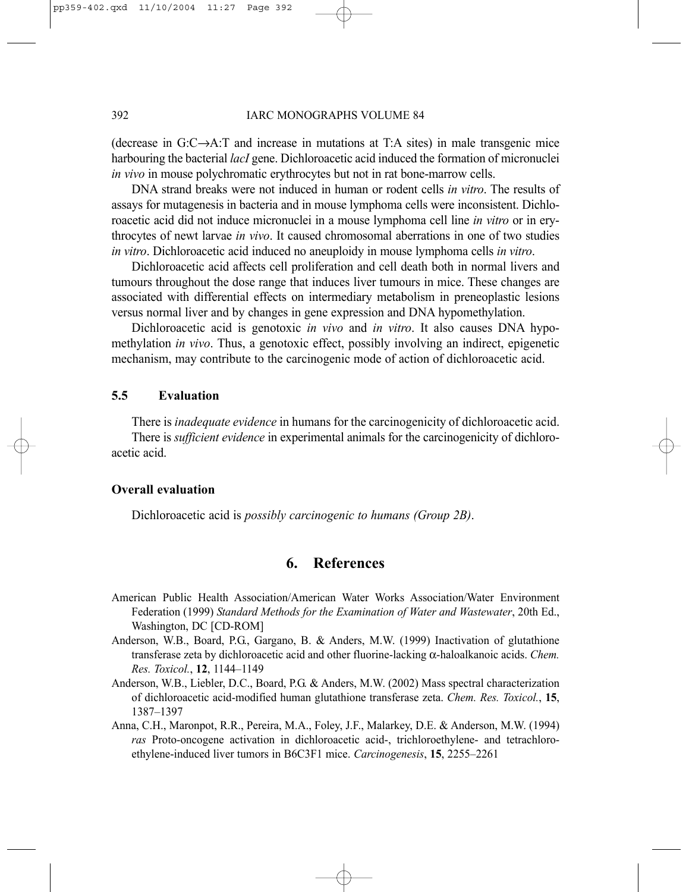(decrease in G:C→A:T and increase in mutations at T:A sites) in male transgenic mice harbouring the bacterial *lacI* gene. Dichloroacetic acid induced the formation of micronuclei *in vivo* in mouse polychromatic erythrocytes but not in rat bone-marrow cells.

DNA strand breaks were not induced in human or rodent cells *in vitro*. The results of assays for mutagenesis in bacteria and in mouse lymphoma cells were inconsistent. Dichloroacetic acid did not induce micronuclei in a mouse lymphoma cell line *in vitro* or in erythrocytes of newt larvae *in vivo*. It caused chromosomal aberrations in one of two studies *in vitro*. Dichloroacetic acid induced no aneuploidy in mouse lymphoma cells *in vitro*.

Dichloroacetic acid affects cell proliferation and cell death both in normal livers and tumours throughout the dose range that induces liver tumours in mice. These changes are associated with differential effects on intermediary metabolism in preneoplastic lesions versus normal liver and by changes in gene expression and DNA hypomethylation.

Dichloroacetic acid is genotoxic *in vivo* and *in vitro*. It also causes DNA hypomethylation *in vivo*. Thus, a genotoxic effect, possibly involving an indirect, epigenetic mechanism, may contribute to the carcinogenic mode of action of dichloroacetic acid.

### **5.5 Evaluation**

There is *inadequate evidence* in humans for the carcinogenicity of dichloroacetic acid. There is *sufficient evidence* in experimental animals for the carcinogenicity of dichloroacetic acid.

### **Overall evaluation**

Dichloroacetic acid is *possibly carcinogenic to humans (Group 2B)*.

# **6. References**

- American Public Health Association/American Water Works Association/Water Environment Federation (1999) *Standard Methods for the Examination of Water and Wastewater*, 20th Ed., Washington, DC [CD-ROM]
- Anderson, W.B., Board, P.G., Gargano, B. & Anders, M.W. (1999) Inactivation of glutathione transferase zeta by dichloroacetic acid and other fluorine-lacking α-haloalkanoic acids. *Chem. Res. Toxicol.*, **12**, 1144–1149
- Anderson, W.B., Liebler, D.C., Board, P.G. & Anders, M.W. (2002) Mass spectral characterization of dichloroacetic acid-modified human glutathione transferase zeta. *Chem. Res. Toxicol.*, **15**, 1387–1397
- Anna, C.H., Maronpot, R.R., Pereira, M.A., Foley, J.F., Malarkey, D.E. & Anderson, M.W. (1994) *ras* Proto-oncogene activation in dichloroacetic acid-, trichloroethylene- and tetrachloroethylene-induced liver tumors in B6C3F1 mice. *Carcinogenesis*, **15**, 2255–2261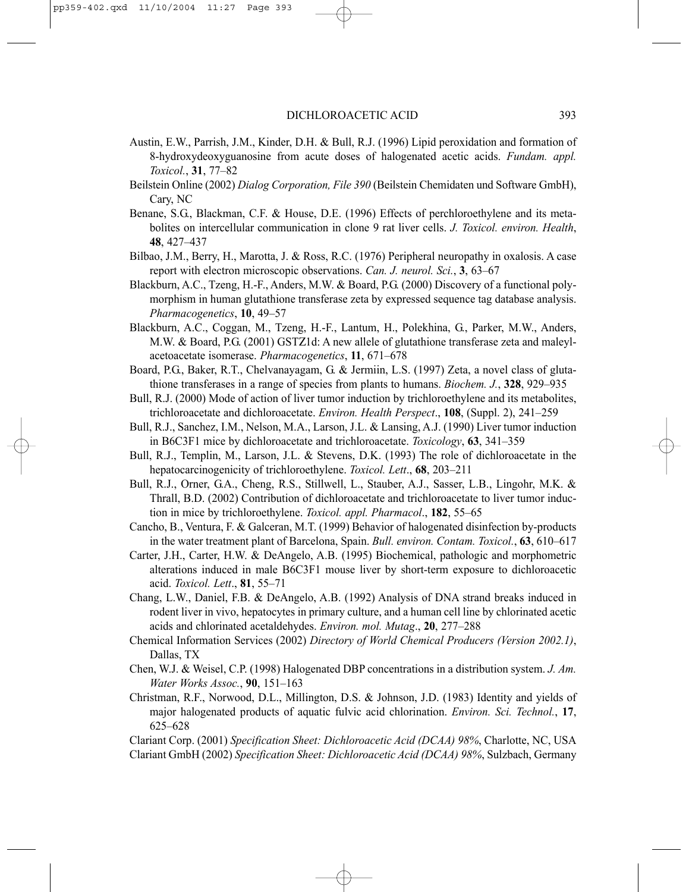- Austin, E.W., Parrish, J.M., Kinder, D.H. & Bull, R.J. (1996) Lipid peroxidation and formation of 8-hydroxydeoxyguanosine from acute doses of halogenated acetic acids. *Fundam. appl. Toxicol.*, **31**, 77–82
- Beilstein Online (2002) *Dialog Corporation, File 390* (Beilstein Chemidaten und Software GmbH), Cary, NC
- Benane, S.G., Blackman, C.F. & House, D.E. (1996) Effects of perchloroethylene and its metabolites on intercellular communication in clone 9 rat liver cells. *J. Toxicol. environ. Health*, **48**, 427–437
- Bilbao, J.M., Berry, H., Marotta, J. & Ross, R.C. (1976) Peripheral neuropathy in oxalosis. A case report with electron microscopic observations. *Can. J. neurol. Sci.*, **3**, 63–67
- Blackburn, A.C., Tzeng, H.-F., Anders, M.W. & Board, P.G. (2000) Discovery of a functional polymorphism in human glutathione transferase zeta by expressed sequence tag database analysis. *Pharmacogenetics*, **10**, 49–57
- Blackburn, A.C., Coggan, M., Tzeng, H.-F., Lantum, H., Polekhina, G., Parker, M.W., Anders, M.W. & Board, P.G. (2001) GSTΖ1d: A new allele of glutathione transferase zeta and maleylacetoacetate isomerase. *Pharmacogenetics*, **11**, 671–678
- Board, P.G., Baker, R.T., Chelvanayagam, G. & Jermiin, L.S. (1997) Zeta, a novel class of glutathione transferases in a range of species from plants to humans. *Biochem. J.*, **328**, 929–935
- Bull, R.J. (2000) Mode of action of liver tumor induction by trichloroethylene and its metabolites, trichloroacetate and dichloroacetate. *Environ. Health Perspect*., **108**, (Suppl. 2), 241–259
- Bull, R.J., Sanchez, I.M., Nelson, M.A., Larson, J.L. & Lansing, A.J. (1990) Liver tumor induction in B6C3F1 mice by dichloroacetate and trichloroacetate. *Toxicology*, **63**, 341–359
- Bull, R.J., Templin, M., Larson, J.L. & Stevens, D.K. (1993) The role of dichloroacetate in the hepatocarcinogenicity of trichloroethylene. *Toxicol. Lett*., **68**, 203–211
- Bull, R.J., Orner, G.A., Cheng, R.S., Stillwell, L., Stauber, A.J., Sasser, L.B., Lingohr, M.K. & Thrall, B.D. (2002) Contribution of dichloroacetate and trichloroacetate to liver tumor induction in mice by trichloroethylene. *Toxicol. appl. Pharmacol*., **182**, 55–65
- Cancho, B., Ventura, F. & Galceran, M.T. (1999) Behavior of halogenated disinfection by-products in the water treatment plant of Barcelona, Spain. *Bull. environ. Contam. Toxicol.*, **63**, 610–617
- Carter, J.H., Carter, H.W. & DeAngelo, A.B. (1995) Biochemical, pathologic and morphometric alterations induced in male B6C3F1 mouse liver by short-term exposure to dichloroacetic acid. *Toxicol. Lett*., **81**, 55–71
- Chang, L.W., Daniel, F.B. & DeAngelo, A.B. (1992) Analysis of DNA strand breaks induced in rodent liver in vivo, hepatocytes in primary culture, and a human cell line by chlorinated acetic acids and chlorinated acetaldehydes. *Environ. mol. Mutag*., **20**, 277–288
- Chemical Information Services (2002) *Directory of World Chemical Producers (Version 2002.1)*, Dallas, TX
- Chen, W.J. & Weisel, C.P. (1998) Halogenated DBP concentrations in a distribution system. *J. Am. Water Works Assoc.*, **90**, 151–163
- Christman, R.F., Norwood, D.L., Millington, D.S. & Johnson, J.D. (1983) Identity and yields of major halogenated products of aquatic fulvic acid chlorination. *Environ. Sci. Technol.*, **17**, 625–628

Clariant Corp. (2001) *Specification Sheet: Dichloroacetic Acid (DCAA) 98%*, Charlotte, NC, USA Clariant GmbH (2002) *Specification Sheet: Dichloroacetic Acid (DCAA) 98%*, Sulzbach, Germany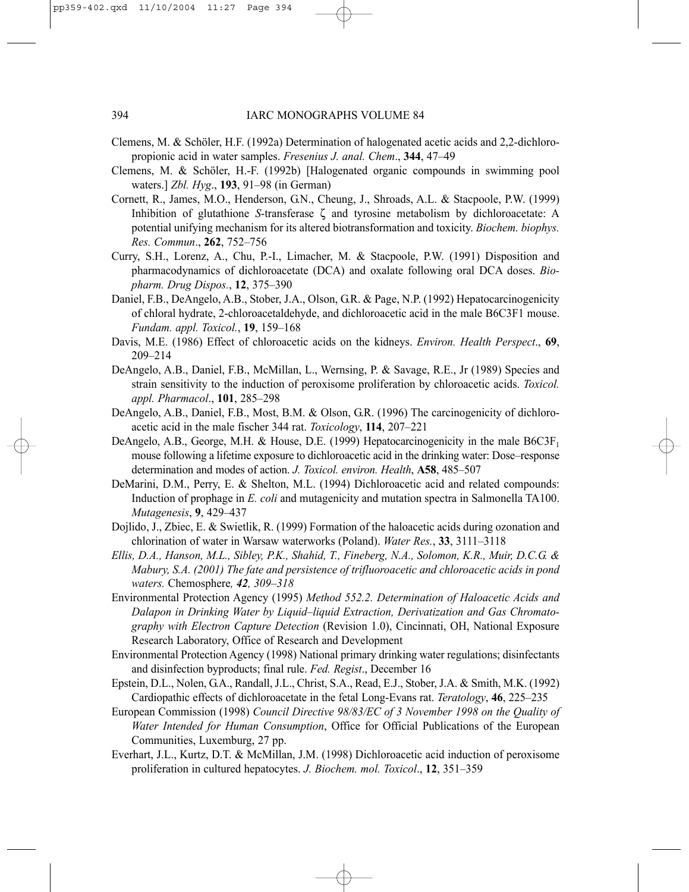- Clemens, M. & Schöler, H.F. (1992a) Determination of halogenated acetic acids and 2,2-dichloropropionic acid in water samples. *Fresenius J. anal. Chem*., **344**, 47–49
- Clemens, M. & Schöler, H.-F. (1992b) [Halogenated organic compounds in swimming pool waters.] *Zbl. Hyg*., **193**, 91–98 (in German)
- Cornett, R., James, M.O., Henderson, G.N., Cheung, J., Shroads, A.L. & Stacpoole, P.W. (1999) Inhibition of glutathione *S*-transferase ζ and tyrosine metabolism by dichloroacetate: A potential unifying mechanism for its altered biotransformation and toxicity. *Biochem. biophys. Res. Commun*., **262**, 752–756
- Curry, S.H., Lorenz, A., Chu, P.-I., Limacher, M. & Stacpoole, P.W. (1991) Disposition and pharmacodynamics of dichloroacetate (DCA) and oxalate following oral DCA doses. *Biopharm. Drug Dispos.*, **12**, 375–390
- Daniel, F.B., DeAngelo, A.B., Stober, J.A., Olson, G.R. & Page, N.P. (1992) Hepatocarcinogenicity of chloral hydrate, 2-chloroacetaldehyde, and dichloroacetic acid in the male B6C3F1 mouse. *Fundam. appl. Toxicol.*, **19**, 159–168
- Davis, M.E. (1986) Effect of chloroacetic acids on the kidneys. *Environ. Health Perspect*., **69**, 209–214
- DeAngelo, A.B., Daniel, F.B., McMillan, L., Wernsing, P. & Savage, R.E., Jr (1989) Species and strain sensitivity to the induction of peroxisome proliferation by chloroacetic acids. *Toxicol. appl. Pharmacol*., **101**, 285–298
- DeAngelo, A.B., Daniel, F.B., Most, B.M. & Olson, G.R. (1996) The carcinogenicity of dichloroacetic acid in the male fischer 344 rat. *Toxicology*, **114**, 207–221
- DeAngelo, A.B., George, M.H. & House, D.E. (1999) Hepatocarcinogenicity in the male B6C3F<sub>1</sub> mouse following a lifetime exposure to dichloroacetic acid in the drinking water: Dose–response determination and modes of action. *J. Toxicol. environ. Health*, **A58**, 485–507
- DeMarini, D.M., Perry, E. & Shelton, M.L. (1994) Dichloroacetic acid and related compounds: Induction of prophage in *E. coli* and mutagenicity and mutation spectra in Salmonella TA100. *Mutagenesis*, **9**, 429–437
- Dojlido, J., Zbiec, E. & Swietlik, R. (1999) Formation of the haloacetic acids during ozonation and chlorination of water in Warsaw waterworks (Poland). *Water Res.*, **33**, 3111–3118
- *Ellis, D.A., Hanson, M.L., Sibley, P.K., Shahid, T., Fineberg, N.A., Solomon, K.R., Muir, D.C.G. & Mabury, S.A. (2001) The fate and persistence of trifluoroacetic and chloroacetic acids in pond waters.* Chemosphere*, 42, 309–318*
- Environmental Protection Agency (1995) *Method 552.2. Determination of Haloacetic Acids and Dalapon in Drinking Water by Liquid–liquid Extraction, Derivatization and Gas Chromatography with Electron Capture Detection* (Revision 1.0), Cincinnati, OH, National Exposure Research Laboratory, Office of Research and Development
- Environmental Protection Agency (1998) National primary drinking water regulations; disinfectants and disinfection byproducts; final rule. *Fed. Regist*., December 16
- Epstein, D.L., Nolen, G.A., Randall, J.L., Christ, S.A., Read, E.J., Stober, J.A. & Smith, M.K. (1992) Cardiopathic effects of dichloroacetate in the fetal Long-Evans rat. *Teratology*, **46**, 225–235
- European Commission (1998) *Council Directive 98/83/EC of 3 November 1998 on the Quality of Water Intended for Human Consumption*, Office for Official Publications of the European Communities, Luxemburg, 27 pp.
- Everhart, J.L., Kurtz, D.T. & McMillan, J.M. (1998) Dichloroacetic acid induction of peroxisome proliferation in cultured hepatocytes. *J. Biochem. mol. Toxicol*., **12**, 351–359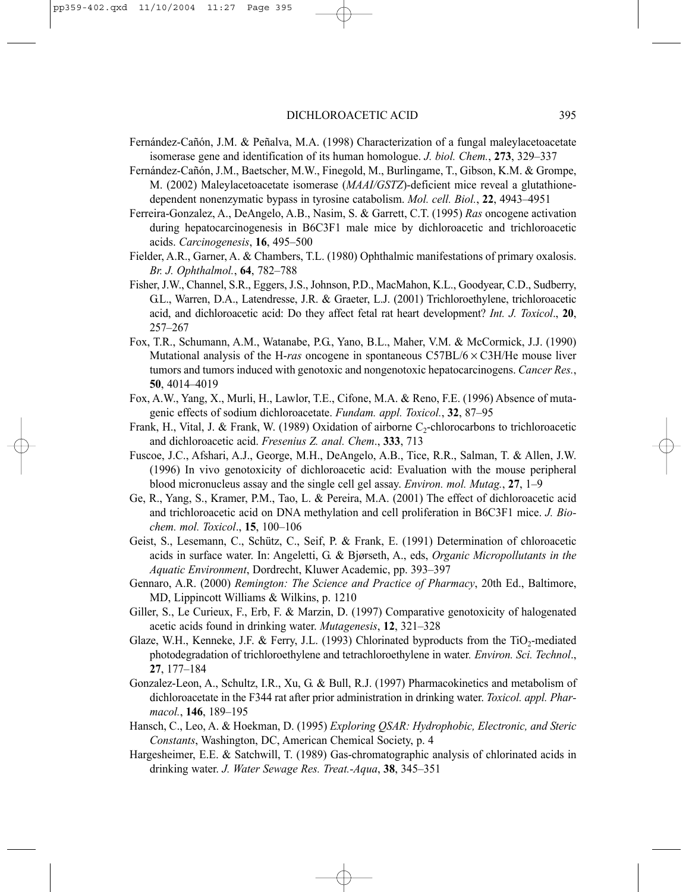- Fernández-Cañón, J.M. & Peñalva, M.A. (1998) Characterization of a fungal maleylacetoacetate isomerase gene and identification of its human homologue. *J. biol. Chem.*, **273**, 329–337
- Fernández-Cañón, J.M., Baetscher, M.W., Finegold, M., Burlingame, T., Gibson, K.M. & Grompe, M. (2002) Maleylacetoacetate isomerase (*MAAI/GSTZ*)-deficient mice reveal a glutathionedependent nonenzymatic bypass in tyrosine catabolism. *Mol. cell. Biol.*, **22**, 4943–4951
- Ferreira-Gonzalez, A., DeAngelo, A.B., Nasim, S. & Garrett, C.T. (1995) *Ras* oncogene activation during hepatocarcinogenesis in B6C3F1 male mice by dichloroacetic and trichloroacetic acids. *Carcinogenesis*, **16**, 495–500
- Fielder, A.R., Garner, A. & Chambers, T.L. (1980) Ophthalmic manifestations of primary oxalosis. *Br. J. Ophthalmol.*, **64**, 782–788
- Fisher, J.W., Channel, S.R., Eggers, J.S., Johnson, P.D., MacMahon, K.L., Goodyear, C.D., Sudberry, G.L., Warren, D.A., Latendresse, J.R. & Graeter, L.J. (2001) Trichloroethylene, trichloroacetic acid, and dichloroacetic acid: Do they affect fetal rat heart development? *Int. J. Toxicol*., **20**, 257–267
- Fox, T.R., Schumann, A.M., Watanabe, P.G., Yano, B.L., Maher, V.M. & McCormick, J.J. (1990) Mutational analysis of the H-*ras* oncogene in spontaneous C57BL/6 × C3H/He mouse liver tumors and tumors induced with genotoxic and nongenotoxic hepatocarcinogens. *Cancer Res.*, **50**, 4014–4019
- Fox, A.W., Yang, X., Murli, H., Lawlor, T.E., Cifone, M.A. & Reno, F.E. (1996) Absence of mutagenic effects of sodium dichloroacetate. *Fundam. appl. Toxicol.*, **32**, 87–95
- Frank, H., Vital, J. & Frank, W. (1989) Oxidation of airborne  $C_2$ -chlorocarbons to trichloroacetic and dichloroacetic acid. *Fresenius Z. anal. Chem*., **333**, 713
- Fuscoe, J.C., Afshari, A.J., George, M.H., DeAngelo, A.B., Tice, R.R., Salman, T. & Allen, J.W. (1996) In vivo genotoxicity of dichloroacetic acid: Evaluation with the mouse peripheral blood micronucleus assay and the single cell gel assay. *Environ. mol. Mutag.*, **27**, 1–9
- Ge, R., Yang, S., Kramer, P.M., Tao, L. & Pereira, M.A. (2001) The effect of dichloroacetic acid and trichloroacetic acid on DNA methylation and cell proliferation in B6C3F1 mice. *J. Biochem. mol. Toxicol*., **15**, 100–106
- Geist, S., Lesemann, C., Schütz, C., Seif, P. & Frank, E. (1991) Determination of chloroacetic acids in surface water. In: Angeletti, G. & Bjørseth, A., eds, *Organic Micropollutants in the Aquatic Environment*, Dordrecht, Kluwer Academic, pp. 393–397
- Gennaro, A.R. (2000) *Remington: The Science and Practice of Pharmacy*, 20th Ed., Baltimore, MD, Lippincott Williams & Wilkins, p. 1210
- Giller, S., Le Curieux, F., Erb, F. & Marzin, D. (1997) Comparative genotoxicity of halogenated acetic acids found in drinking water. *Mutagenesis*, **12**, 321–328
- Glaze, W.H., Kenneke, J.F. & Ferry, J.L. (1993) Chlorinated byproducts from the  $TiO<sub>2</sub>$ -mediated photodegradation of trichloroethylene and tetrachloroethylene in water*. Environ. Sci. Technol*., **27**, 177–184
- Gonzalez-Leon, A., Schultz, I.R., Xu, G. & Bull, R.J. (1997) Pharmacokinetics and metabolism of dichloroacetate in the F344 rat after prior administration in drinking water. *Toxicol. appl. Pharmacol.*, **146**, 189–195
- Hansch, C., Leo, A. & Hoekman, D. (1995) *Exploring QSAR: Hydrophobic, Electronic, and Steric Constants*, Washington, DC, American Chemical Society, p. 4
- Hargesheimer, E.E. & Satchwill, T. (1989) Gas-chromatographic analysis of chlorinated acids in drinking water. *J. Water Sewage Res. Treat.-Aqua*, **38**, 345–351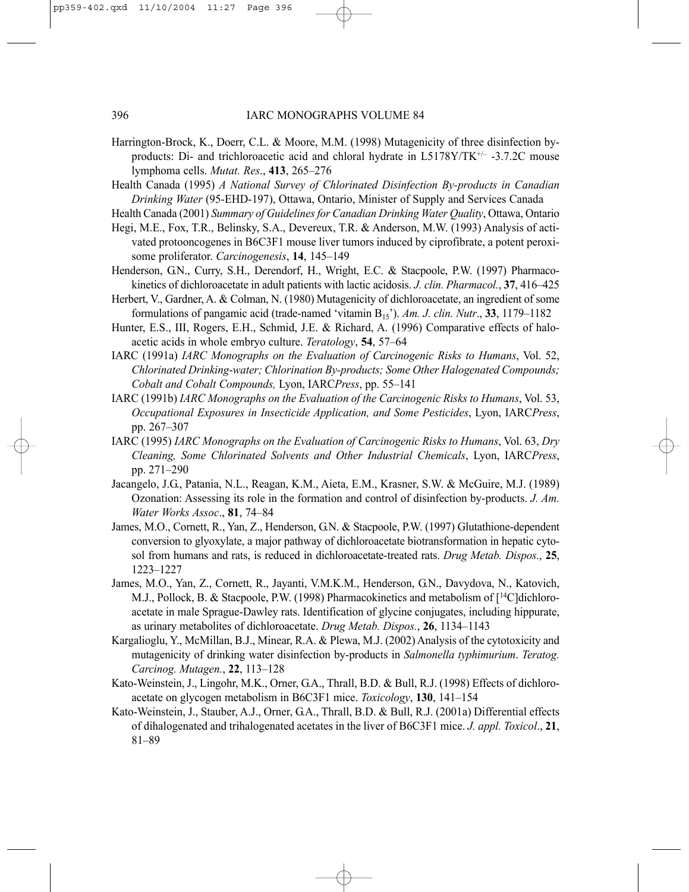- Harrington-Brock, K., Doerr, C.L. & Moore, M.M. (1998) Mutagenicity of three disinfection byproducts: Di- and trichloroacetic acid and chloral hydrate in L5178Y/TK+/– -3.7.2C mouse lymphoma cells. *Mutat. Res*., **413**, 265–276
- Health Canada (1995) *A National Survey of Chlorinated Disinfection By-products in Canadian Drinking Water* (95-EHD-197), Ottawa, Ontario, Minister of Supply and Services Canada
- Health Canada (2001) *Summary of Guidelines for Canadian Drinking Water Quality*, Ottawa, Ontario
- Hegi, M.E., Fox, T.R., Belinsky, S.A., Devereux, T.R. & Anderson, M.W. (1993) Analysis of activated protooncogenes in B6C3F1 mouse liver tumors induced by ciprofibrate, a potent peroxisome proliferator. *Carcinogenesis*, **14**, 145–149
- Henderson, G.N., Curry, S.H., Derendorf, H., Wright, E.C. & Stacpoole, P.W. (1997) Pharmacokinetics of dichloroacetate in adult patients with lactic acidosis. *J. clin. Pharmacol.*, **37**, 416–425
- Herbert, V., Gardner, A. & Colman, N. (1980) Mutagenicity of dichloroacetate, an ingredient of some formulations of pangamic acid (trade-named 'vitamin B15'). *Am. J. clin. Nutr*., **33**, 1179–1182
- Hunter, E.S., III, Rogers, E.H., Schmid, J.E. & Richard, A. (1996) Comparative effects of haloacetic acids in whole embryo culture. *Teratology*, **54**, 57–64
- IARC (1991a) *IARC Monographs on the Evaluation of Carcinogenic Risks to Humans*, Vol. 52, *Chlorinated Drinking-water; Chlorination By-products; Some Other Halogenated Compounds; Cobalt and Cobalt Compounds,* Lyon, IARC*Press*, pp. 55–141
- IARC (1991b) *IARC Monographs on the Evaluation of the Carcinogenic Risks to Humans*, Vol. 53, *Occupational Exposures in Insecticide Application, and Some Pesticides*, Lyon, IARC*Press*, pp. 267–307
- IARC (1995) *IARC Monographs on the Evaluation of Carcinogenic Risks to Humans*, Vol. 63, *Dry Cleaning, Some Chlorinated Solvents and Other Industrial Chemicals*, Lyon, IARC*Press*, pp. 271–290
- Jacangelo, J.G., Patania, N.L., Reagan, K.M., Aieta, E.M., Krasner, S.W. & McGuire, M.J. (1989) Ozonation: Assessing its role in the formation and control of disinfection by-products. *J. Am. Water Works Assoc*., **81**, 74–84
- James, M.O., Cornett, R., Yan, Z., Henderson, G.N. & Stacpoole, P.W. (1997) Glutathione-dependent conversion to glyoxylate, a major pathway of dichloroacetate biotransformation in hepatic cytosol from humans and rats, is reduced in dichloroacetate-treated rats. *Drug Metab. Dispos.*, **25**, 1223–1227
- James, M.O., Yan, Z., Cornett, R., Jayanti, V.M.K.M., Henderson, G.N., Davydova, N., Katovich, M.J., Pollock, B. & Stacpoole, P.W. (1998) Pharmacokinetics and metabolism of [<sup>14</sup>C]dichloroacetate in male Sprague-Dawley rats. Identification of glycine conjugates, including hippurate, as urinary metabolites of dichloroacetate. *Drug Metab. Dispos.*, **26**, 1134–1143
- Kargalioglu, Y., McMillan, B.J., Minear, R.A. & Plewa, M.J. (2002) Analysis of the cytotoxicity and mutagenicity of drinking water disinfection by-products in *Salmonella typhimurium*. *Teratog. Carcinog. Mutagen.*, **22**, 113–128
- Kato-Weinstein, J., Lingohr, M.K., Orner, G.A., Thrall, B.D. & Bull, R.J. (1998) Effects of dichloroacetate on glycogen metabolism in B6C3F1 mice. *Toxicology*, **130**, 141–154
- Kato-Weinstein, J., Stauber, A.J., Orner, G.A., Thrall, B.D. & Bull, R.J. (2001a) Differential effects of dihalogenated and trihalogenated acetates in the liver of B6C3F1 mice. *J. appl. Toxicol*., **21**, 81–89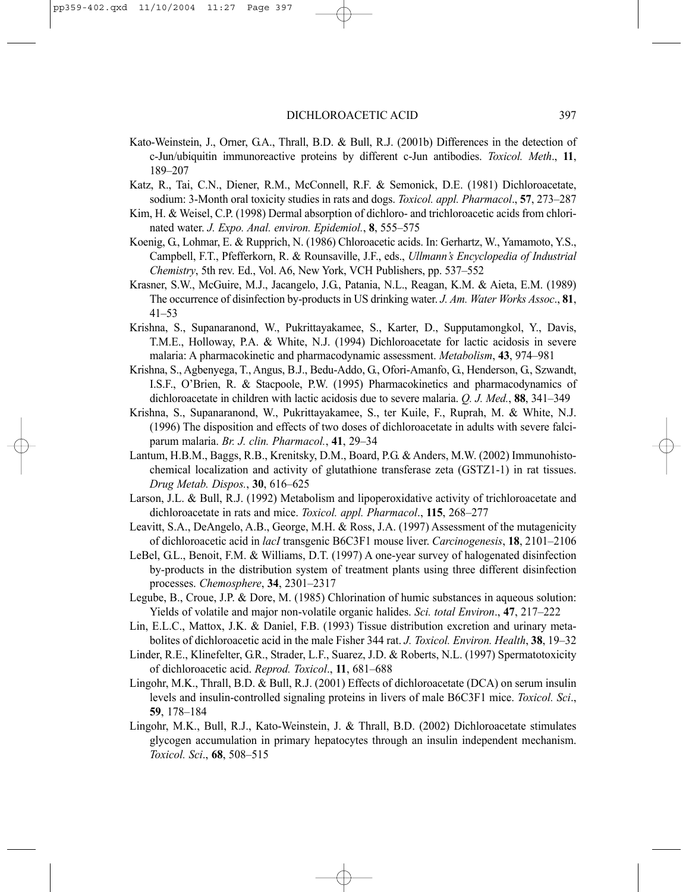- Kato-Weinstein, J., Orner, G.A., Thrall, B.D. & Bull, R.J. (2001b) Differences in the detection of c-Jun/ubiquitin immunoreactive proteins by different c-Jun antibodies. *Toxicol. Meth*., **11**, 189–207
- Katz, R., Tai, C.N., Diener, R.M., McConnell, R.F. & Semonick, D.E. (1981) Dichloroacetate, sodium: 3-Month oral toxicity studies in rats and dogs. *Toxicol. appl. Pharmacol*., **57**, 273–287
- Kim, H. & Weisel, C.P. (1998) Dermal absorption of dichloro- and trichloroacetic acids from chlorinated water. *J. Expo. Anal. environ. Epidemiol.*, **8**, 555–575
- Koenig, G., Lohmar, E. & Rupprich, N. (1986) Chloroacetic acids. In: Gerhartz, W., Yamamoto, Y.S., Campbell, F.T., Pfefferkorn, R. & Rounsaville, J.F., eds., *Ullmann's Encyclopedia of Industrial Chemistry*, 5th rev. Ed., Vol. A6, New York, VCH Publishers, pp. 537–552
- Krasner, S.W., McGuire, M.J., Jacangelo, J.G., Patania, N.L., Reagan, K.M. & Aieta, E.M. (1989) The occurrence of disinfection by-products in US drinking water. *J. Am. Water Works Assoc*., **81**, 41–53
- Krishna, S., Supanaranond, W., Pukrittayakamee, S., Karter, D., Supputamongkol, Y., Davis, T.M.E., Holloway, P.A. & White, N.J. (1994) Dichloroacetate for lactic acidosis in severe malaria: A pharmacokinetic and pharmacodynamic assessment. *Metabolism*, **43**, 974–981
- Krishna, S., Agbenyega, T., Angus, B.J., Bedu-Addo, G., Ofori-Amanfo, G., Henderson, G., Szwandt, I.S.F., O'Brien, R. & Stacpoole, P.W. (1995) Pharmacokinetics and pharmacodynamics of dichloroacetate in children with lactic acidosis due to severe malaria. *Q. J. Med.*, **88**, 341–349
- Krishna, S., Supanaranond, W., Pukrittayakamee, S., ter Kuile, F., Ruprah, M. & White, N.J. (1996) The disposition and effects of two doses of dichloroacetate in adults with severe falciparum malaria. *Br. J. clin. Pharmacol.*, **41**, 29–34
- Lantum, H.B.M., Baggs, R.B., Krenitsky, D.M., Board, P.G. & Anders, M.W. (2002) Immunohistochemical localization and activity of glutathione transferase zeta (GSTZ1-1) in rat tissues. *Drug Metab. Dispos.*, **30**, 616–625
- Larson, J.L. & Bull, R.J. (1992) Metabolism and lipoperoxidative activity of trichloroacetate and dichloroacetate in rats and mice. *Toxicol. appl. Pharmacol*., **115**, 268–277
- Leavitt, S.A., DeAngelo, A.B., George, M.H. & Ross, J.A. (1997) Assessment of the mutagenicity of dichloroacetic acid in *lacI* transgenic B6C3F1 mouse liver. *Carcinogenesis*, **18**, 2101–2106
- LeBel, G.L., Benoit, F.M. & Williams, D.T. (1997) A one-year survey of halogenated disinfection by-products in the distribution system of treatment plants using three different disinfection processes. *Chemosphere*, **34**, 2301–2317
- Legube, B., Croue, J.P. & Dore, M. (1985) Chlorination of humic substances in aqueous solution: Yields of volatile and major non-volatile organic halides. *Sci. total Environ*., **47**, 217–222
- Lin, E.L.C., Mattox, J.K. & Daniel, F.B. (1993) Tissue distribution excretion and urinary metabolites of dichloroacetic acid in the male Fisher 344 rat. *J. Toxicol. Environ. Health*, **38**, 19–32
- Linder, R.E., Klinefelter, G.R., Strader, L.F., Suarez, J.D. & Roberts, N.L. (1997) Spermatotoxicity of dichloroacetic acid. *Reprod. Toxicol*., **11**, 681–688
- Lingohr, M.K., Thrall, B.D. & Bull, R.J. (2001) Effects of dichloroacetate (DCA) on serum insulin levels and insulin-controlled signaling proteins in livers of male B6C3F1 mice. *Toxicol. Sci*., **59**, 178–184
- Lingohr, M.K., Bull, R.J., Kato-Weinstein, J. & Thrall, B.D. (2002) Dichloroacetate stimulates glycogen accumulation in primary hepatocytes through an insulin independent mechanism. *Toxicol. Sci*., **68**, 508–515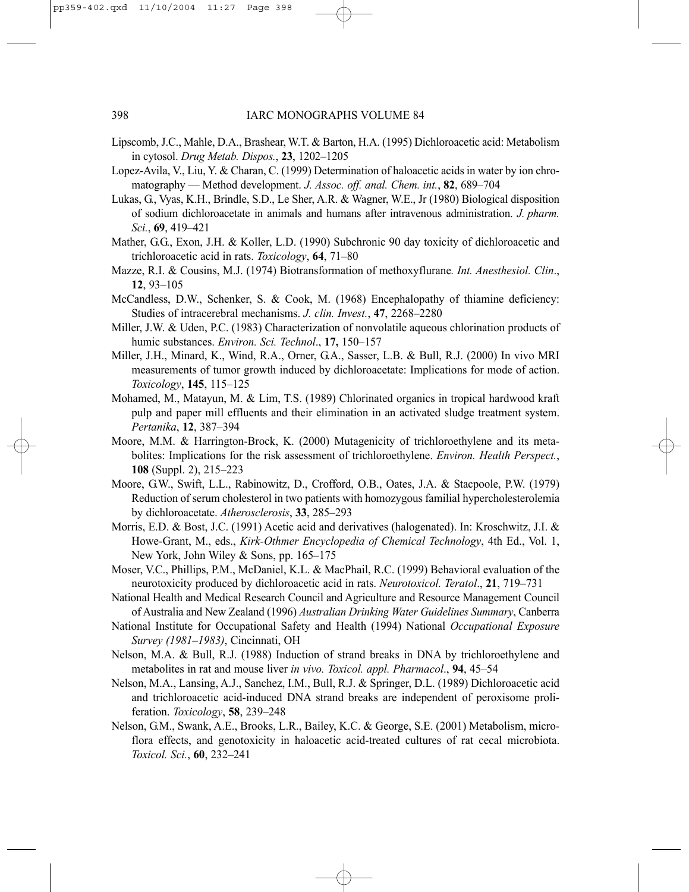- Lipscomb, J.C., Mahle, D.A., Brashear, W.T. & Barton, H.A. (1995) Dichloroacetic acid: Metabolism in cytosol. *Drug Metab. Dispos.*, **23**, 1202–1205
- Lopez-Avila, V., Liu, Y. & Charan, C. (1999) Determination of haloacetic acids in water by ion chromatography — Method development. *J. Assoc. off. anal. Chem. int.*, **82**, 689–704
- Lukas, G., Vyas, K.H., Brindle, S.D., Le Sher, A.R. & Wagner, W.E., Jr (1980) Biological disposition of sodium dichloroacetate in animals and humans after intravenous administration. *J. pharm. Sci.*, **69**, 419–421
- Mather, G.G., Exon, J.H. & Koller, L.D. (1990) Subchronic 90 day toxicity of dichloroacetic and trichloroacetic acid in rats. *Toxicology*, **64**, 71–80
- Mazze, R.I. & Cousins, M.J. (1974) Biotransformation of methoxyflurane*. Int. Anesthesiol. Clin*., **12**, 93–105
- McCandless, D.W., Schenker, S. & Cook, M. (1968) Encephalopathy of thiamine deficiency: Studies of intracerebral mechanisms. *J. clin. Invest.*, **47**, 2268–2280
- Miller, J.W. & Uden, P.C. (1983) Characterization of nonvolatile aqueous chlorination products of humic substances. *Environ. Sci. Technol*., **17,** 150–157
- Miller, J.H., Minard, K., Wind, R.A., Orner, G.A., Sasser, L.B. & Bull, R.J. (2000) In vivo MRI measurements of tumor growth induced by dichloroacetate: Implications for mode of action. *Toxicology*, **145**, 115–125
- Mohamed, M., Matayun, M. & Lim, T.S. (1989) Chlorinated organics in tropical hardwood kraft pulp and paper mill effluents and their elimination in an activated sludge treatment system. *Pertanika*, **12**, 387–394
- Moore, M.M. & Harrington-Brock, K. (2000) Mutagenicity of trichloroethylene and its metabolites: Implications for the risk assessment of trichloroethylene. *Environ. Health Perspect.*, **108** (Suppl. 2), 215–223
- Moore, G.W., Swift, L.L., Rabinowitz, D., Crofford, O.B., Oates, J.A. & Stacpoole, P.W. (1979) Reduction of serum cholesterol in two patients with homozygous familial hypercholesterolemia by dichloroacetate. *Atherosclerosis*, **33**, 285–293
- Morris, E.D. & Bost, J.C. (1991) Acetic acid and derivatives (halogenated). In: Kroschwitz, J.I. & Howe-Grant, M., eds., *Kirk-Othmer Encyclopedia of Chemical Technology*, 4th Ed., Vol. 1, New York, John Wiley & Sons, pp. 165–175
- Moser, V.C., Phillips, P.M., McDaniel, K.L. & MacPhail, R.C. (1999) Behavioral evaluation of the neurotoxicity produced by dichloroacetic acid in rats. *Neurotoxicol. Teratol*., **21**, 719–731
- National Health and Medical Research Council and Agriculture and Resource Management Council of Australia and New Zealand (1996) *Australian Drinking Water Guidelines Summary*, Canberra
- National Institute for Occupational Safety and Health (1994) National *Occupational Exposure Survey (1981–1983)*, Cincinnati, OH
- Nelson, M.A. & Bull, R.J. (1988) Induction of strand breaks in DNA by trichloroethylene and metabolites in rat and mouse liver *in vivo. Toxicol. appl. Pharmacol*., **94**, 45–54
- Nelson, M.A., Lansing, A.J., Sanchez, I.M., Bull, R.J. & Springer, D.L. (1989) Dichloroacetic acid and trichloroacetic acid-induced DNA strand breaks are independent of peroxisome proliferation. *Toxicology*, **58**, 239–248
- Nelson, G.M., Swank, A.E., Brooks, L.R., Bailey, K.C. & George, S.E. (2001) Metabolism, microflora effects, and genotoxicity in haloacetic acid-treated cultures of rat cecal microbiota. *Toxicol. Sci.*, **60**, 232–241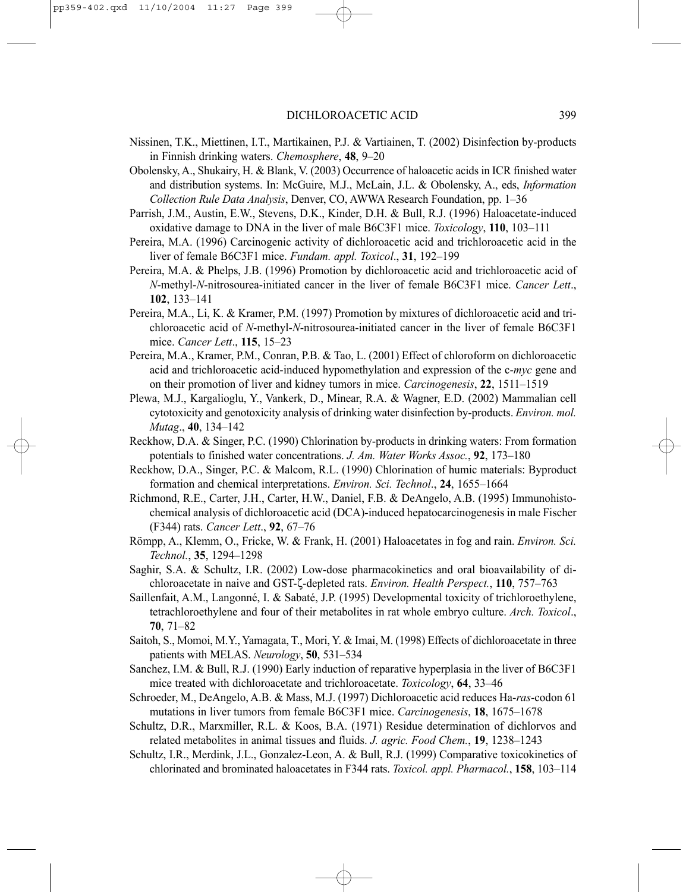- Nissinen, T.K., Miettinen, I.T., Martikainen, P.J. & Vartiainen, T. (2002) Disinfection by-products in Finnish drinking waters. *Chemosphere*, **48**, 9–20
- Obolensky, A., Shukairy, H. & Blank, V. (2003) Occurrence of haloacetic acids in ICR finished water and distribution systems. In: McGuire, M.J., McLain, J.L. & Obolensky, A., eds, *Information Collection Rule Data Analysis*, Denver, CO, AWWA Research Foundation, pp. 1–36
- Parrish, J.M., Austin, E.W., Stevens, D.K., Kinder, D.H. & Bull, R.J. (1996) Haloacetate-induced oxidative damage to DNA in the liver of male B6C3F1 mice. *Toxicology*, **110**, 103–111
- Pereira, M.A. (1996) Carcinogenic activity of dichloroacetic acid and trichloroacetic acid in the liver of female B6C3F1 mice. *Fundam. appl. Toxicol*., **31**, 192–199
- Pereira, M.A. & Phelps, J.B. (1996) Promotion by dichloroacetic acid and trichloroacetic acid of *N*-methyl-*N*-nitrosourea-initiated cancer in the liver of female B6C3F1 mice. *Cancer Lett*., **102**, 133–141
- Pereira, M.A., Li, K. & Kramer, P.M. (1997) Promotion by mixtures of dichloroacetic acid and trichloroacetic acid of *N*-methyl-*N*-nitrosourea-initiated cancer in the liver of female B6C3F1 mice. *Cancer Lett*., **115**, 15–23
- Pereira, M.A., Kramer, P.M., Conran, P.B. & Tao, L. (2001) Effect of chloroform on dichloroacetic acid and trichloroacetic acid-induced hypomethylation and expression of the c-*myc* gene and on their promotion of liver and kidney tumors in mice. *Carcinogenesis*, **22**, 1511–1519
- Plewa, M.J., Kargalioglu, Y., Vankerk, D., Minear, R.A. & Wagner, E.D. (2002) Mammalian cell cytotoxicity and genotoxicity analysis of drinking water disinfection by-products. *Environ. mol. Mutag*., **40**, 134–142
- Reckhow, D.A. & Singer, P.C. (1990) Chlorination by-products in drinking waters: From formation potentials to finished water concentrations. *J. Am. Water Works Assoc.*, **92**, 173–180
- Reckhow, D.A., Singer, P.C. & Malcom, R.L. (1990) Chlorination of humic materials: Byproduct formation and chemical interpretations. *Environ. Sci. Technol*., **24**, 1655–1664
- Richmond, R.E., Carter, J.H., Carter, H.W., Daniel, F.B. & DeAngelo, A.B. (1995) Immunohistochemical analysis of dichloroacetic acid (DCA)-induced hepatocarcinogenesis in male Fischer (F344) rats. *Cancer Lett*., **92**, 67–76
- Römpp, A., Klemm, O., Fricke, W. & Frank, H. (2001) Haloacetates in fog and rain. *Environ. Sci. Technol.*, **35**, 1294–1298
- Saghir, S.A. & Schultz, I.R. (2002) Low-dose pharmacokinetics and oral bioavailability of dichloroacetate in naive and GST-ζ-depleted rats. *Environ. Health Perspect.*, **110**, 757–763
- Saillenfait, A.M., Langonné, I. & Sabaté, J.P. (1995) Developmental toxicity of trichloroethylene, tetrachloroethylene and four of their metabolites in rat whole embryo culture. *Arch. Toxicol*., **70**, 71–82
- Saitoh, S., Momoi, M.Y., Yamagata, T., Mori, Y. & Imai, M. (1998) Effects of dichloroacetate in three patients with MELAS. *Neurology*, **50**, 531–534
- Sanchez, I.M. & Bull, R.J. (1990) Early induction of reparative hyperplasia in the liver of B6C3F1 mice treated with dichloroacetate and trichloroacetate. *Toxicology*, **64**, 33–46
- Schroeder, M., DeAngelo, A.B. & Mass, M.J. (1997) Dichloroacetic acid reduces Ha-*ras*-codon 61 mutations in liver tumors from female B6C3F1 mice. *Carcinogenesis*, **18**, 1675–1678
- Schultz, D.R., Marxmiller, R.L. & Koos, B.A. (1971) Residue determination of dichlorvos and related metabolites in animal tissues and fluids. *J. agric. Food Chem.*, **19**, 1238–1243
- Schultz, I.R., Merdink, J.L., Gonzalez-Leon, A. & Bull, R.J. (1999) Comparative toxicokinetics of chlorinated and brominated haloacetates in F344 rats. *Toxicol. appl. Pharmacol.*, **158**, 103–114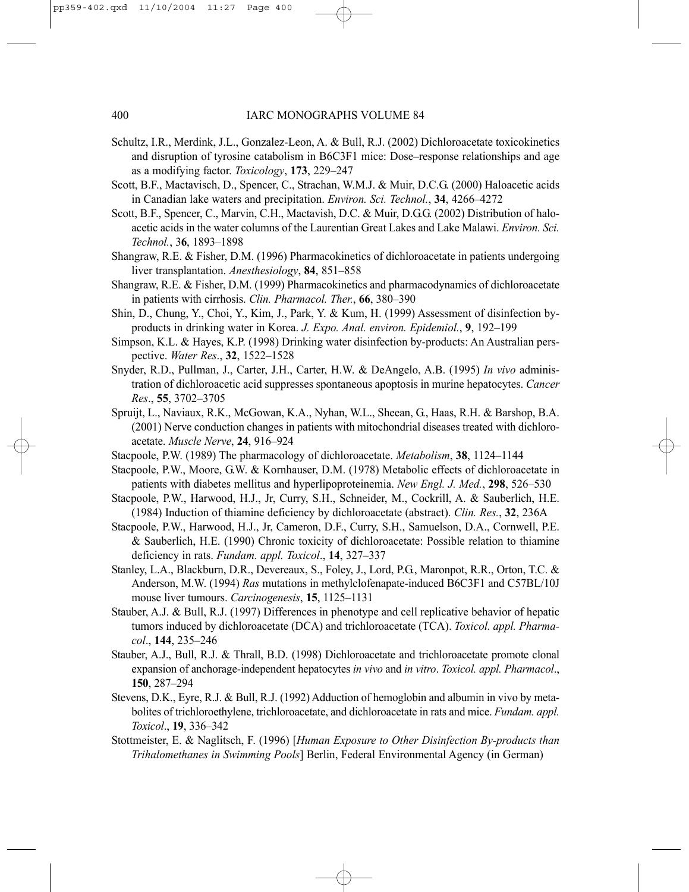- Schultz, I.R., Merdink, J.L., Gonzalez-Leon, A. & Bull, R.J. (2002) Dichloroacetate toxicokinetics and disruption of tyrosine catabolism in B6C3F1 mice: Dose–response relationships and age as a modifying factor. *Toxicology*, **173**, 229–247
- Scott, B.F., Mactavisch, D., Spencer, C., Strachan, W.M.J. & Muir, D.C.G. (2000) Haloacetic acids in Canadian lake waters and precipitation. *Environ. Sci. Technol.*, **34**, 4266–4272
- Scott, B.F., Spencer, C., Marvin, C.H., Mactavish, D.C. & Muir, D.G.G. (2002) Distribution of haloacetic acids in the water columns of the Laurentian Great Lakes and Lake Malawi. *Environ. Sci. Technol.*, 3**6**, 1893–1898
- Shangraw, R.E. & Fisher, D.M. (1996) Pharmacokinetics of dichloroacetate in patients undergoing liver transplantation. *Anesthesiology*, **84**, 851–858
- Shangraw, R.E. & Fisher, D.M. (1999) Pharmacokinetics and pharmacodynamics of dichloroacetate in patients with cirrhosis. *Clin. Pharmacol. Ther.*, **66**, 380–390
- Shin, D., Chung, Y., Choi, Y., Kim, J., Park, Y. & Kum, H. (1999) Assessment of disinfection byproducts in drinking water in Korea. *J. Expo. Anal. environ. Epidemiol.*, **9**, 192–199
- Simpson, K.L. & Hayes, K.P. (1998) Drinking water disinfection by-products: An Australian perspective. *Water Res*., **32**, 1522–1528
- Snyder, R.D., Pullman, J., Carter, J.H., Carter, H.W. & DeAngelo, A.B. (1995) *In vivo* administration of dichloroacetic acid suppresses spontaneous apoptosis in murine hepatocytes. *Cancer Res*., **55**, 3702–3705
- Spruijt, L., Naviaux, R.K., McGowan, K.A., Nyhan, W.L., Sheean, G., Haas, R.H. & Barshop, B.A. (2001) Nerve conduction changes in patients with mitochondrial diseases treated with dichloroacetate. *Muscle Nerve*, **24**, 916–924
- Stacpoole, P.W. (1989) The pharmacology of dichloroacetate. *Metabolism*, **38**, 1124–1144
- Stacpoole, P.W., Moore, G.W. & Kornhauser, D.M. (1978) Metabolic effects of dichloroacetate in patients with diabetes mellitus and hyperlipoproteinemia. *New Engl. J. Med.*, **298**, 526–530
- Stacpoole, P.W., Harwood, H.J., Jr, Curry, S.H., Schneider, M., Cockrill, A. & Sauberlich, H.E. (1984) Induction of thiamine deficiency by dichloroacetate (abstract). *Clin. Res.*, **32**, 236A
- Stacpoole, P.W., Harwood, H.J., Jr, Cameron, D.F., Curry, S.H., Samuelson, D.A., Cornwell, P.E. & Sauberlich, H.E. (1990) Chronic toxicity of dichloroacetate: Possible relation to thiamine deficiency in rats. *Fundam. appl. Toxicol*., **14**, 327–337
- Stanley, L.A., Blackburn, D.R., Devereaux, S., Foley, J., Lord, P.G., Maronpot, R.R., Orton, T.C. & Anderson, M.W. (1994) *Ras* mutations in methylclofenapate-induced B6C3F1 and C57BL/10J mouse liver tumours. *Carcinogenesis*, **15**, 1125–1131
- Stauber, A.J. & Bull, R.J. (1997) Differences in phenotype and cell replicative behavior of hepatic tumors induced by dichloroacetate (DCA) and trichloroacetate (TCA). *Toxicol. appl. Pharmacol*., **144**, 235–246
- Stauber, A.J., Bull, R.J. & Thrall, B.D. (1998) Dichloroacetate and trichloroacetate promote clonal expansion of anchorage-independent hepatocytes *in vivo* and *in vitro*. *Toxicol. appl. Pharmacol*., **150**, 287–294
- Stevens, D.K., Eyre, R.J. & Bull, R.J. (1992) Adduction of hemoglobin and albumin in vivo by metabolites of trichloroethylene, trichloroacetate, and dichloroacetate in rats and mice. *Fundam. appl. Toxicol*., **19**, 336–342
- Stottmeister, E. & Naglitsch, F. (1996) [*Human Exposure to Other Disinfection By-products than Trihalomethanes in Swimming Pools*] Berlin, Federal Environmental Agency (in German)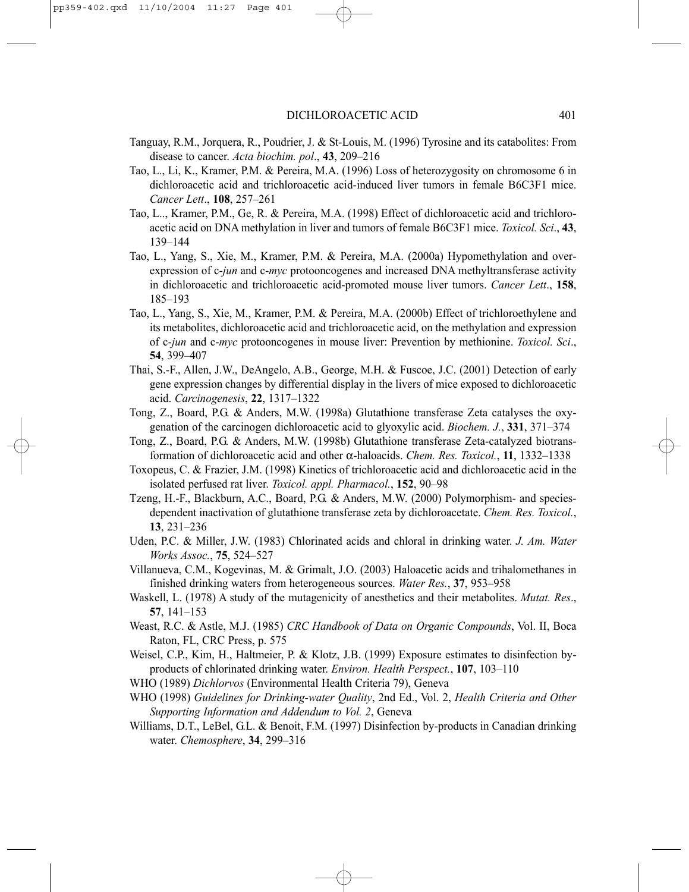- Tanguay, R.M., Jorquera, R., Poudrier, J. & St-Louis, M. (1996) Tyrosine and its catabolites: From disease to cancer. *Acta biochim. pol*., **43**, 209–216
- Tao, L., Li, K., Kramer, P.M. & Pereira, M.A. (1996) Loss of heterozygosity on chromosome 6 in dichloroacetic acid and trichloroacetic acid-induced liver tumors in female B6C3F1 mice. *Cancer Lett*., **108**, 257–261
- Tao, L.., Kramer, P.M., Ge, R. & Pereira, M.A. (1998) Effect of dichloroacetic acid and trichloroacetic acid on DNA methylation in liver and tumors of female B6C3F1 mice. *Toxicol. Sci*., **43**, 139–144
- Tao, L., Yang, S., Xie, M., Kramer, P.M. & Pereira, M.A. (2000a) Hypomethylation and overexpression of c-*jun* and c-*myc* protooncogenes and increased DNA methyltransferase activity in dichloroacetic and trichloroacetic acid-promoted mouse liver tumors. *Cancer Lett*., **158**, 185–193
- Tao, L., Yang, S., Xie, M., Kramer, P.M. & Pereira, M.A. (2000b) Effect of trichloroethylene and its metabolites, dichloroacetic acid and trichloroacetic acid, on the methylation and expression of c-*jun* and c-*myc* protooncogenes in mouse liver: Prevention by methionine. *Toxicol. Sci*., **54**, 399–407
- Thai, S.-F., Allen, J.W., DeAngelo, A.B., George, M.H. & Fuscoe, J.C. (2001) Detection of early gene expression changes by differential display in the livers of mice exposed to dichloroacetic acid. *Carcinogenesis*, **22**, 1317–1322
- Tong, Z., Board, P.G. & Anders, M.W. (1998a) Glutathione transferase Zeta catalyses the oxygenation of the carcinogen dichloroacetic acid to glyoxylic acid. *Biochem. J.*, **331**, 371–374
- Tong, Z., Board, P.G. & Anders, M.W. (1998b) Glutathione transferase Zeta-catalyzed biotransformation of dichloroacetic acid and other α-haloacids. *Chem. Res. Toxicol.*, **11**, 1332–1338
- Toxopeus, C. & Frazier, J.M. (1998) Kinetics of trichloroacetic acid and dichloroacetic acid in the isolated perfused rat liver. *Toxicol. appl. Pharmacol.*, **152**, 90–98
- Tzeng, H.-F., Blackburn, A.C., Board, P.G. & Anders, M.W. (2000) Polymorphism- and speciesdependent inactivation of glutathione transferase zeta by dichloroacetate. *Chem. Res. Toxicol.*, **13**, 231–236
- Uden, P.C. & Miller, J.W. (1983) Chlorinated acids and chloral in drinking water. *J. Am. Water Works Assoc.*, **75**, 524–527
- Villanueva, C.M., Kogevinas, M. & Grimalt, J.O. (2003) Haloacetic acids and trihalomethanes in finished drinking waters from heterogeneous sources. *Water Res.*, **37**, 953–958
- Waskell, L. (1978) A study of the mutagenicity of anesthetics and their metabolites. *Mutat. Res*., **57**, 141–153
- Weast, R.C. & Astle, M.J. (1985) *CRC Handbook of Data on Organic Compounds*, Vol. II, Boca Raton, FL, CRC Press, p. 575
- Weisel, C.P., Kim, H., Haltmeier, P. & Klotz, J.B. (1999) Exposure estimates to disinfection byproducts of chlorinated drinking water. *Environ. Health Perspect.*, **107**, 103–110
- WHO (1989) *Dichlorvos* (Environmental Health Criteria 79), Geneva
- WHO (1998) *Guidelines for Drinking-water Quality*, 2nd Ed., Vol. 2, *Health Criteria and Other Supporting Information and Addendum to Vol. 2*, Geneva
- Williams, D.T., LeBel, G.L. & Benoit, F.M. (1997) Disinfection by-products in Canadian drinking water. *Chemosphere*, **34**, 299–316